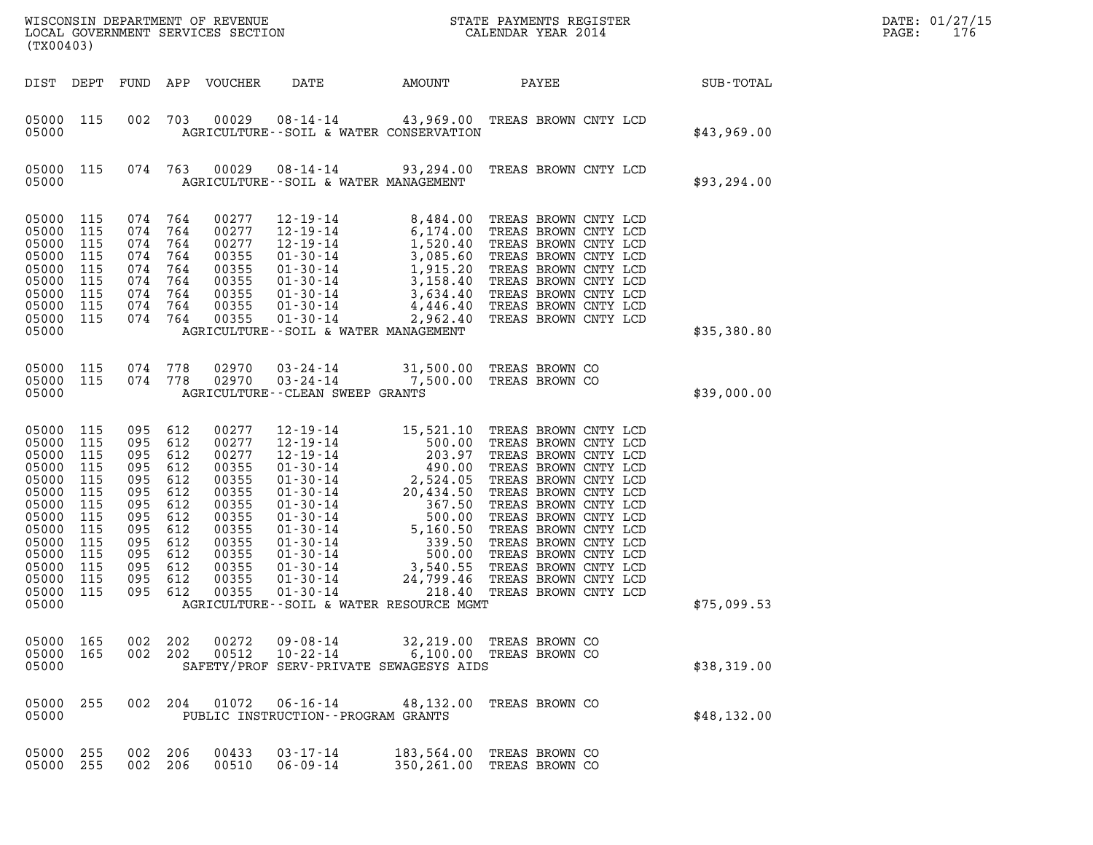| (TX00403)                                                                                                                           |                                                                                                |                                                                                                    |                                                                                         |                                                                                                                            |                                                                                                                                                                                                                                                                                                                                                                                            |          |                                                                                                                                                                                                                                                                                                                                              |              | DATE: 01/27/15<br>PAGE:<br>176 |
|-------------------------------------------------------------------------------------------------------------------------------------|------------------------------------------------------------------------------------------------|----------------------------------------------------------------------------------------------------|-----------------------------------------------------------------------------------------|----------------------------------------------------------------------------------------------------------------------------|--------------------------------------------------------------------------------------------------------------------------------------------------------------------------------------------------------------------------------------------------------------------------------------------------------------------------------------------------------------------------------------------|----------|----------------------------------------------------------------------------------------------------------------------------------------------------------------------------------------------------------------------------------------------------------------------------------------------------------------------------------------------|--------------|--------------------------------|
| DIST DEPT                                                                                                                           |                                                                                                | FUND                                                                                               |                                                                                         | APP VOUCHER                                                                                                                | DATE                                                                                                                                                                                                                                                                                                                                                                                       | AMOUNT   | PAYEE                                                                                                                                                                                                                                                                                                                                        | SUB-TOTAL    |                                |
| 05000 115<br>05000                                                                                                                  |                                                                                                | 002                                                                                                | 703                                                                                     | 00029                                                                                                                      | AGRICULTURE--SOIL & WATER CONSERVATION                                                                                                                                                                                                                                                                                                                                                     |          | 08-14-14 43,969.00 TREAS BROWN CNTY LCD                                                                                                                                                                                                                                                                                                      | \$43,969.00  |                                |
| 05000 115<br>05000                                                                                                                  |                                                                                                | 074 763                                                                                            |                                                                                         | 00029                                                                                                                      | AGRICULTURE--SOIL & WATER MANAGEMENT                                                                                                                                                                                                                                                                                                                                                       |          | 08-14-14 93,294.00 TREAS BROWN CNTY LCD                                                                                                                                                                                                                                                                                                      | \$93, 294.00 |                                |
| 05000<br>05000<br>05000<br>05000<br>05000<br>05000<br>05000<br>05000<br>05000 115<br>05000                                          | 115<br>115<br>115<br>115<br>115<br>115<br>115<br>115                                           | 074 764<br>074<br>074<br>074<br>074<br>074<br>074<br>074<br>074 764                                | 764<br>764<br>764<br>764<br>764<br>764<br>764                                           | 00277<br>00277<br>00277<br>00355<br>00355<br>00355<br>00355<br>00355<br>00355                                              | $01 - 30 - 14$<br>AGRICULTURE--SOIL & WATER MANAGEMENT                                                                                                                                                                                                                                                                                                                                     | 2,962.40 | TREAS BROWN CNTY LCD                                                                                                                                                                                                                                                                                                                         | \$35,380.80  |                                |
| 05000 115<br>05000 115<br>05000                                                                                                     |                                                                                                | 074 778<br>074 778                                                                                 |                                                                                         | 02970<br>02970                                                                                                             | AGRICULTURE - - CLEAN SWEEP GRANTS                                                                                                                                                                                                                                                                                                                                                         |          | 03-24-14 31,500.00 TREAS BROWN CO<br>03-24-14 7,500.00 TREAS BROWN CO                                                                                                                                                                                                                                                                        | \$39,000.00  |                                |
| 05000<br>05000<br>05000<br>05000<br>05000<br>05000<br>05000<br>05000<br>05000<br>05000<br>05000<br>05000<br>05000<br>05000<br>05000 | 115<br>115<br>115<br>115<br>115<br>115<br>115<br>115<br>115<br>115<br>115<br>115<br>115<br>115 | 095<br>095<br>095<br>095<br>095<br>095<br>095<br>095<br>095<br>095<br>095<br>095<br>095<br>095 612 | 612<br>612<br>612<br>612<br>612<br>612<br>612<br>612<br>612<br>612<br>612<br>612<br>612 | 00277<br>00277<br>00277<br>00355<br>00355<br>00355<br>00355<br>00355<br>00355<br>00355<br>00355<br>00355<br>00355<br>00355 | $\begin{array}{cccc} 12\cdot 19\cdot 14 & 15, 521.\, 10 \\ 12\cdot 19\cdot 14 & 500.\, 00 \\ 12\cdot 19\cdot 14 & 203.\, 97 \\ 01\cdot 30\cdot 14 & 2, 524.\, 05 \\ 01\cdot 30\cdot 14 & 2, 524.\, 05 \\ 01\cdot 30\cdot 14 & 367.\, 50 \\ 01\cdot 30\cdot 14 & 5, 160.\, 50 \\ 01\cdot 30\cdot 14 & 5, 160.\, 50 \\ 01\cdot$<br>$01 - 30 - 14$<br>AGRICULTURE--SOIL & WATER RESOURCE MGMT | 218.40   | TREAS BROWN CNTY LCD<br>TREAS BROWN CNTY LCD<br>TREAS BROWN CNTY LCD<br>TREAS BROWN CNTY LCD<br>TREAS BROWN CNTY LCD<br>TREAS BROWN CNTY LCD<br>TREAS BROWN CNTY LCD<br>TREAS BROWN CNTY LCD<br>TREAS BROWN CNTY LCD<br>TREAS BROWN CNTY LCD<br>TREAS BROWN CNTY LCD<br>TREAS BROWN CNTY LCD<br>TREAS BROWN CNTY LCD<br>TREAS BROWN CNTY LCD | \$75,099.53  |                                |
| 05000 165<br>05000 165<br>05000                                                                                                     |                                                                                                | 002 202<br>002 202                                                                                 |                                                                                         |                                                                                                                            | 00272  09-08-14<br>SAFETY/PROF SERV-PRIVATE SEWAGESYS AIDS                                                                                                                                                                                                                                                                                                                                 |          | 32,219.00 TREAS BROWN CO<br>00512  10-22-14   6,100.00  TREAS BROWN CO                                                                                                                                                                                                                                                                       | \$38,319.00  |                                |
| 05000<br>05000                                                                                                                      | 255                                                                                            | 002 204                                                                                            |                                                                                         | 01072                                                                                                                      | PUBLIC INSTRUCTION -- PROGRAM GRANTS                                                                                                                                                                                                                                                                                                                                                       |          | 06-16-14 48,132.00 TREAS BROWN CO                                                                                                                                                                                                                                                                                                            | \$48,132.00  |                                |
| 05000<br>05000 255                                                                                                                  | 255                                                                                            | 002<br>002 206                                                                                     | 206                                                                                     | 00433<br>00510                                                                                                             | $03 - 17 - 14$<br>$06 - 09 - 14$                                                                                                                                                                                                                                                                                                                                                           |          | 183,564.00 TREAS BROWN CO<br>350,261.00 TREAS BROWN CO                                                                                                                                                                                                                                                                                       |              |                                |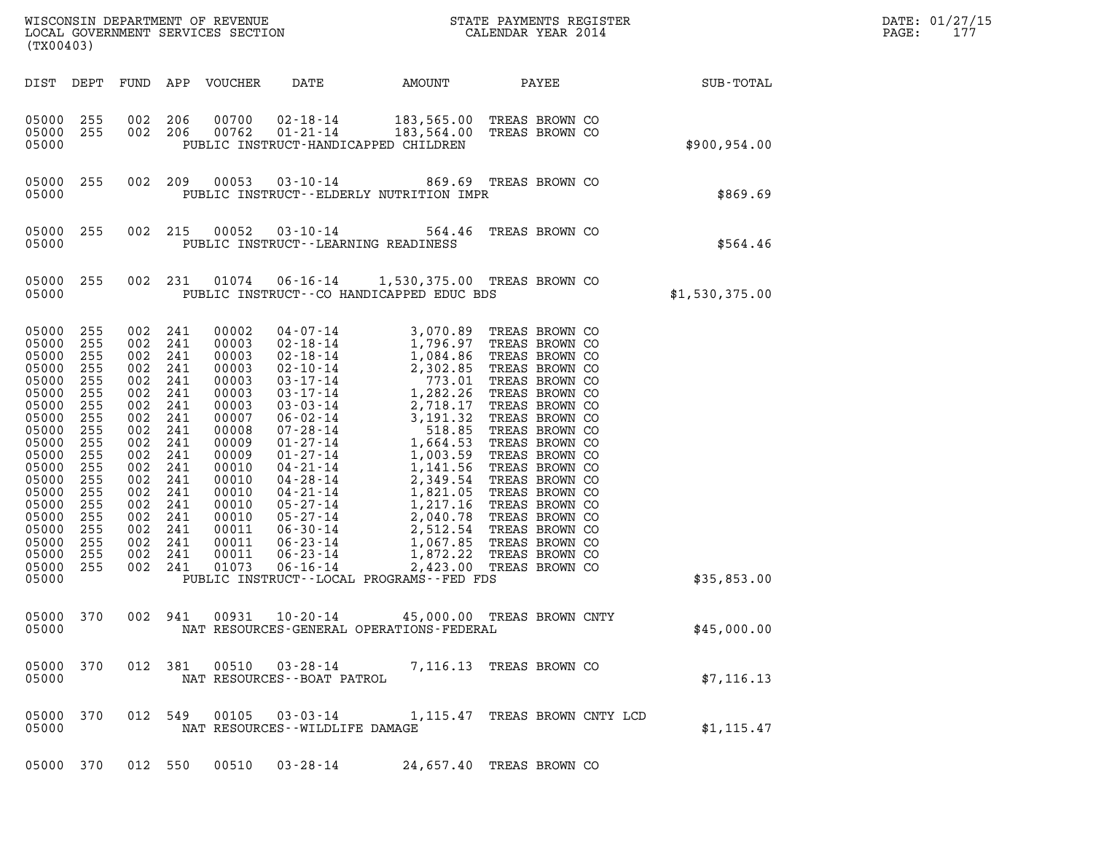|       | DATE: 01/27/15 |
|-------|----------------|
| PAGE: | 177            |

| (TX00403)                                                                                                                                                                                 |                                                                                                                                          |                                                                                                                                              |                                                                                                                                   | LOCAL GOVERNMENT SERVICES SECTION                                                                                                                                                |                                                                                                                                                                                                                                                                                                                                                                              |                                                                                                                                                                                                                                                                    |          |                                                                                                                                                                                                                                                                                                                                                                                        |       |                               |                | DATE: 01/27/15<br>PAGE:<br>177 |  |
|-------------------------------------------------------------------------------------------------------------------------------------------------------------------------------------------|------------------------------------------------------------------------------------------------------------------------------------------|----------------------------------------------------------------------------------------------------------------------------------------------|-----------------------------------------------------------------------------------------------------------------------------------|----------------------------------------------------------------------------------------------------------------------------------------------------------------------------------|------------------------------------------------------------------------------------------------------------------------------------------------------------------------------------------------------------------------------------------------------------------------------------------------------------------------------------------------------------------------------|--------------------------------------------------------------------------------------------------------------------------------------------------------------------------------------------------------------------------------------------------------------------|----------|----------------------------------------------------------------------------------------------------------------------------------------------------------------------------------------------------------------------------------------------------------------------------------------------------------------------------------------------------------------------------------------|-------|-------------------------------|----------------|--------------------------------|--|
| DIST DEPT                                                                                                                                                                                 |                                                                                                                                          | FUND                                                                                                                                         |                                                                                                                                   | APP VOUCHER                                                                                                                                                                      | DATE                                                                                                                                                                                                                                                                                                                                                                         | AMOUNT                                                                                                                                                                                                                                                             |          |                                                                                                                                                                                                                                                                                                                                                                                        | PAYEE |                               | SUB-TOTAL      |                                |  |
| 05000 255<br>05000 255<br>05000                                                                                                                                                           |                                                                                                                                          | 002 206<br>002 206                                                                                                                           |                                                                                                                                   | 00700<br>00762                                                                                                                                                                   | $02 - 18 - 14$<br>$01 - 21 - 14$<br>PUBLIC INSTRUCT-HANDICAPPED CHILDREN                                                                                                                                                                                                                                                                                                     | 183,564.00                                                                                                                                                                                                                                                         |          | 183,565.00 TREAS BROWN CO<br>TREAS BROWN CO                                                                                                                                                                                                                                                                                                                                            |       |                               | \$900,954.00   |                                |  |
| 05000<br>05000                                                                                                                                                                            | 255                                                                                                                                      | 002 209                                                                                                                                      |                                                                                                                                   | 00053                                                                                                                                                                            | PUBLIC INSTRUCT--ELDERLY NUTRITION IMPR                                                                                                                                                                                                                                                                                                                                      | 03-10-14 869.69 TREAS BROWN CO                                                                                                                                                                                                                                     |          |                                                                                                                                                                                                                                                                                                                                                                                        |       |                               | \$869.69       |                                |  |
| 05000<br>05000                                                                                                                                                                            | 255                                                                                                                                      | 002 215                                                                                                                                      |                                                                                                                                   | 00052                                                                                                                                                                            | $03 - 10 - 14$<br>PUBLIC INSTRUCT--LEARNING READINESS                                                                                                                                                                                                                                                                                                                        |                                                                                                                                                                                                                                                                    |          | 564.46 TREAS BROWN CO                                                                                                                                                                                                                                                                                                                                                                  |       |                               | \$564.46       |                                |  |
| 05000<br>05000                                                                                                                                                                            | 255                                                                                                                                      | 002 231                                                                                                                                      |                                                                                                                                   | 01074                                                                                                                                                                            | PUBLIC INSTRUCT--CO HANDICAPPED EDUC BDS                                                                                                                                                                                                                                                                                                                                     | 06-16-14  1,530,375.00 TREAS BROWN CO                                                                                                                                                                                                                              |          |                                                                                                                                                                                                                                                                                                                                                                                        |       |                               | \$1,530,375.00 |                                |  |
| 05000<br>05000<br>05000<br>05000<br>05000<br>05000<br>05000<br>05000<br>05000<br>05000<br>05000<br>05000<br>05000<br>05000<br>05000<br>05000<br>05000<br>05000<br>05000<br>05000<br>05000 | 255<br>255<br>255<br>255<br>255<br>255<br>255<br>255<br>255<br>255<br>255<br>255<br>255<br>255<br>255<br>255<br>255<br>255<br>255<br>255 | 002<br>002<br>002<br>002<br>002<br>002<br>002<br>002<br>002<br>002<br>002<br>002<br>002<br>002<br>002<br>002<br>002<br>002<br>002<br>002 241 | 241<br>241<br>241<br>241<br>241<br>241<br>241<br>241<br>241<br>241<br>241<br>241<br>241<br>241<br>241<br>241<br>241<br>241<br>241 | 00002<br>00003<br>00003<br>00003<br>00003<br>00003<br>00003<br>00007<br>00008<br>00009<br>00009<br>00010<br>00010<br>00010<br>00010<br>00010<br>00011<br>00011<br>00011<br>01073 | $04 - 07 - 14$<br>$02 - 18 - 14$<br>$02 - 18 - 14$<br>$02 - 10 - 14$<br>$03 - 17 - 14$<br>$03 - 17 - 14$<br>$03 - 03 - 14$<br>$06 - 02 - 14$<br>07-28-14<br>$01 - 27 - 14$<br>$01 - 27 - 14$<br>04-21-14<br>04-28-14<br>04-21-14<br>05-27-14<br>05-27-14<br>$06 - 30 - 14$<br>$06 - 23 - 14$<br>$06 - 23 - 14$<br>$06 - 16 - 14$<br>PUBLIC INSTRUCT--LOCAL PROGRAMS--FED FDS | $1,796.97$<br>$1,084.86$<br>$2,302.85$<br>$773.01$<br>$1,282.26$<br>$2,718.17$<br>$3,191.32$<br>$518.85$<br>$1,664.53$<br>$1,664.53$<br>$1,003.59$<br>$1,141.56$<br>$2,349.54$<br>$1,217.16$<br>$2,040.78$<br>$1,217.16$<br>$2,040.785$<br>$1,067.85$<br>$1,872.2$ | 2,423.00 | 3,070.89 TREAS BROWN CO<br>1,796.97 TREAS BROWN CO<br>TREAS BROWN CO<br>TREAS BROWN CO<br>TREAS BROWN CO<br>TREAS BROWN CO<br>TREAS BROWN CO<br>TREAS BROWN CO<br>TREAS BROWN CO<br>TREAS BROWN CO<br>TREAS BROWN CO<br>TREAS BROWN CO<br>TREAS BROWN CO<br>TREAS BROWN CO<br>TREAS BROWN CO<br>TREAS BROWN CO<br>TREAS BROWN CO<br>TREAS BROWN CO<br>TREAS BROWN CO<br>TREAS BROWN CO |       |                               | \$35,853.00    |                                |  |
| 05000 370<br>05000                                                                                                                                                                        |                                                                                                                                          |                                                                                                                                              | 002 941                                                                                                                           | 00931                                                                                                                                                                            | $10 - 20 - 14$<br>NAT RESOURCES-GENERAL OPERATIONS-FEDERAL                                                                                                                                                                                                                                                                                                                   |                                                                                                                                                                                                                                                                    |          | 45,000.00 TREAS BROWN CNTY                                                                                                                                                                                                                                                                                                                                                             |       |                               | \$45,000.00    |                                |  |
| 05000 370<br>05000                                                                                                                                                                        |                                                                                                                                          | 012 381                                                                                                                                      |                                                                                                                                   | 00510                                                                                                                                                                            | $03 - 28 - 14$<br>NAT RESOURCES - - BOAT PATROL                                                                                                                                                                                                                                                                                                                              |                                                                                                                                                                                                                                                                    |          | 7,116.13 TREAS BROWN CO                                                                                                                                                                                                                                                                                                                                                                |       |                               | \$7, 116.13    |                                |  |
| 05000 370<br>05000                                                                                                                                                                        |                                                                                                                                          |                                                                                                                                              | 012 549                                                                                                                           | 00105                                                                                                                                                                            | 03-03-14<br>NAT RESOURCES - - WILDLIFE DAMAGE                                                                                                                                                                                                                                                                                                                                |                                                                                                                                                                                                                                                                    |          |                                                                                                                                                                                                                                                                                                                                                                                        |       | 1,115.47 TREAS BROWN CNTY LCD | \$1, 115.47    |                                |  |
| 05000 370                                                                                                                                                                                 |                                                                                                                                          | 012 550                                                                                                                                      |                                                                                                                                   | 00510                                                                                                                                                                            | $03 - 28 - 14$                                                                                                                                                                                                                                                                                                                                                               |                                                                                                                                                                                                                                                                    |          | 24,657.40 TREAS BROWN CO                                                                                                                                                                                                                                                                                                                                                               |       |                               |                |                                |  |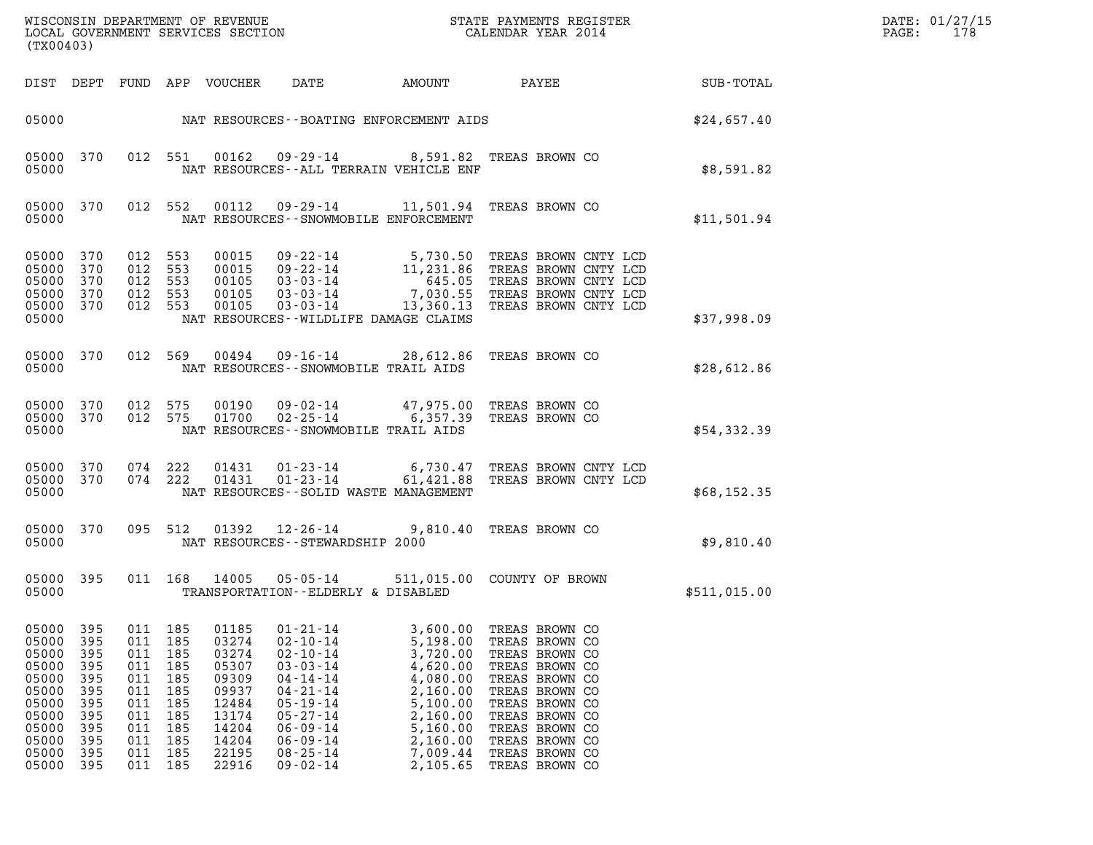| DATE: | 01/27/15 |
|-------|----------|
| PAGE: | 178      |

| (TX00403)                                                                                                |                                                                                  |                                                                                  |                                                                                  |                                                                                                          |                                                                                                                                                                                                                      |                                                                                                                                              |                                                                                                                                                                                                                      |              | DATE: 01/27/15<br>$\mathtt{PAGE}$ :<br>178 |
|----------------------------------------------------------------------------------------------------------|----------------------------------------------------------------------------------|----------------------------------------------------------------------------------|----------------------------------------------------------------------------------|----------------------------------------------------------------------------------------------------------|----------------------------------------------------------------------------------------------------------------------------------------------------------------------------------------------------------------------|----------------------------------------------------------------------------------------------------------------------------------------------|----------------------------------------------------------------------------------------------------------------------------------------------------------------------------------------------------------------------|--------------|--------------------------------------------|
|                                                                                                          |                                                                                  |                                                                                  |                                                                                  | DIST DEPT FUND APP VOUCHER                                                                               | DATE                                                                                                                                                                                                                 | AMOUNT                                                                                                                                       | PAYEE SUB-TOTAL                                                                                                                                                                                                      |              |                                            |
| 05000                                                                                                    |                                                                                  |                                                                                  |                                                                                  |                                                                                                          | NAT RESOURCES--BOATING ENFORCEMENT AIDS                                                                                                                                                                              |                                                                                                                                              |                                                                                                                                                                                                                      | \$24,657.40  |                                            |
| 05000 370<br>05000                                                                                       |                                                                                  |                                                                                  | 012 551                                                                          |                                                                                                          | 00162  09-29-14  8,591.82  TREAS BROWN CO<br>NAT RESOURCES -- ALL TERRAIN VEHICLE ENF                                                                                                                                |                                                                                                                                              |                                                                                                                                                                                                                      | \$8,591.82   |                                            |
| 05000 370<br>05000                                                                                       |                                                                                  |                                                                                  | 012 552                                                                          | 00112                                                                                                    | 09-29-14 11,501.94 TREAS BROWN CO<br>NAT RESOURCES - - SNOWMOBILE ENFORCEMENT                                                                                                                                        |                                                                                                                                              |                                                                                                                                                                                                                      | \$11,501.94  |                                            |
| 05000 370<br>05000 370<br>05000<br>05000<br>05000 370<br>05000                                           | 370<br>370                                                                       | 012 553<br>012 553<br>012 553<br>012 553<br>012 553                              |                                                                                  | 00015<br>00015<br>00105<br>00105<br>00105                                                                | $03 - 03 - 14$<br>NAT RESOURCES--WILDLIFE DAMAGE CLAIMS                                                                                                                                                              |                                                                                                                                              | 09-22-14 5,730.50 TREAS BROWN CNTY LCD<br>09-22-14 11,231.86 TREAS BROWN CNTY LCD<br>03-03-14 7,030.55 TREAS BROWN CNTY LCD<br>03-03-14 7,030.55 TREAS BROWN CNTY LCD<br>13,360.13 TREAS BROWN CNTY LCD              | \$37,998.09  |                                            |
| 05000 370<br>05000                                                                                       |                                                                                  |                                                                                  | 012 569                                                                          |                                                                                                          | 00494  09-16-14  28,612.86  TREAS BROWN CO<br>NAT RESOURCES - - SNOWMOBILE TRAIL AIDS                                                                                                                                |                                                                                                                                              |                                                                                                                                                                                                                      | \$28,612.86  |                                            |
| 05000 370<br>05000 370<br>05000                                                                          |                                                                                  | 012 575                                                                          | 012 575                                                                          | 00190<br>01700                                                                                           | 09-02-14 47,975.00 TREAS BROWN CO<br>$02 - 25 - 14$<br>NAT RESOURCES - - SNOWMOBILE TRAIL AIDS                                                                                                                       |                                                                                                                                              | 6,357.39 TREAS BROWN CO                                                                                                                                                                                              | \$54,332.39  |                                            |
| 05000 370<br>05000 370<br>05000                                                                          |                                                                                  | 074 222<br>074 222                                                               |                                                                                  | 01431<br>01431                                                                                           | NAT RESOURCES - - SOLID WASTE MANAGEMENT                                                                                                                                                                             |                                                                                                                                              | 01-23-14 6,730.47 TREAS BROWN CNTY LCD<br>01-23-14 61,421.88 TREAS BROWN CNTY LCD                                                                                                                                    | \$68,152.35  |                                            |
| 05000 370<br>05000                                                                                       |                                                                                  |                                                                                  | 095 512                                                                          |                                                                                                          | $01392$ $12 - 26 - 14$<br>NAT RESOURCES - - STEWARDSHIP 2000                                                                                                                                                         |                                                                                                                                              | 9,810.40 TREAS BROWN CO                                                                                                                                                                                              | \$9,810.40   |                                            |
| 05000 395<br>05000                                                                                       |                                                                                  |                                                                                  | 011 168                                                                          | 14005                                                                                                    | $05 - 05 - 14$<br>TRANSPORTATION--ELDERLY & DISABLED                                                                                                                                                                 |                                                                                                                                              | 511,015.00 COUNTY OF BROWN                                                                                                                                                                                           | \$511,015.00 |                                            |
| 05000<br>05000<br>05000<br>05000<br>05000<br>05000<br>05000<br>05000<br>05000<br>05000<br>05000<br>05000 | 395<br>395<br>395<br>395<br>395<br>395<br>395<br>395<br>395<br>395<br>395<br>395 | 011<br>011<br>011<br>011<br>011<br>011<br>011<br>011<br>011<br>011<br>011<br>011 | 185<br>185<br>185<br>185<br>185<br>185<br>185<br>185<br>185<br>185<br>185<br>185 | 01185<br>03274<br>03274<br>05307<br>09309<br>09937<br>12484<br>13174<br>14204<br>14204<br>22195<br>22916 | $01 - 21 - 14$<br>$02 - 10 - 14$<br>$02 - 10 - 14$<br>$03 - 03 - 14$<br>$04 - 14 - 14$<br>$04 - 21 - 14$<br>$05 - 19 - 14$<br>$05 - 27 - 14$<br>$06 - 09 - 14$<br>$06 - 09 - 14$<br>$08 - 25 - 14$<br>$09 - 02 - 14$ | 3,600.00<br>5,198.00<br>3,720.00<br>4,620.00<br>4,080.00<br>2,160.00<br>5,100.00<br>2,160.00<br>5,160.00<br>2,160.00<br>7,009.44<br>2,105.65 | TREAS BROWN CO<br>TREAS BROWN CO<br>TREAS BROWN CO<br>TREAS BROWN CO<br>TREAS BROWN CO<br>TREAS BROWN CO<br>TREAS BROWN CO<br>TREAS BROWN CO<br>TREAS BROWN CO<br>TREAS BROWN CO<br>TREAS BROWN CO<br>TREAS BROWN CO |              |                                            |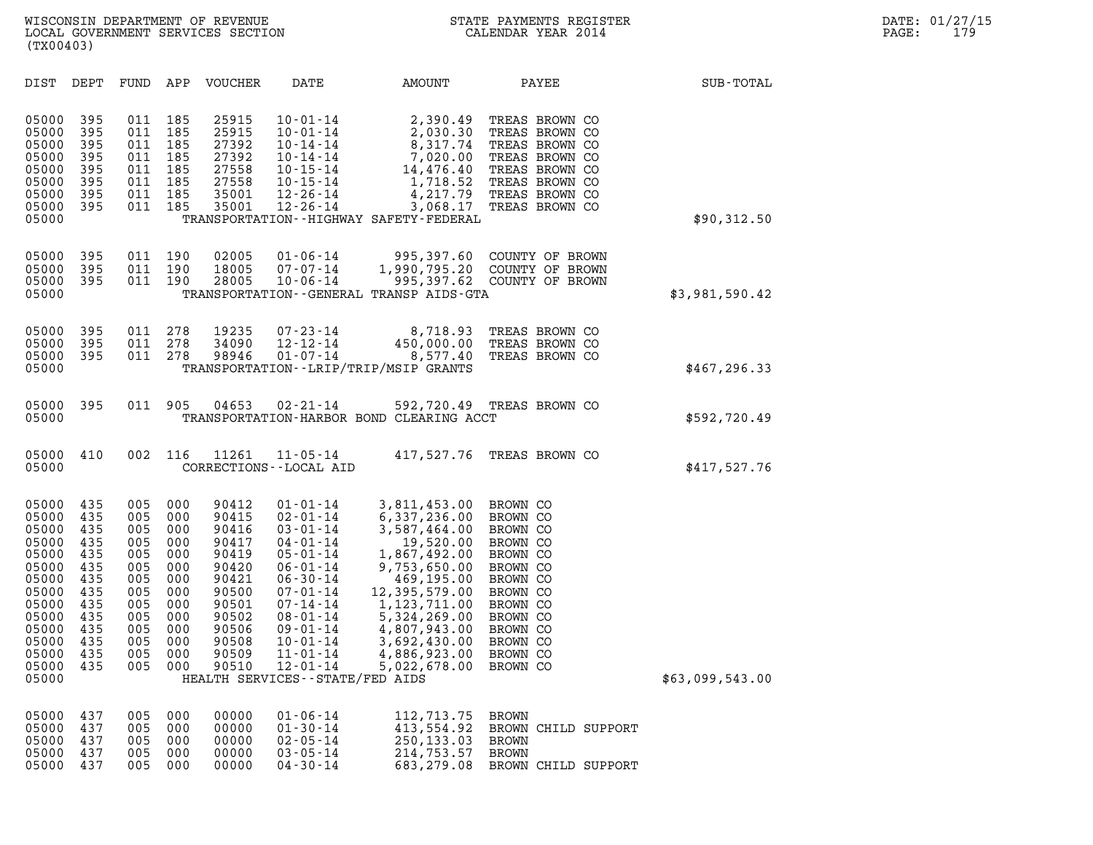|                                                                                                                                     | (TX00403)                                                                                      |                                                                                                |                                                                                                |                                                                                                                            |                                                                                                                                                                                                                                                                                 |                                                                                                                                                                                                                                   |                                                                                                                                                          |                 |  |  |
|-------------------------------------------------------------------------------------------------------------------------------------|------------------------------------------------------------------------------------------------|------------------------------------------------------------------------------------------------|------------------------------------------------------------------------------------------------|----------------------------------------------------------------------------------------------------------------------------|---------------------------------------------------------------------------------------------------------------------------------------------------------------------------------------------------------------------------------------------------------------------------------|-----------------------------------------------------------------------------------------------------------------------------------------------------------------------------------------------------------------------------------|----------------------------------------------------------------------------------------------------------------------------------------------------------|-----------------|--|--|
| DIST                                                                                                                                | DEPT                                                                                           | FUND                                                                                           | APP                                                                                            | VOUCHER                                                                                                                    | DATE                                                                                                                                                                                                                                                                            | AMOUNT                                                                                                                                                                                                                            | PAYEE                                                                                                                                                    | SUB-TOTAL       |  |  |
| 05000<br>05000<br>05000<br>05000<br>05000<br>05000<br>05000<br>05000<br>05000                                                       | 395<br>395<br>395<br>395<br>395<br>395<br>395<br>395                                           | 011<br>011<br>011<br>011<br>011<br>011<br>011<br>011                                           | 185<br>185<br>185<br>185<br>185<br>185<br>185<br>185                                           | 25915<br>25915<br>27392<br>27392<br>27558<br>27558<br>35001<br>35001                                                       | $10 - 01 - 14$<br>$10 - 01 - 14$<br>$10 - 14 - 14$<br>$10 - 14 - 14$<br>$10 - 15 - 14$<br>$10 - 15 - 14$<br>$12 - 26 - 14$<br>$12 - 26 - 14$                                                                                                                                    | 2,390.49<br>2,030.30<br>8,317.74<br>7,020.00<br>14,476.40<br>1,718.52<br>4,217.79<br>3,068.17<br>TRANSPORTATION - - HIGHWAY SAFETY - FEDERAL                                                                                      | TREAS BROWN CO<br>TREAS BROWN CO<br>TREAS BROWN CO<br>TREAS BROWN CO<br>TREAS BROWN CO<br>TREAS BROWN CO<br>TREAS BROWN CO<br>TREAS BROWN CO             | \$90,312.50     |  |  |
| 05000<br>05000<br>05000<br>05000                                                                                                    | 395<br>395<br>395                                                                              | 011<br>011<br>011                                                                              | 190<br>190<br>190                                                                              | 02005<br>18005<br>28005                                                                                                    | $01 - 06 - 14$<br>$07 - 07 - 14$<br>$10 - 06 - 14$                                                                                                                                                                                                                              | 995,397.60<br>1,990,795.20<br>995,397.62<br>TRANSPORTATION - - GENERAL TRANSP AIDS - GTA                                                                                                                                          | COUNTY OF BROWN<br>COUNTY OF BROWN<br>COUNTY OF BROWN                                                                                                    | \$3,981,590.42  |  |  |
| 05000<br>05000<br>05000<br>05000                                                                                                    | 395<br>395<br>395                                                                              | 011<br>011<br>011                                                                              | 278<br>278<br>278                                                                              | 19235<br>34090<br>98946                                                                                                    | $07 - 23 - 14$<br>$12 - 12 - 14$<br>$01 - 07 - 14$                                                                                                                                                                                                                              | 8,718.93<br>450,000.00<br>8,577.40<br>TRANSPORTATION--LRIP/TRIP/MSIP GRANTS                                                                                                                                                       | TREAS BROWN CO<br>TREAS BROWN CO<br>TREAS BROWN CO                                                                                                       | \$467, 296.33   |  |  |
| 05000<br>05000                                                                                                                      | 395                                                                                            | 011                                                                                            | 905                                                                                            | 04653                                                                                                                      | $02 - 21 - 14$                                                                                                                                                                                                                                                                  | TRANSPORTATION-HARBOR BOND CLEARING ACCT                                                                                                                                                                                          | 592,720.49 TREAS BROWN CO                                                                                                                                | \$592,720.49    |  |  |
| 05000<br>05000                                                                                                                      | 410                                                                                            | 002                                                                                            | 116                                                                                            | 11261                                                                                                                      | $11 - 05 - 14$<br>CORRECTIONS - - LOCAL AID                                                                                                                                                                                                                                     | 417,527.76                                                                                                                                                                                                                        | TREAS BROWN CO                                                                                                                                           | \$417,527.76    |  |  |
| 05000<br>05000<br>05000<br>05000<br>05000<br>05000<br>05000<br>05000<br>05000<br>05000<br>05000<br>05000<br>05000<br>05000<br>05000 | 435<br>435<br>435<br>435<br>435<br>435<br>435<br>435<br>435<br>435<br>435<br>435<br>435<br>435 | 005<br>005<br>005<br>005<br>005<br>005<br>005<br>005<br>005<br>005<br>005<br>005<br>005<br>005 | 000<br>000<br>000<br>000<br>000<br>000<br>000<br>000<br>000<br>000<br>000<br>000<br>000<br>000 | 90412<br>90415<br>90416<br>90417<br>90419<br>90420<br>90421<br>90500<br>90501<br>90502<br>90506<br>90508<br>90509<br>90510 | 01-01-14<br>$02 - 01 - 14$<br>$03 - 01 - 14$<br>$04 - 01 - 14$<br>$05 - 01 - 14$<br>$06 - 01 - 14$<br>$06 - 30 - 14$<br>$07 - 01 - 14$<br>$07 - 14 - 14$<br>$08 - 01 - 14$<br>$09 - 01 - 14$<br>$10 - 01 - 14$<br>$11 - 01 - 14$<br>12-01-14<br>HEALTH SERVICES--STATE/FED AIDS | 3,811,453.00<br>6,337,236.00<br>3,587,464.00<br>19,520.00<br>1,867,492.00<br>9,753,650.00<br>469,195.00<br>12,395,579.00<br>1,123,711.00<br>5,324,269.00<br>4,807,943.00<br>3,692,430.00<br>4,886,923.00<br>5,022,678.00 BROWN CO | BROWN CO<br>BROWN CO<br>BROWN CO<br>BROWN CO<br>BROWN CO<br>BROWN CO<br>BROWN CO<br>BROWN CO<br>BROWN CO<br>BROWN CO<br>BROWN CO<br>BROWN CO<br>BROWN CO | \$63,099,543.00 |  |  |
| 05000<br>05000<br>05000<br>05000<br>05000                                                                                           | 437<br>437<br>437<br>437<br>437                                                                | 005<br>005<br>005<br>005<br>005                                                                | 000<br>000<br>000<br>000<br>000                                                                | 00000<br>00000<br>00000<br>00000<br>00000                                                                                  | $01 - 06 - 14$<br>$01 - 30 - 14$<br>$02 - 05 - 14$<br>$03 - 05 - 14$<br>$04 - 30 - 14$                                                                                                                                                                                          | 112,713.75<br>413,554.92<br>250,133.03<br>214,753.57<br>683,279.08                                                                                                                                                                | <b>BROWN</b><br>BROWN CHILD SUPPORT<br><b>BROWN</b><br><b>BROWN</b><br>BROWN CHILD SUPPORT                                                               |                 |  |  |
|                                                                                                                                     |                                                                                                |                                                                                                |                                                                                                |                                                                                                                            |                                                                                                                                                                                                                                                                                 |                                                                                                                                                                                                                                   |                                                                                                                                                          |                 |  |  |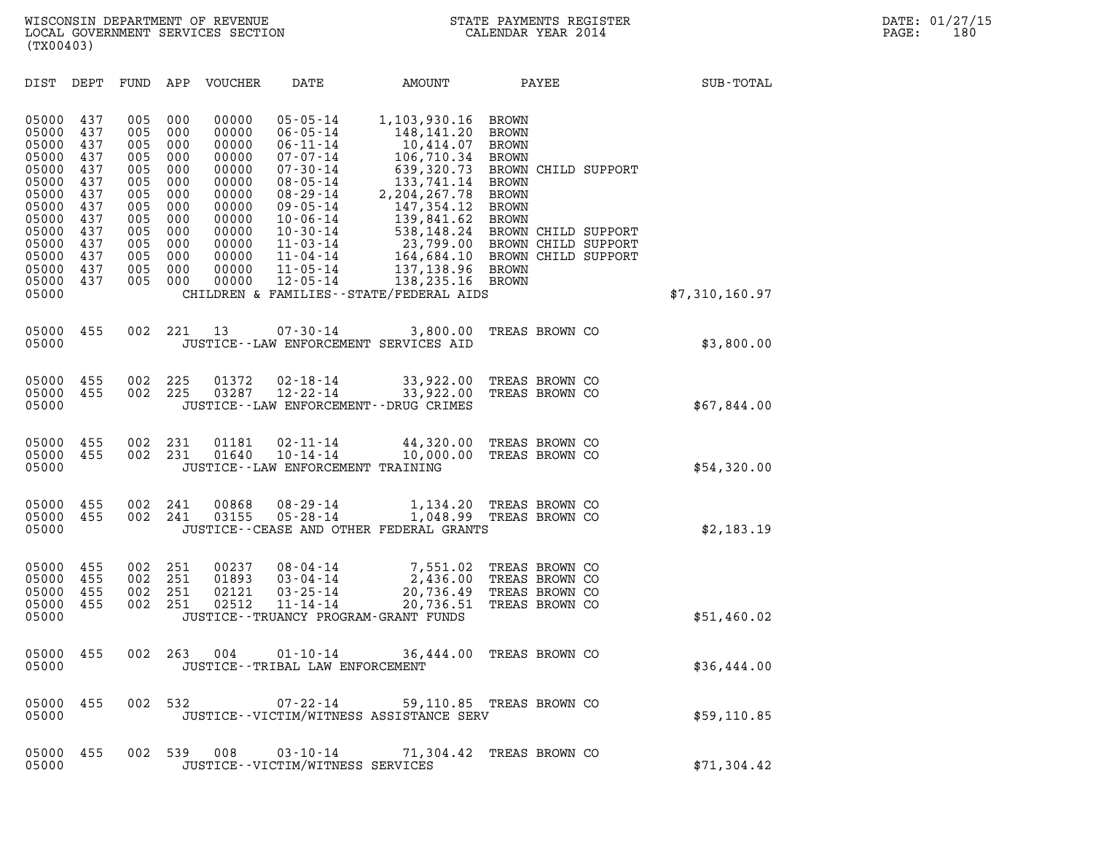| (TX00403)                                                                                                                           |                                                                                                |                                                                                                |                                                                                                |                                                                                                                            |                                                                                                                                                                                                                                                          |                                                                                                                                                                                                                                   |                                                                                                                                                                                                                                                              |                  |  |
|-------------------------------------------------------------------------------------------------------------------------------------|------------------------------------------------------------------------------------------------|------------------------------------------------------------------------------------------------|------------------------------------------------------------------------------------------------|----------------------------------------------------------------------------------------------------------------------------|----------------------------------------------------------------------------------------------------------------------------------------------------------------------------------------------------------------------------------------------------------|-----------------------------------------------------------------------------------------------------------------------------------------------------------------------------------------------------------------------------------|--------------------------------------------------------------------------------------------------------------------------------------------------------------------------------------------------------------------------------------------------------------|------------------|--|
| DIST                                                                                                                                | DEPT                                                                                           | FUND                                                                                           | APP                                                                                            | <b>VOUCHER</b>                                                                                                             | DATE                                                                                                                                                                                                                                                     | AMOUNT                                                                                                                                                                                                                            | PAYEE                                                                                                                                                                                                                                                        | <b>SUB-TOTAL</b> |  |
| 05000<br>05000<br>05000<br>05000<br>05000<br>05000<br>05000<br>05000<br>05000<br>05000<br>05000<br>05000<br>05000<br>05000<br>05000 | 437<br>437<br>437<br>437<br>437<br>437<br>437<br>437<br>437<br>437<br>437<br>437<br>437<br>437 | 005<br>005<br>005<br>005<br>005<br>005<br>005<br>005<br>005<br>005<br>005<br>005<br>005<br>005 | 000<br>000<br>000<br>000<br>000<br>000<br>000<br>000<br>000<br>000<br>000<br>000<br>000<br>000 | 00000<br>00000<br>00000<br>00000<br>00000<br>00000<br>00000<br>00000<br>00000<br>00000<br>00000<br>00000<br>00000<br>00000 | $05 - 05 - 14$<br>$06 - 05 - 14$<br>$06 - 11 - 14$<br>$07 - 07 - 14$<br>$07 - 30 - 14$<br>$08 - 05 - 14$<br>$08 - 29 - 14$<br>$09 - 05 - 14$<br>$10 - 06 - 14$<br>$10 - 30 - 14$<br>$11 - 03 - 14$<br>$11 - 04 - 14$<br>$11 - 05 - 14$<br>$12 - 05 - 14$ | 1,103,930.16<br>148,141.20<br>10,414.07<br>106,710.34<br>639,320.73<br>133,741.14<br>2, 204, 267.78<br>147,354.12<br>139,841.62<br>538,148.24<br>23,799.00<br>137,138.96<br>138,235.16<br>CHILDREN & FAMILIES--STATE/FEDERAL AIDS | BROWN<br><b>BROWN</b><br><b>BROWN</b><br><b>BROWN</b><br>BROWN CHILD SUPPORT<br><b>BROWN</b><br><b>BROWN</b><br><b>BROWN</b><br><b>BROWN</b><br>BROWN CHILD SUPPORT<br>BROWN CHILD SUPPORT<br>164,684.10 BROWN CHILD SUPPORT<br><b>BROWN</b><br><b>BROWN</b> | \$7,310,160.97   |  |
|                                                                                                                                     |                                                                                                |                                                                                                |                                                                                                |                                                                                                                            |                                                                                                                                                                                                                                                          |                                                                                                                                                                                                                                   |                                                                                                                                                                                                                                                              |                  |  |
| 05000<br>05000                                                                                                                      | 455                                                                                            | 002                                                                                            | 221                                                                                            | 13                                                                                                                         | $07 - 30 - 14$                                                                                                                                                                                                                                           | 3,800.00<br>JUSTICE--LAW ENFORCEMENT SERVICES AID                                                                                                                                                                                 | TREAS BROWN CO                                                                                                                                                                                                                                               | \$3,800.00       |  |
| 05000<br>05000<br>05000                                                                                                             | 455<br>455                                                                                     | 002<br>002                                                                                     | 225<br>225                                                                                     | 01372<br>03287                                                                                                             | $02 - 18 - 14$<br>$12 - 22 - 14$                                                                                                                                                                                                                         | 33,922.00<br>33,922.00<br>JUSTICE - - LAW ENFORCEMENT - - DRUG CRIMES                                                                                                                                                             | TREAS BROWN CO<br>TREAS BROWN CO                                                                                                                                                                                                                             | \$67,844.00      |  |
| 05000<br>05000<br>05000                                                                                                             | 455<br>455                                                                                     | 002<br>002                                                                                     | 231<br>231                                                                                     | 01181<br>01640                                                                                                             | $02 - 11 - 14$<br>$10 - 14 - 14$<br>JUSTICE--LAW ENFORCEMENT TRAINING                                                                                                                                                                                    | 44,320.00<br>10,000.00                                                                                                                                                                                                            | TREAS BROWN CO<br>TREAS BROWN CO                                                                                                                                                                                                                             | \$54,320.00      |  |
| 05000<br>05000<br>05000                                                                                                             | 455<br>455                                                                                     | 002<br>002                                                                                     | 241<br>241                                                                                     | 00868<br>03155                                                                                                             | $08 - 29 - 14$<br>$05 - 28 - 14$                                                                                                                                                                                                                         | 1,134.20<br>1,048.99<br>JUSTICE--CEASE AND OTHER FEDERAL GRANTS                                                                                                                                                                   | TREAS BROWN CO<br>TREAS BROWN CO                                                                                                                                                                                                                             | \$2,183.19       |  |
| 05000<br>05000<br>05000<br>05000<br>05000                                                                                           | 455<br>455<br>455<br>455                                                                       | 002<br>002<br>002<br>002                                                                       | 251<br>251<br>251<br>251                                                                       | 00237<br>01893<br>02121<br>02512                                                                                           | $08 - 04 - 14$<br>$03 - 04 - 14$<br>$03 - 25 - 14$<br>$11 - 14 - 14$<br>JUSTICE - - TRUANCY PROGRAM - GRANT FUNDS                                                                                                                                        | 7,551.02<br>2,436.00<br>20,736.49<br>20,736.51                                                                                                                                                                                    | TREAS BROWN CO<br>TREAS BROWN CO<br>TREAS BROWN CO<br>TREAS BROWN CO                                                                                                                                                                                         | \$51,460.02      |  |
| 05000<br>05000                                                                                                                      | 455                                                                                            | 002                                                                                            | 263                                                                                            | 004                                                                                                                        | $01 - 10 - 14$<br>JUSTICE - - TRIBAL LAW ENFORCEMENT                                                                                                                                                                                                     | 36,444.00                                                                                                                                                                                                                         | TREAS BROWN CO                                                                                                                                                                                                                                               | \$36,444.00      |  |
| 05000<br>05000                                                                                                                      | 455                                                                                            |                                                                                                | 002 532                                                                                        |                                                                                                                            |                                                                                                                                                                                                                                                          | 07-22-14 59,110.85 TREAS BROWN CO<br>JUSTICE -- VICTIM/WITNESS ASSISTANCE SERV                                                                                                                                                    |                                                                                                                                                                                                                                                              | \$59,110.85      |  |
| 05000<br>05000                                                                                                                      | 455                                                                                            | 002                                                                                            |                                                                                                | 539 008                                                                                                                    | $03 - 10 - 14$<br>JUSTICE - - VICTIM/WITNESS SERVICES                                                                                                                                                                                                    |                                                                                                                                                                                                                                   | 71,304.42 TREAS BROWN CO                                                                                                                                                                                                                                     | \$71,304.42      |  |
|                                                                                                                                     |                                                                                                |                                                                                                |                                                                                                |                                                                                                                            |                                                                                                                                                                                                                                                          |                                                                                                                                                                                                                                   |                                                                                                                                                                                                                                                              |                  |  |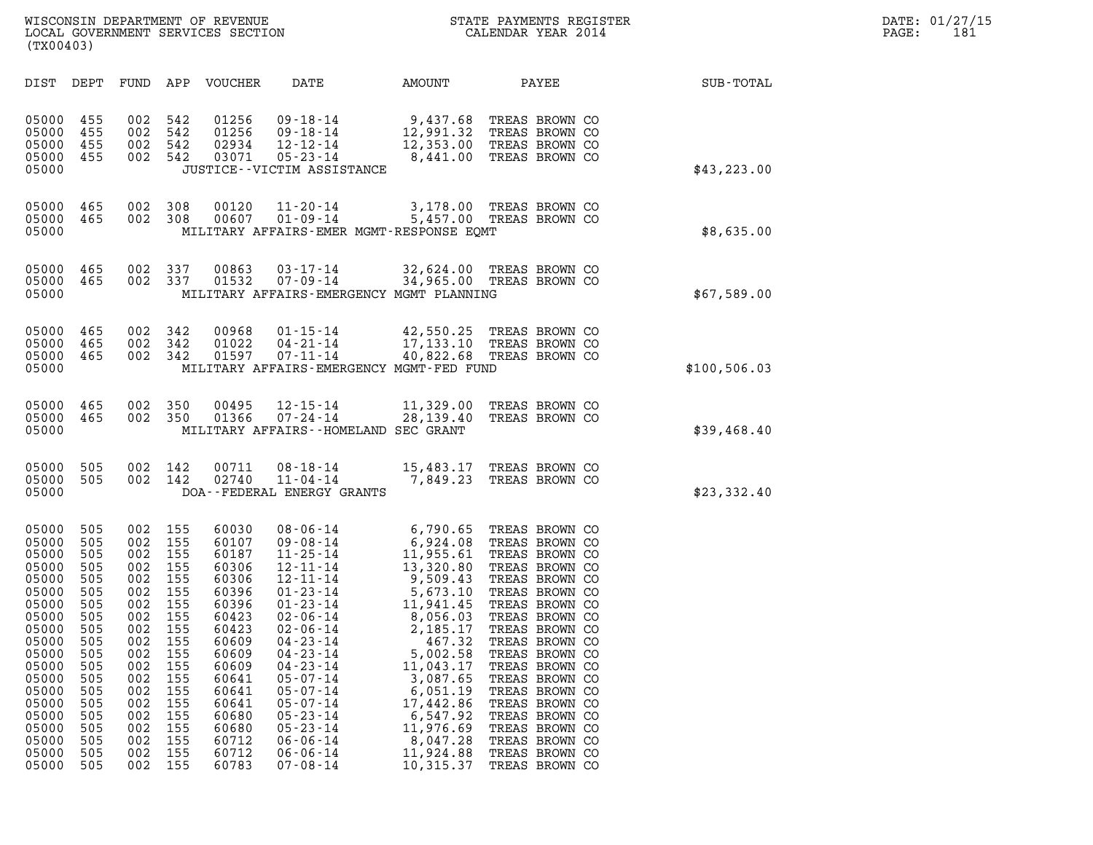| (TX00403)                                                                                                                                                                        |                                                                                                                                          |                                                                                                                                          |                                                                                                                                          |                                                                                                                                                                                  |                                                                                                                                                                                                                                                                                                                                                                      |                                                                                                                                                                                                                                                    |                                                                                                                                                                                                                                                                                                                                                                      |              |
|----------------------------------------------------------------------------------------------------------------------------------------------------------------------------------|------------------------------------------------------------------------------------------------------------------------------------------|------------------------------------------------------------------------------------------------------------------------------------------|------------------------------------------------------------------------------------------------------------------------------------------|----------------------------------------------------------------------------------------------------------------------------------------------------------------------------------|----------------------------------------------------------------------------------------------------------------------------------------------------------------------------------------------------------------------------------------------------------------------------------------------------------------------------------------------------------------------|----------------------------------------------------------------------------------------------------------------------------------------------------------------------------------------------------------------------------------------------------|----------------------------------------------------------------------------------------------------------------------------------------------------------------------------------------------------------------------------------------------------------------------------------------------------------------------------------------------------------------------|--------------|
| DIST                                                                                                                                                                             | DEPT                                                                                                                                     | FUND                                                                                                                                     | APP                                                                                                                                      | VOUCHER                                                                                                                                                                          | DATE                                                                                                                                                                                                                                                                                                                                                                 | AMOUNT                                                                                                                                                                                                                                             | PAYEE                                                                                                                                                                                                                                                                                                                                                                | SUB-TOTAL    |
| 05000<br>05000<br>05000<br>05000<br>05000                                                                                                                                        | 455<br>455<br>455<br>455                                                                                                                 | 002<br>002<br>002<br>002                                                                                                                 | 542<br>542<br>542<br>542                                                                                                                 | 01256<br>01256<br>02934<br>03071                                                                                                                                                 | $09 - 18 - 14$<br>$09 - 18 - 14$<br>$12 - 12 - 14$<br>$05 - 23 - 14$<br>JUSTICE - - VICTIM ASSISTANCE                                                                                                                                                                                                                                                                | 9,437.68<br>12,991.32<br>8,441.00                                                                                                                                                                                                                  | TREAS BROWN CO<br>TREAS BROWN CO<br>12,353.00 TREAS BROWN CO<br>TREAS BROWN CO                                                                                                                                                                                                                                                                                       | \$43,223.00  |
| 05000<br>05000<br>05000                                                                                                                                                          | 465<br>465                                                                                                                               | 002<br>002                                                                                                                               | 308<br>308                                                                                                                               | 00120<br>00607                                                                                                                                                                   | $11 - 20 - 14$<br>$01 - 09 - 14$<br>MILITARY AFFAIRS-EMER MGMT-RESPONSE EQMT                                                                                                                                                                                                                                                                                         |                                                                                                                                                                                                                                                    | 3,178.00 TREAS BROWN CO<br>5,457.00 TREAS BROWN CO                                                                                                                                                                                                                                                                                                                   | \$8,635.00   |
| 05000<br>05000<br>05000                                                                                                                                                          | 465<br>465                                                                                                                               | 002<br>002                                                                                                                               | 337<br>337                                                                                                                               | 00863<br>01532                                                                                                                                                                   | $03 - 17 - 14$<br>$07 - 09 - 14$<br>MILITARY AFFAIRS-EMERGENCY MGMT PLANNING                                                                                                                                                                                                                                                                                         | 32,624.00                                                                                                                                                                                                                                          | TREAS BROWN CO<br>34,965.00 TREAS BROWN CO                                                                                                                                                                                                                                                                                                                           | \$67,589.00  |
| 05000<br>05000<br>05000<br>05000                                                                                                                                                 | 465<br>465<br>465                                                                                                                        | 002<br>002<br>002                                                                                                                        | 342<br>342<br>342                                                                                                                        | 00968<br>01022<br>01597                                                                                                                                                          | $01 - 15 - 14$<br>$04 - 21 - 14$<br>$07 - 11 - 14$<br>MILITARY AFFAIRS-EMERGENCY MGMT-FED FUND                                                                                                                                                                                                                                                                       |                                                                                                                                                                                                                                                    | 42,550.25 TREAS BROWN CO<br>17,133.10 TREAS BROWN CO<br>40,822.68 TREAS BROWN CO                                                                                                                                                                                                                                                                                     | \$100,506.03 |
| 05000<br>05000<br>05000                                                                                                                                                          | 465<br>465                                                                                                                               | 002<br>002                                                                                                                               | 350<br>350                                                                                                                               | 00495<br>01366                                                                                                                                                                   | $12 - 15 - 14$<br>$07 - 24 - 14$<br>MILITARY AFFAIRS--HOMELAND SEC GRANT                                                                                                                                                                                                                                                                                             | 11,329.00<br>28,139.40                                                                                                                                                                                                                             | TREAS BROWN CO<br>TREAS BROWN CO                                                                                                                                                                                                                                                                                                                                     | \$39,468.40  |
| 05000<br>05000<br>05000                                                                                                                                                          | 505<br>505                                                                                                                               | 002<br>002                                                                                                                               | 142<br>142                                                                                                                               | 00711<br>02740                                                                                                                                                                   | $08 - 18 - 14$<br>$11 - 04 - 14$<br>DOA--FEDERAL ENERGY GRANTS                                                                                                                                                                                                                                                                                                       | 15,483.17<br>7,849.23                                                                                                                                                                                                                              | TREAS BROWN CO<br>TREAS BROWN CO                                                                                                                                                                                                                                                                                                                                     | \$23,332.40  |
| 05000<br>05000<br>05000<br>05000<br>05000<br>05000<br>05000<br>05000<br>05000<br>05000<br>05000<br>05000<br>05000<br>05000<br>05000<br>05000<br>05000<br>05000<br>05000<br>05000 | 505<br>505<br>505<br>505<br>505<br>505<br>505<br>505<br>505<br>505<br>505<br>505<br>505<br>505<br>505<br>505<br>505<br>505<br>505<br>505 | 002<br>002<br>002<br>002<br>002<br>002<br>002<br>002<br>002<br>002<br>002<br>002<br>002<br>002<br>002<br>002<br>002<br>002<br>002<br>002 | 155<br>155<br>155<br>155<br>155<br>155<br>155<br>155<br>155<br>155<br>155<br>155<br>155<br>155<br>155<br>155<br>155<br>155<br>155<br>155 | 60030<br>60107<br>60187<br>60306<br>60306<br>60396<br>60396<br>60423<br>60423<br>60609<br>60609<br>60609<br>60641<br>60641<br>60641<br>60680<br>60680<br>60712<br>60712<br>60783 | $08 - 06 - 14$<br>$09 - 08 - 14$<br>$11 - 25 - 14$<br>$12 - 11 - 14$<br>$12 - 11 - 14$<br>$01 - 23 - 14$<br>$01 - 23 - 14$<br>$02 - 06 - 14$<br>$02 - 06 - 14$<br>$04 - 23 - 14$<br>$04 - 23 - 14$<br>$04 - 23 - 14$<br>$05 - 07 - 14$<br>$05 - 07 - 14$<br>$05 - 07 - 14$<br>$05 - 23 - 14$<br>$05 - 23 - 14$<br>$06 - 06 - 14$<br>$06 - 06 - 14$<br>$07 - 08 - 14$ | 6,790.65<br>6,924.08<br>11,955.61<br>13,320.80<br>9,509.43<br>5,673.10<br>11,941.45<br>8,056.03<br>2,185.17<br>467.32<br>5,002.58<br>11,043.17<br>3,087.65<br>6,051.19<br>17,442.86<br>6,547.92<br>11,976.69<br>8,047.28<br>11,924.88<br>10,315.37 | TREAS BROWN CO<br>TREAS BROWN CO<br>TREAS BROWN CO<br>TREAS BROWN CO<br>TREAS BROWN CO<br>TREAS BROWN CO<br>TREAS BROWN CO<br>TREAS BROWN CO<br>TREAS BROWN CO<br>TREAS BROWN CO<br>TREAS BROWN CO<br>TREAS BROWN CO<br>TREAS BROWN CO<br>TREAS BROWN CO<br>TREAS BROWN CO<br>TREAS BROWN CO<br>TREAS BROWN CO<br>TREAS BROWN CO<br>TREAS BROWN CO<br>TREAS BROWN CO |              |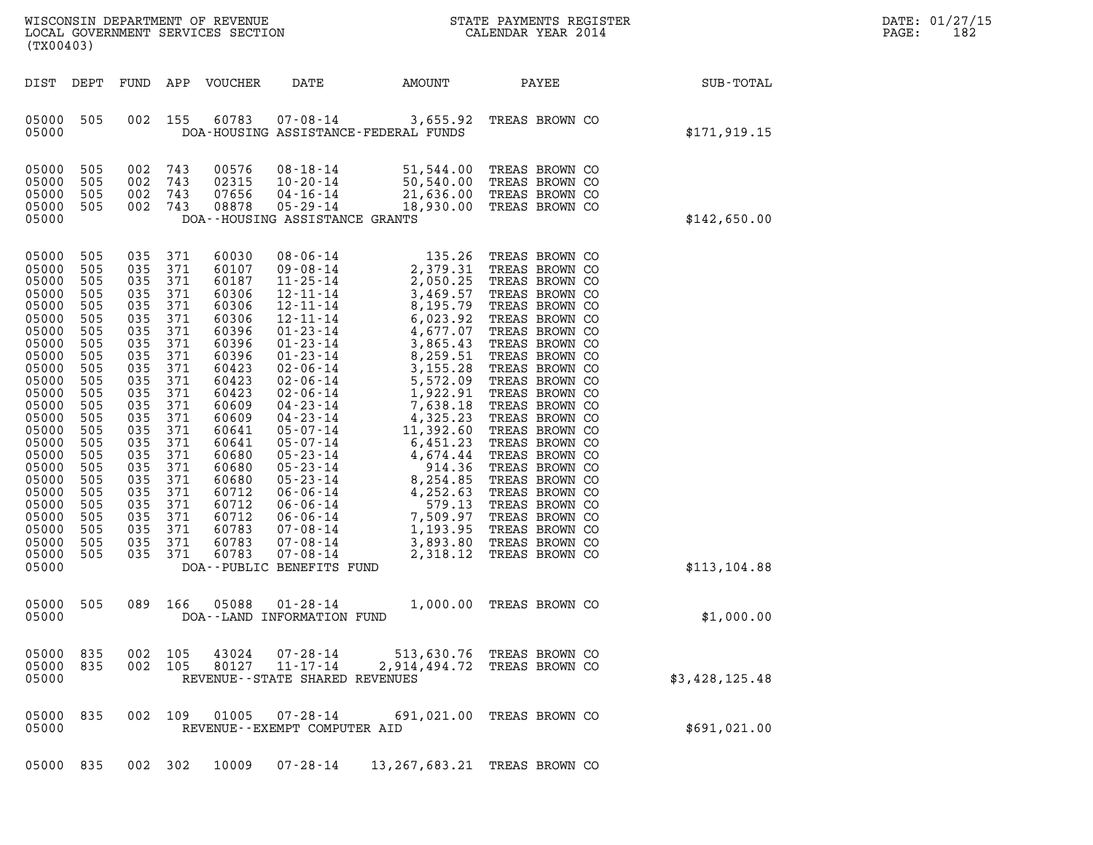| (TX00403)                                                                                                                                                                                                                              |                                                                                                                                                                             |                                                                                                                                                                                 |                                                                                                                                                                      | LOCAL GOVERNMENT SERVICES SECTION                                                                                                                                                                                             |                                                                                                                                                                                                                                                                                                                                                                                                                                                                                             |                                                                                                                                                                                                                                                                                                     |                                                                                                                                                                                                                                                                                                                                                                                                                                                                |                | DATE: 01/27/15<br>PAGE:<br>182 |
|----------------------------------------------------------------------------------------------------------------------------------------------------------------------------------------------------------------------------------------|-----------------------------------------------------------------------------------------------------------------------------------------------------------------------------|---------------------------------------------------------------------------------------------------------------------------------------------------------------------------------|----------------------------------------------------------------------------------------------------------------------------------------------------------------------|-------------------------------------------------------------------------------------------------------------------------------------------------------------------------------------------------------------------------------|---------------------------------------------------------------------------------------------------------------------------------------------------------------------------------------------------------------------------------------------------------------------------------------------------------------------------------------------------------------------------------------------------------------------------------------------------------------------------------------------|-----------------------------------------------------------------------------------------------------------------------------------------------------------------------------------------------------------------------------------------------------------------------------------------------------|----------------------------------------------------------------------------------------------------------------------------------------------------------------------------------------------------------------------------------------------------------------------------------------------------------------------------------------------------------------------------------------------------------------------------------------------------------------|----------------|--------------------------------|
| DIST DEPT                                                                                                                                                                                                                              |                                                                                                                                                                             | FUND                                                                                                                                                                            |                                                                                                                                                                      | APP VOUCHER                                                                                                                                                                                                                   | DATE                                                                                                                                                                                                                                                                                                                                                                                                                                                                                        | AMOUNT                                                                                                                                                                                                                                                                                              | PAYEE                                                                                                                                                                                                                                                                                                                                                                                                                                                          | SUB-TOTAL      |                                |
| 05000<br>05000                                                                                                                                                                                                                         | 505                                                                                                                                                                         | 002                                                                                                                                                                             | 155                                                                                                                                                                  | 60783                                                                                                                                                                                                                         | $07 - 08 - 14$                                                                                                                                                                                                                                                                                                                                                                                                                                                                              | 3,655.92<br>DOA-HOUSING ASSISTANCE-FEDERAL FUNDS                                                                                                                                                                                                                                                    | TREAS BROWN CO                                                                                                                                                                                                                                                                                                                                                                                                                                                 | \$171,919.15   |                                |
| 05000<br>05000<br>05000<br>05000<br>05000                                                                                                                                                                                              | 505<br>505<br>505<br>505                                                                                                                                                    | 002<br>002<br>002<br>002 743                                                                                                                                                    | 743<br>743<br>743                                                                                                                                                    | 00576<br>02315<br>07656<br>08878                                                                                                                                                                                              | $08 - 18 - 14$<br>$10 - 20 - 14$<br>$04 - 16 - 14$<br>$05 - 29 - 14$<br>DOA--HOUSING ASSISTANCE GRANTS                                                                                                                                                                                                                                                                                                                                                                                      | 51,544.00<br>50,540.00<br>18,930.00                                                                                                                                                                                                                                                                 | TREAS BROWN CO<br>TREAS BROWN CO<br>21,636.00 TREAS BROWN CO<br>TREAS BROWN CO                                                                                                                                                                                                                                                                                                                                                                                 | \$142,650.00   |                                |
| 05000<br>05000<br>05000<br>05000<br>05000<br>05000<br>05000<br>05000<br>05000<br>05000<br>05000<br>05000<br>05000<br>05000<br>05000<br>05000<br>05000<br>05000<br>05000<br>05000<br>05000<br>05000<br>05000<br>05000<br>05000<br>05000 | 505<br>505<br>505<br>505<br>505<br>505<br>505<br>505<br>505<br>505<br>505<br>505<br>505<br>505<br>505<br>505<br>505<br>505<br>505<br>505<br>505<br>505<br>505<br>505<br>505 | 035<br>035<br>035<br>035<br>035<br>035<br>035<br>035<br>035<br>035<br>035<br>035<br>035<br>035<br>035<br>035<br>035<br>035<br>035<br>035<br>035<br>035<br>035<br>035<br>035 371 | 371<br>371<br>371<br>371<br>371<br>371<br>371<br>371<br>371<br>371<br>371<br>371<br>371<br>371<br>371<br>371<br>371<br>371<br>371<br>371<br>371<br>371<br>371<br>371 | 60030<br>60107<br>60187<br>60306<br>60306<br>60306<br>60396<br>60396<br>60396<br>60423<br>60423<br>60423<br>60609<br>60609<br>60641<br>60641<br>60680<br>60680<br>60680<br>60712<br>60712<br>60712<br>60783<br>60783<br>60783 | $08 - 06 - 14$<br>$09 - 08 - 14$<br>$11 - 25 - 14$<br>$12 - 11 - 14$<br>$12 - 11 - 14$<br>$12 - 11 - 14$<br>$01 - 23 - 14$<br>$01 - 23 - 14$<br>$01 - 23 - 14$<br>$02 - 06 - 14$<br>$02 - 06 - 14$<br>$02 - 06 - 14$<br>$04 - 23 - 14$<br>$04 - 23 - 14$<br>$05 - 07 - 14$<br>$05 - 07 - 14$<br>$05 - 23 - 14$<br>$05 - 23 - 14$<br>$05 - 23 - 14$<br>$06 - 06 - 14$<br>$06 - 06 - 14$<br>$06 - 06 - 14$<br>$07 - 08 - 14$<br>$07 - 08 - 14$<br>$07 - 08 - 14$<br>DOA--PUBLIC BENEFITS FUND | 135.26<br>2,379.31<br>2,050.25<br>3,469.57<br>8,195.79<br>6,023.92<br>4,677.07<br>3,865.43<br>8,259.51<br>3,155.28<br>5,572.09<br>1,922.91<br>7,638.18<br>4,325.23<br>11,392.60<br>6,451.23<br>4,674.44<br>914.36<br>8,254.85<br>4,252.63<br>579.13<br>7,509.97<br>1,193.95<br>3,893.80<br>2,318.12 | TREAS BROWN CO<br>TREAS BROWN CO<br>TREAS BROWN CO<br>TREAS BROWN CO<br>TREAS BROWN CO<br>TREAS BROWN CO<br>TREAS BROWN CO<br>TREAS BROWN CO<br>TREAS BROWN CO<br>TREAS BROWN CO<br>TREAS BROWN CO<br>TREAS BROWN CO<br>TREAS BROWN CO<br>TREAS BROWN CO<br>TREAS BROWN CO<br>TREAS BROWN CO<br>TREAS BROWN CO<br>TREAS BROWN CO<br>TREAS BROWN CO<br>TREAS BROWN CO<br>TREAS BROWN CO<br>TREAS BROWN CO<br>TREAS BROWN CO<br>TREAS BROWN CO<br>TREAS BROWN CO | \$113, 104.88  |                                |
| 05000<br>05000                                                                                                                                                                                                                         | 505                                                                                                                                                                         | 089                                                                                                                                                                             | 166                                                                                                                                                                  | 05088                                                                                                                                                                                                                         | $01 - 28 - 14$<br>DOA--LAND INFORMATION FUND                                                                                                                                                                                                                                                                                                                                                                                                                                                |                                                                                                                                                                                                                                                                                                     | 1,000.00 TREAS BROWN CO                                                                                                                                                                                                                                                                                                                                                                                                                                        | \$1,000.00     |                                |
| 05000<br>05000<br>05000                                                                                                                                                                                                                | 835<br>835                                                                                                                                                                  | 002 105<br>002 105                                                                                                                                                              |                                                                                                                                                                      | 43024<br>80127                                                                                                                                                                                                                | $07 - 28 - 14$<br>$11 - 17 - 14$<br>REVENUE - - STATE SHARED REVENUES                                                                                                                                                                                                                                                                                                                                                                                                                       |                                                                                                                                                                                                                                                                                                     | 513,630.76 TREAS BROWN CO<br>2,914,494.72 TREAS BROWN CO                                                                                                                                                                                                                                                                                                                                                                                                       | \$3,428,125.48 |                                |
| 05000 835<br>05000                                                                                                                                                                                                                     |                                                                                                                                                                             | 002 109                                                                                                                                                                         |                                                                                                                                                                      | 01005                                                                                                                                                                                                                         | $07 - 28 - 14$<br>REVENUE--EXEMPT COMPUTER AID                                                                                                                                                                                                                                                                                                                                                                                                                                              |                                                                                                                                                                                                                                                                                                     | 691,021.00 TREAS BROWN CO                                                                                                                                                                                                                                                                                                                                                                                                                                      | \$691,021.00   |                                |
| 05000 835                                                                                                                                                                                                                              |                                                                                                                                                                             | 002 302                                                                                                                                                                         |                                                                                                                                                                      | 10009                                                                                                                                                                                                                         | $07 - 28 - 14$                                                                                                                                                                                                                                                                                                                                                                                                                                                                              |                                                                                                                                                                                                                                                                                                     | 13, 267, 683. 21 TREAS BROWN CO                                                                                                                                                                                                                                                                                                                                                                                                                                |                |                                |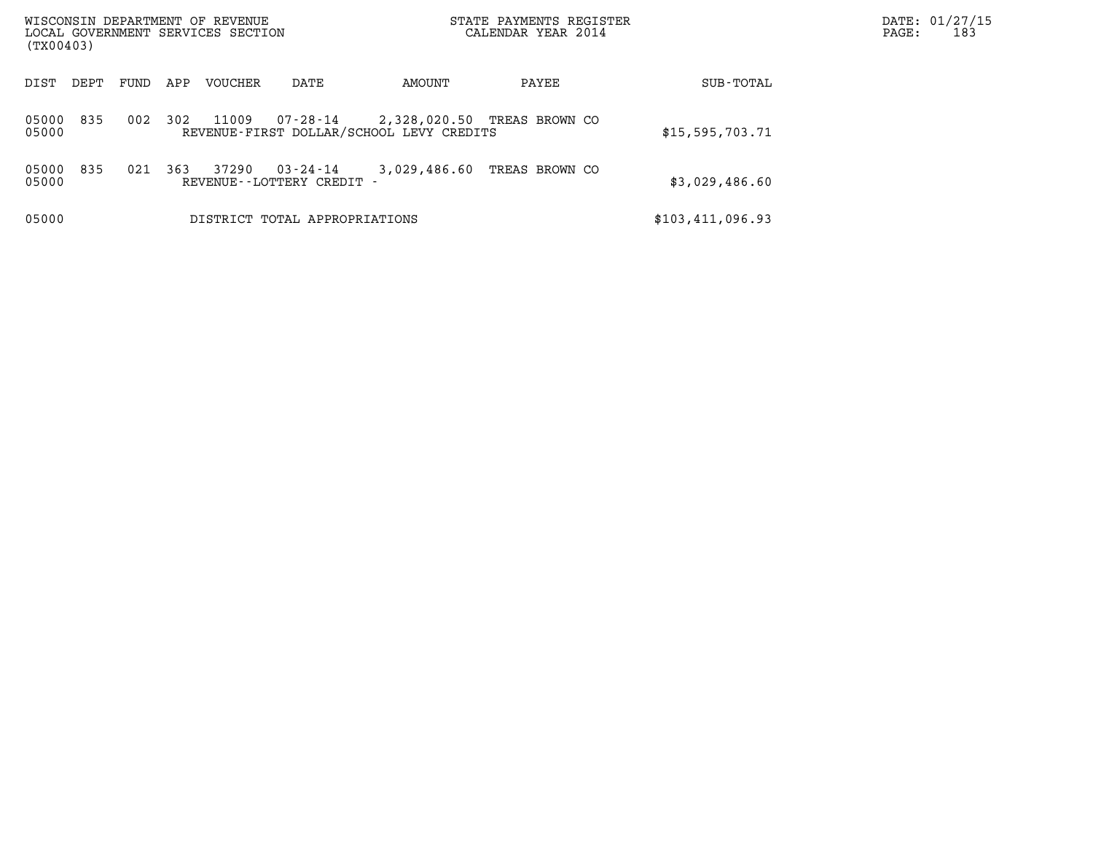| WISCONSIN DEPARTMENT OF REVENUE<br>LOCAL GOVERNMENT SERVICES SECTION<br>(TX00403) |      |     |         |                                           |                                                                         | STATE PAYMENTS REGISTER<br>CALENDAR YEAR 2014 |                  | DATE: 01/27/15<br>PAGE:<br>183 |
|-----------------------------------------------------------------------------------|------|-----|---------|-------------------------------------------|-------------------------------------------------------------------------|-----------------------------------------------|------------------|--------------------------------|
| DIST<br>DEPT                                                                      | FUND | APP | VOUCHER | DATE                                      | AMOUNT                                                                  | PAYEE                                         | SUB-TOTAL        |                                |
| 835<br>05000<br>05000                                                             | 002  | 302 | 11009   | 07-28-14                                  | 2,328,020.50 TREAS BROWN CO<br>REVENUE-FIRST DOLLAR/SCHOOL LEVY CREDITS |                                               | \$15,595,703.71  |                                |
| 835<br>05000<br>05000                                                             | 021  | 363 | 37290   | $03 - 24 - 14$<br>REVENUE--LOTTERY CREDIT | 3,029,486.60                                                            | TREAS BROWN CO                                | \$3,029,486.60   |                                |
| 05000                                                                             |      |     |         | DISTRICT TOTAL APPROPRIATIONS             |                                                                         |                                               | \$103,411,096.93 |                                |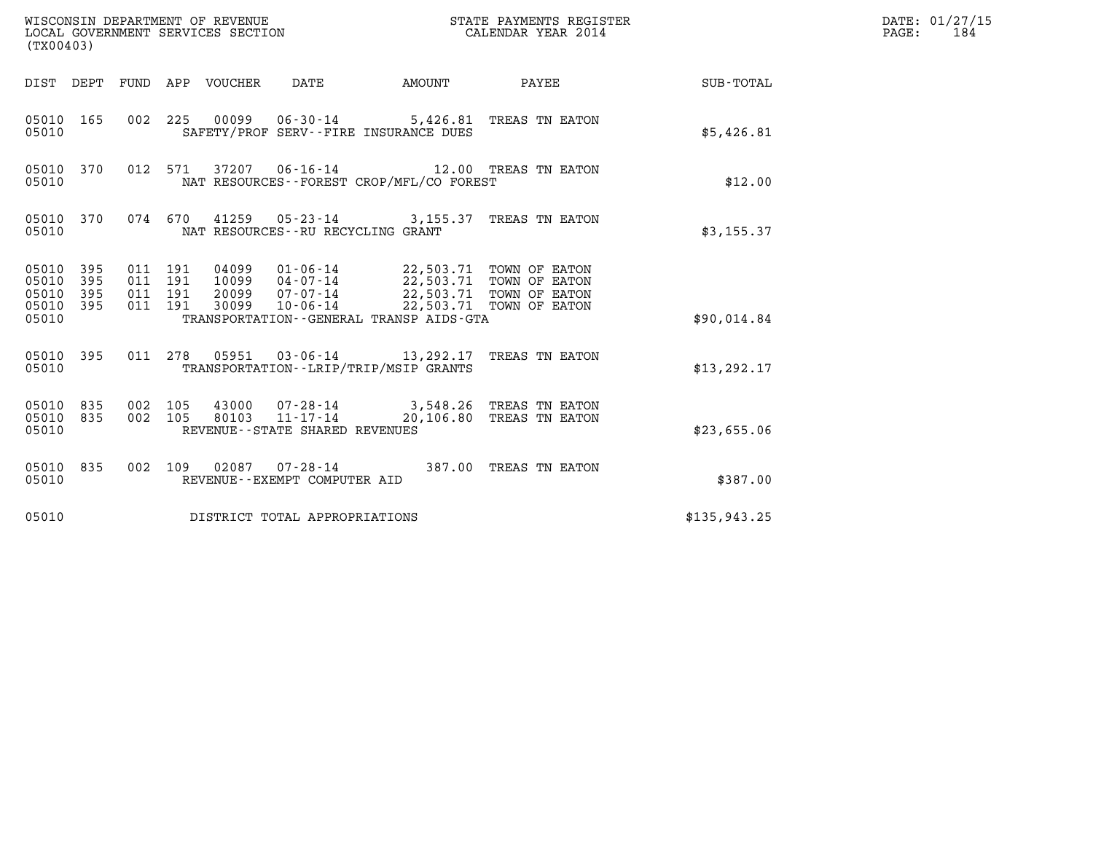| (TX00403)                                                    | WISCONSIN DEPARTMENT OF REVENUE<br>LOCAL GOVERNMENT SERVICES SECTION               |                                                                                                                                                                                                                           | STATE PAYMENTS REGISTER<br>CALENDAR YEAR 2014 |              | DATE: 01/27/15<br>$\mathtt{PAGE}$ :<br>184 |
|--------------------------------------------------------------|------------------------------------------------------------------------------------|---------------------------------------------------------------------------------------------------------------------------------------------------------------------------------------------------------------------------|-----------------------------------------------|--------------|--------------------------------------------|
|                                                              | DIST DEPT FUND APP VOUCHER DATE                                                    | <b>AMOUNT</b>                                                                                                                                                                                                             | PAYEE                                         | SUB-TOTAL    |                                            |
| 05010 165<br>05010                                           |                                                                                    | 002 225 00099 06-30-14 5,426.81 TREAS TN EATON<br>SAFETY/PROF SERV--FIRE INSURANCE DUES                                                                                                                                   |                                               | \$5,426.81   |                                            |
| 05010 370<br>05010                                           |                                                                                    | 012 571 37207 06-16-14 12.00 TREAS TN EATON<br>NAT RESOURCES - - FOREST CROP/MFL/CO FOREST                                                                                                                                |                                               | \$12.00      |                                            |
| 05010 370<br>05010                                           | 074 670                                                                            | 41259  05-23-14  3,155.37  TREAS TN EATON<br>NAT RESOURCES - - RU RECYCLING GRANT                                                                                                                                         |                                               | \$3,155.37   |                                            |
| 05010 395<br>05010 395<br>05010<br>395<br>05010 395<br>05010 | 011 191<br>011 191<br>011 191<br>011 191                                           | 04099  01-06-14  22,503.71 TOWN OF EATON<br>10099  04-07-14  22,503.71 TOWN OF EATON<br>20099  07-07-14  22,503.71  TOWN OF EATON<br>30099  10-06-14  22,503.71  TOWN OF EATON<br>TRANSPORTATION--GENERAL TRANSP AIDS-GTA |                                               | \$90,014.84  |                                            |
| 05010 395<br>05010                                           |                                                                                    | 011 278 05951 03-06-14 13,292.17 TREAS TN EATON<br>TRANSPORTATION - - LRIP/TRIP/MSIP GRANTS                                                                                                                               |                                               | \$13, 292.17 |                                            |
| 05010 835<br>05010 835<br>05010                              | 002 105<br>002 105<br>80103<br>$11 - 17 - 14$<br>REVENUE - - STATE SHARED REVENUES | 43000  07-28-14  3,548.26 TREAS TN EATON                                                                                                                                                                                  | 20,106.80 TREAS TN EATON                      | \$23,655.06  |                                            |
| 05010 835<br>05010                                           | REVENUE - - EXEMPT COMPUTER AID                                                    | 002 109 02087 07-28-14 387.00 TREAS TN EATON                                                                                                                                                                              |                                               | \$387.00     |                                            |
| 05010                                                        | DISTRICT TOTAL APPROPRIATIONS                                                      |                                                                                                                                                                                                                           |                                               | \$135,943.25 |                                            |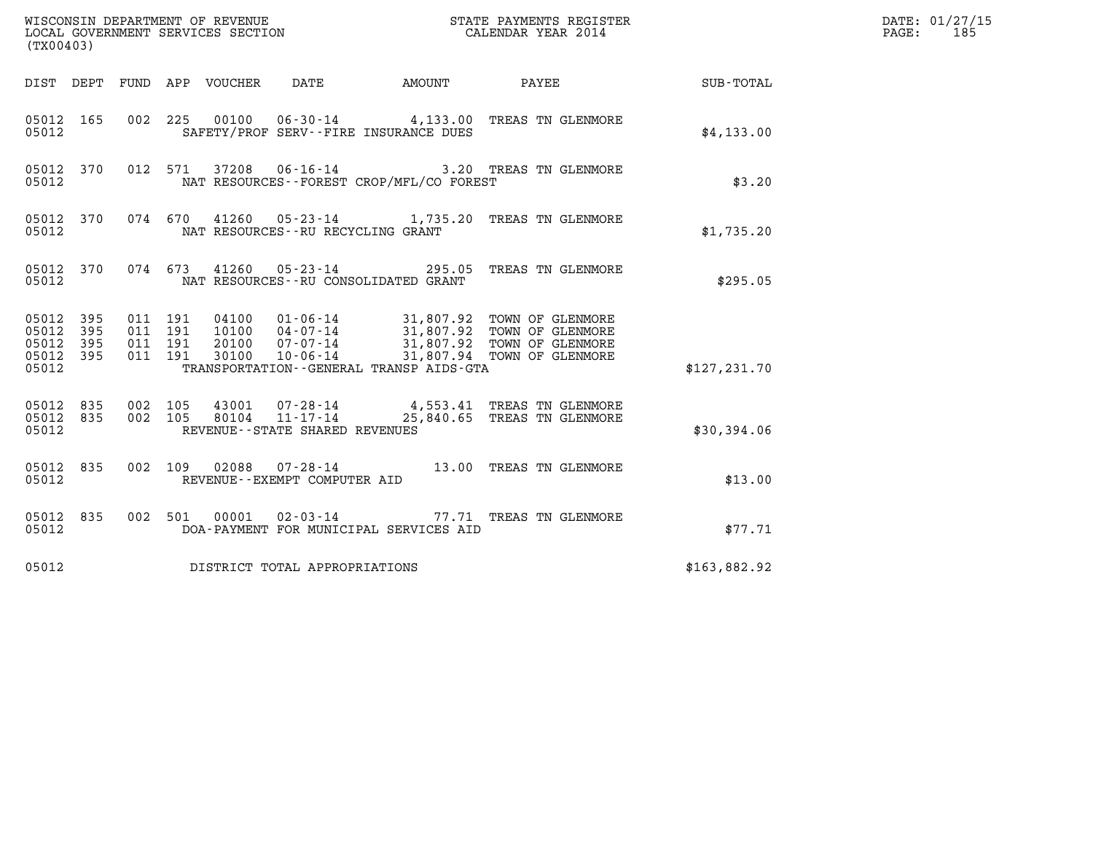| (TX00403)                                                    |                                                                                                     |                                                                                             |               | DATE: 01/27/15<br>$\mathtt{PAGE}$ :<br>185 |
|--------------------------------------------------------------|-----------------------------------------------------------------------------------------------------|---------------------------------------------------------------------------------------------|---------------|--------------------------------------------|
|                                                              | DIST DEPT FUND APP VOUCHER DATE                                                                     | AMOUNT PAYEE SUB-TOTAL                                                                      |               |                                            |
| 05012 165<br>05012                                           | 00100  06-30-14  4,133.00  TREAS TN GLENMORE<br>002 225<br>SAFETY/PROF SERV--FIRE INSURANCE DUES    |                                                                                             | \$4,133.00    |                                            |
| 05012 370<br>05012                                           | 012 571 37208 06-16-14 3.20 TREAS TN GLENMORE<br>NAT RESOURCES--FOREST CROP/MFL/CO FOREST           |                                                                                             | \$3.20        |                                            |
| 05012 370<br>05012                                           | 074 670 41260 05-23-14 1,735.20 TREAS TN GLENMORE<br>NAT RESOURCES--RU RECYCLING GRANT              |                                                                                             | \$1,735.20    |                                            |
| 05012                                                        | 05012 370 074 673 41260 05-23-14 295.05 TREAS TN GLENMORE<br>NAT RESOURCES -- RU CONSOLIDATED GRANT |                                                                                             | \$295.05      |                                            |
| 05012 395<br>05012<br>395<br>05012 395<br>05012 395<br>05012 | 011 191<br>011 191<br>011 191<br>011 191<br>TRANSPORTATION--GENERAL TRANSP AIDS-GTA                 |                                                                                             | \$127, 231.70 |                                            |
| 05012 835<br>05012 835<br>05012                              | 002 105<br>002 105<br>REVENUE--STATE SHARED REVENUES                                                | 43001  07-28-14  4,553.41 TREAS TN GLENMORE<br>80104  11-17-14  25,840.65 TREAS TN GLENMORE | \$30,394.06   |                                            |
| 05012 835<br>05012                                           | 002 109 02088 07-28-14 13.00 TREAS TN GLENMORE<br>REVENUE--EXEMPT COMPUTER AID                      |                                                                                             | \$13.00       |                                            |
| 05012 835<br>05012                                           | 002 501 00001 02-03-14 77.71 TREAS TN GLENMORE<br>DOA-PAYMENT FOR MUNICIPAL SERVICES AID            |                                                                                             | \$77.71       |                                            |
| 05012                                                        | DISTRICT TOTAL APPROPRIATIONS                                                                       |                                                                                             | \$163,882.92  |                                            |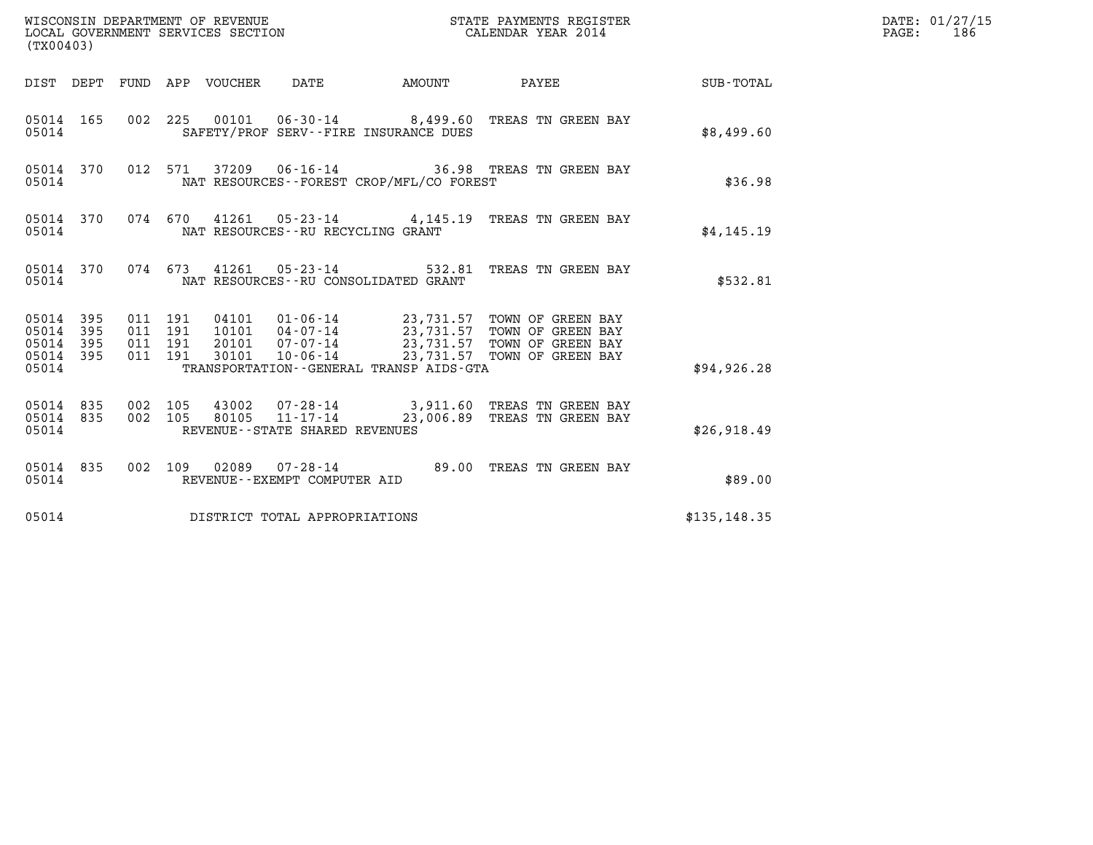| (TX00403)                                         |            |                                          |  |                                        |                                          |                                                                                                                                                                                          |               | DATE: 01/27/15<br>$\mathtt{PAGE}$ :<br>186 |
|---------------------------------------------------|------------|------------------------------------------|--|----------------------------------------|------------------------------------------|------------------------------------------------------------------------------------------------------------------------------------------------------------------------------------------|---------------|--------------------------------------------|
|                                                   |            |                                          |  |                                        |                                          | DIST DEPT FUND APP VOUCHER DATE AMOUNT PAYEE SUB-TOTAL                                                                                                                                   |               |                                            |
| 05014                                             |            |                                          |  | SAFETY/PROF SERV--FIRE INSURANCE DUES  |                                          | 05014 165 002 225 00101 06-30-14 8,499.60 TREAS TN GREEN BAY                                                                                                                             | \$8,499.60    |                                            |
| 05014 370<br>05014                                |            |                                          |  |                                        | NAT RESOURCES--FOREST CROP/MFL/CO FOREST | 012 571 37209 06-16-14 36.98 TREAS TN GREEN BAY                                                                                                                                          | \$36.98       |                                            |
| 05014 370<br>05014                                |            |                                          |  | NAT RESOURCES--RU RECYCLING GRANT      |                                          | 074 670 41261 05-23-14 4,145.19 TREAS TN GREEN BAY                                                                                                                                       | \$4,145.19    |                                            |
| 05014                                             |            |                                          |  | NAT RESOURCES -- RU CONSOLIDATED GRANT |                                          | 05014 370 074 673 41261 05-23-14 532.81 TREAS TN GREEN BAY                                                                                                                               | \$532.81      |                                            |
| 05014 395<br>05014<br>05014<br>05014 395<br>05014 | 395<br>395 | 011 191<br>011 191<br>011 191<br>011 191 |  |                                        | TRANSPORTATION--GENERAL TRANSP AIDS-GTA  | 04101  01-06-14  23,731.57 TOWN OF GREEN BAY<br>10101  04-07-14  23,731.57 TOWN OF GREEN BAY<br>20101 07-07-14 23,731.57 TOWN OF GREEN BAY<br>30101 10-06-14 23,731.57 TOWN OF GREEN BAY | \$94, 926.28  |                                            |
| 05014 835<br>05014 835<br>05014                   |            | 002 105<br>002 105                       |  | REVENUE - - STATE SHARED REVENUES      |                                          | 43002   07-28-14   3,911.60 TREAS TN GREEN BAY<br>80105   11-17-14   23,006.89 TREAS TN GREEN BAY                                                                                        | \$26,918.49   |                                            |
| 05014 835<br>05014                                |            |                                          |  | REVENUE--EXEMPT COMPUTER AID           |                                          | 002 109 02089 07-28-14 89.00 TREAS TN GREEN BAY                                                                                                                                          | \$89.00       |                                            |
| 05014                                             |            |                                          |  | DISTRICT TOTAL APPROPRIATIONS          |                                          |                                                                                                                                                                                          | \$135, 148.35 |                                            |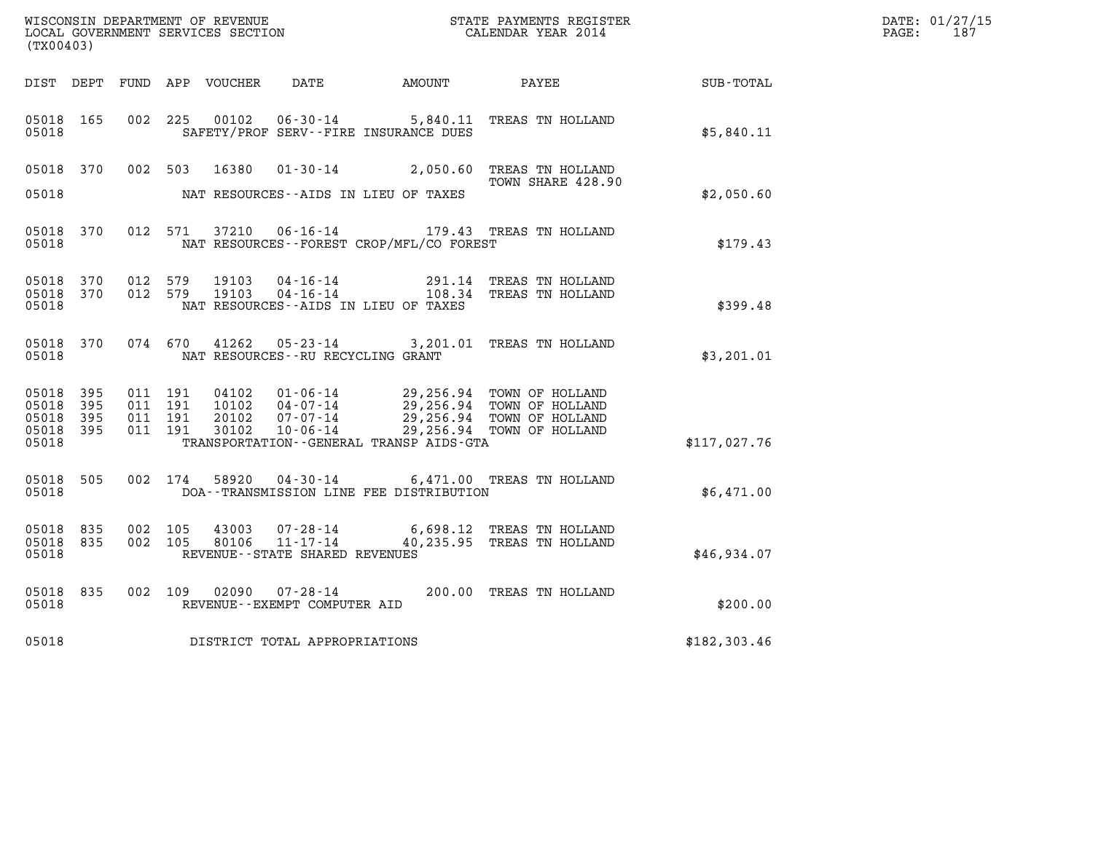| (TX00403)                                     |                    |                               |         | WISCONSIN DEPARTMENT OF REVENUE<br>LOCAL GOVERNMENT SERVICES SECTION |                                   |                                             | STATE PAYMENTS REGISTER<br>CALENDAR YEAR 2014                                                                                                            |                  | DATE: 01/27/15<br>PAGE: 187 |
|-----------------------------------------------|--------------------|-------------------------------|---------|----------------------------------------------------------------------|-----------------------------------|---------------------------------------------|----------------------------------------------------------------------------------------------------------------------------------------------------------|------------------|-----------------------------|
|                                               |                    |                               |         |                                                                      |                                   |                                             |                                                                                                                                                          | <b>SUB-TOTAL</b> |                             |
| 05018 165<br>05018                            |                    |                               |         | 002 225 00102                                                        | $06 - 30 - 14$                    | SAFETY/PROF SERV--FIRE INSURANCE DUES       | 5,840.11 TREAS TN HOLLAND                                                                                                                                | \$5,840.11       |                             |
|                                               |                    |                               |         |                                                                      |                                   |                                             | 05018 370 002 503 16380 01-30-14 2,050.60 TREAS TN HOLLAND<br>TOWN SHARE 428.90                                                                          |                  |                             |
| 05018                                         |                    |                               |         |                                                                      |                                   | NAT RESOURCES--AIDS IN LIEU OF TAXES        |                                                                                                                                                          | \$2,050.60       |                             |
| 05018                                         |                    |                               |         |                                                                      |                                   | NAT RESOURCES - - FOREST CROP/MFL/CO FOREST | 05018 370 012 571 37210 06-16-14 179.43 TREAS TN HOLLAND                                                                                                 | \$179.43         |                             |
| 05018 370<br>05018 370<br>05018               |                    |                               |         | 012 579 19103                                                        |                                   | NAT RESOURCES -- AIDS IN LIEU OF TAXES      | 012 579 19103 04-16-14 291.14 TREAS TN HOLLAND<br>012 579 19103 04-16-14 108.34 TREAS TN HOLLAND                                                         | \$399.48         |                             |
| 05018                                         | 05018 370          |                               |         |                                                                      | NAT RESOURCES--RU RECYCLING GRANT |                                             | 074 670 41262 05-23-14 3,201.01 TREAS TN HOLLAND                                                                                                         | \$3,201.01       |                             |
| 05018 395<br>05018<br>05018<br>05018<br>05018 | 395<br>395<br>-395 | 011 191<br>011 191<br>011 191 | 011 191 | 04102<br>10102<br>20102<br>30102                                     |                                   | TRANSPORTATION--GENERAL TRANSP AIDS-GTA     | 01-06-14<br>04-07-14<br>07-07-14<br>07-07-14<br>07-06-14<br>00-06-14<br>00-06-14<br>00-06-14<br>00-06-14<br>00-06-14<br>00-06-14<br>00-06-14<br>00-06-14 | \$117,027.76     |                             |
| 05018 505<br>05018                            |                    |                               |         |                                                                      |                                   | DOA--TRANSMISSION LINE FEE DISTRIBUTION     | 002 174 58920 04-30-14 6,471.00 TREAS TN HOLLAND                                                                                                         | \$6,471.00       |                             |
| 05018 835<br>05018 835<br>05018               |                    |                               |         |                                                                      | REVENUE--STATE SHARED REVENUES    |                                             | 002 105 43003 07-28-14 6,698.12 TREAS TN HOLLAND<br>002 105 80106 11-17-14 40,235.95 TREAS TN HOLLAND                                                    | \$46,934.07      |                             |
| 05018                                         | 05018 835          |                               |         |                                                                      | REVENUE--EXEMPT COMPUTER AID      |                                             | 002 109 02090 07-28-14 200.00 TREAS TN HOLLAND                                                                                                           | \$200.00         |                             |
| 05018                                         |                    |                               |         |                                                                      | DISTRICT TOTAL APPROPRIATIONS     |                                             |                                                                                                                                                          | \$182,303.46     |                             |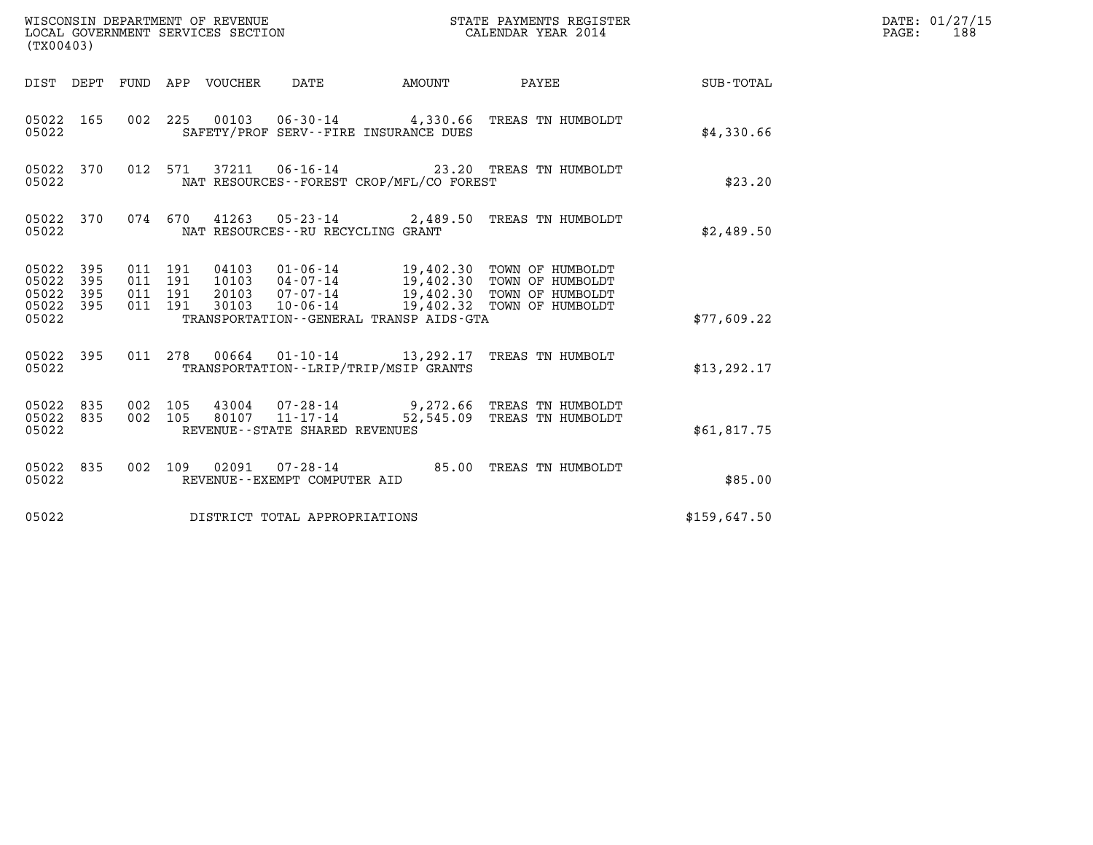| (TX00403)                                         |            |                               |         |                                 | WISCONSIN DEPARTMENT OF REVENUE<br>LOCAL GOVERNMENT SERVICES SECTION |                                             | STATE PAYMENTS REGISTER<br>CALENDAR YEAR 2014                                                                                                                                             |              | DATE: 01/27/15<br>$\mathtt{PAGE}$ :<br>188 |
|---------------------------------------------------|------------|-------------------------------|---------|---------------------------------|----------------------------------------------------------------------|---------------------------------------------|-------------------------------------------------------------------------------------------------------------------------------------------------------------------------------------------|--------------|--------------------------------------------|
|                                                   |            |                               |         | DIST DEPT FUND APP VOUCHER DATE |                                                                      | <b>EXAMPLE THE AMOUNT</b>                   | PAYEE                                                                                                                                                                                     | SUB-TOTAL    |                                            |
| 05022 165<br>05022                                |            |                               |         |                                 |                                                                      | SAFETY/PROF SERV--FIRE INSURANCE DUES       | 002 225 00103 06-30-14 4,330.66 TREAS TN HUMBOLDT                                                                                                                                         | \$4,330.66   |                                            |
| 05022                                             | 05022 370  |                               |         |                                 |                                                                      | NAT RESOURCES - - FOREST CROP/MFL/CO FOREST | 012 571 37211 06-16-14 23.20 TREAS TN HUMBOLDT                                                                                                                                            | \$23.20      |                                            |
| 05022                                             | 05022 370  |                               |         |                                 | NAT RESOURCES--RU RECYCLING GRANT                                    |                                             | 074 670 41263 05-23-14 2,489.50 TREAS TN HUMBOLDT                                                                                                                                         | \$2,489.50   |                                            |
| 05022 395<br>05022<br>05022<br>05022 395<br>05022 | 395<br>395 | 011 191<br>011 191<br>011 191 | 011 191 |                                 |                                                                      | TRANSPORTATION--GENERAL TRANSP AIDS-GTA     | 04103  01-06-14  19,402.30  TOWN OF HUMBOLDT<br>10103  04-07-14  19,402.30  TOWN OF HUMBOLDT<br>20103 07-07-14 19,402.30 TOWN OF HUMBOLDT<br>30103  10-06-14  19,402.32  TOWN OF HUMBOLDT | \$77,609.22  |                                            |
| 05022                                             | 05022 395  |                               |         |                                 |                                                                      | TRANSPORTATION - - LRIP/TRIP/MSIP GRANTS    | 011 278 00664 01-10-14 13,292.17 TREAS TN HUMBOLT                                                                                                                                         | \$13, 292.17 |                                            |
| 05022 835<br>05022 835<br>05022                   |            | 002 105<br>002 105            |         |                                 | 80107 11-17-14<br>REVENUE - - STATE SHARED REVENUES                  |                                             | 43004  07-28-14  9,272.66  TREAS TN HUMBOLDT<br>52,545.09 TREAS TN HUMBOLDT                                                                                                               | \$61,817.75  |                                            |
| 05022 835<br>05022                                |            |                               |         |                                 | REVENUE--EXEMPT COMPUTER AID                                         |                                             | 002 109 02091 07-28-14 85.00 TREAS TN HUMBOLDT                                                                                                                                            | \$85.00      |                                            |
| 05022                                             |            |                               |         |                                 | DISTRICT TOTAL APPROPRIATIONS                                        |                                             |                                                                                                                                                                                           | \$159,647.50 |                                            |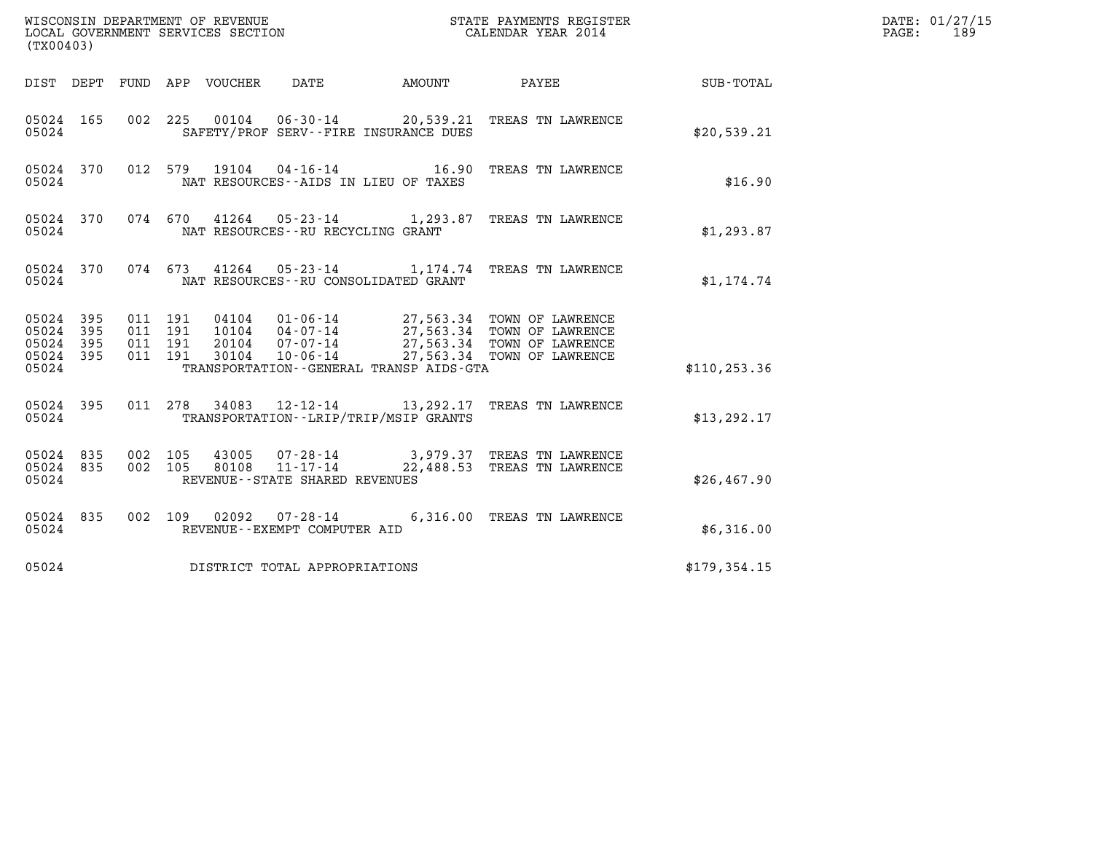| (TX00403)                                         |            |                                          |                            | WISCONSIN DEPARTMENT OF REVENUE<br>LOCAL GOVERNMENT SERVICES SECTION | STATE PAYMENTS REGISTER                                                                       | DATE: 01/27/15<br>PAGE:<br>189 |  |
|---------------------------------------------------|------------|------------------------------------------|----------------------------|----------------------------------------------------------------------|-----------------------------------------------------------------------------------------------|--------------------------------|--|
|                                                   |            |                                          | DIST DEPT FUND APP VOUCHER | DATE                                                                 | AMOUNT PAYEE SUB-TOTAL                                                                        |                                |  |
| 05024 165<br>05024                                |            | 002 225                                  |                            | SAFETY/PROF SERV--FIRE INSURANCE DUES                                | 00104  06-30-14  20,539.21 TREAS TN LAWRENCE                                                  | \$20,539.21                    |  |
| 05024 370<br>05024                                |            |                                          |                            | NAT RESOURCES--AIDS IN LIEU OF TAXES                                 | 012 579 19104 04-16-14 16.90 TREAS TN LAWRENCE                                                | \$16.90                        |  |
| 05024 370<br>05024                                |            |                                          |                            | NAT RESOURCES - - RU RECYCLING GRANT                                 | 074 670 41264 05-23-14 1,293.87 TREAS TN LAWRENCE                                             | \$1,293.87                     |  |
| 05024 370<br>05024                                |            |                                          |                            | NAT RESOURCES -- RU CONSOLIDATED GRANT                               | 074  673  41264  05-23-14   1,174.74  TREAS TN LAWRENCE                                       | \$1,174.74                     |  |
| 05024 395<br>05024<br>05024<br>05024 395<br>05024 | 395<br>395 | 011 191<br>011 191<br>011 191<br>011 191 |                            | TRANSPORTATION--GENERAL TRANSP AIDS-GTA                              |                                                                                               | \$110, 253.36                  |  |
| 05024 395<br>05024                                |            |                                          |                            | TRANSPORTATION - - LRIP/TRIP/MSIP GRANTS                             | 011 278 34083 12-12-14 13, 292.17 TREAS TN LAWRENCE                                           | \$13, 292.17                   |  |
| 05024 835<br>05024 835<br>05024                   |            | 002 105<br>002 105                       |                            | REVENUE - - STATE SHARED REVENUES                                    | 43005  07-28-14  3,979.37  TREAS TN LAWRENCE<br>80108  11-17-14  22,488.53  TREAS TN LAWRENCE | \$26,467.90                    |  |
| 05024 835<br>05024                                |            |                                          |                            | REVENUE--EXEMPT COMPUTER AID                                         | 002 109 02092 07-28-14 6,316.00 TREAS TN LAWRENCE                                             | \$6,316.00                     |  |
| 05024                                             |            |                                          |                            | DISTRICT TOTAL APPROPRIATIONS                                        |                                                                                               | \$179,354.15                   |  |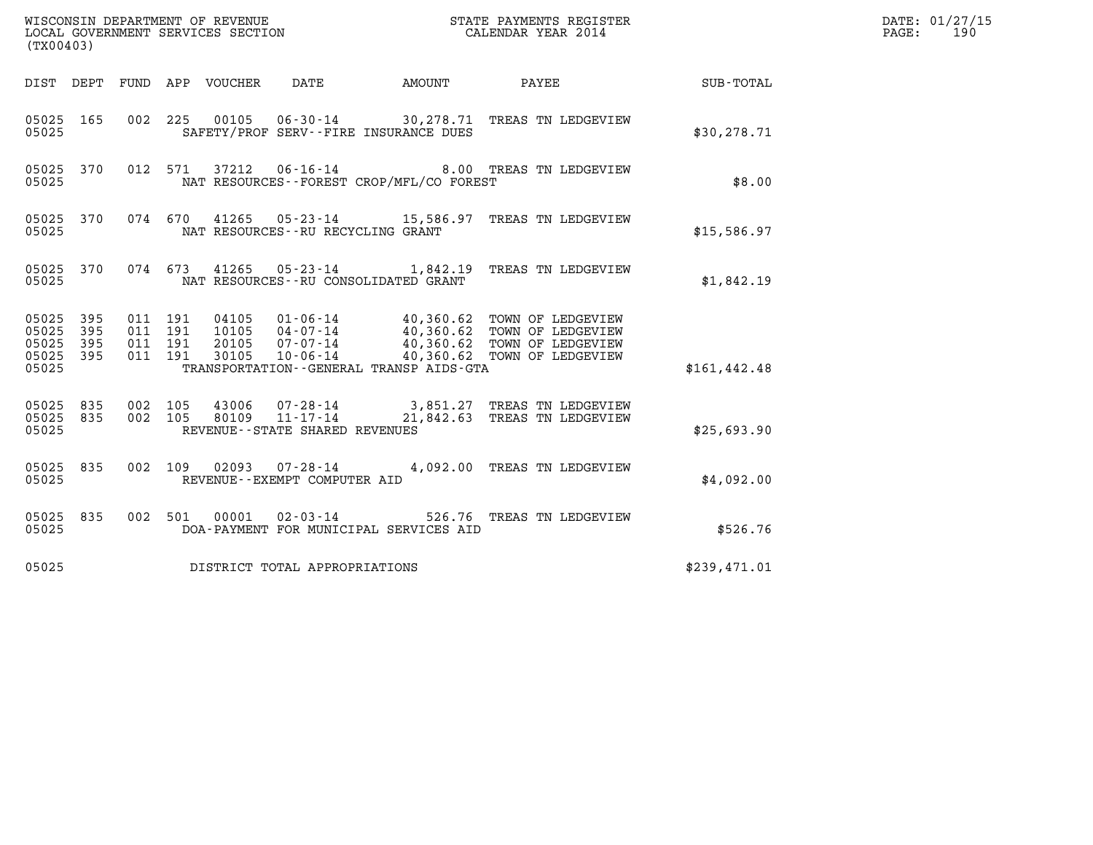| (TX00403)                                                       | WISCONSIN DEPARTMENT OF REVENUE<br>LOCAL GOVERNMENT SERVICES SECTION<br>CALENDAR YEAR 2014   |                                                                                                                                                                                                  | DATE: 01/27/15<br>PAGE:<br>190 |  |
|-----------------------------------------------------------------|----------------------------------------------------------------------------------------------|--------------------------------------------------------------------------------------------------------------------------------------------------------------------------------------------------|--------------------------------|--|
|                                                                 | DIST DEPT FUND APP VOUCHER DATE                                                              | AMOUNT PAYEE SUB-TOTAL                                                                                                                                                                           |                                |  |
| 05025 165<br>05025                                              | 002 225<br>SAFETY/PROF SERV--FIRE INSURANCE DUES                                             | 00105  06-30-14  30,278.71  TREAS TN LEDGEVIEW                                                                                                                                                   | \$30,278.71                    |  |
| 05025 370<br>05025                                              | 012 571 37212 06-16-14<br>NAT RESOURCES--FOREST CROP/MFL/CO FOREST                           | 8.00 TREAS TN LEDGEVIEW                                                                                                                                                                          | \$8.00                         |  |
| 05025 370<br>05025                                              | 074 670 41265 05-23-14 15,586.97 TREAS TN LEDGEVIEW<br>NAT RESOURCES - - RU RECYCLING GRANT  |                                                                                                                                                                                                  | \$15,586.97                    |  |
| 05025 370<br>05025                                              | 074 673 41265 05-23-14 1,842.19 TREAS TN LEDGEVIEW<br>NAT RESOURCES -- RU CONSOLIDATED GRANT |                                                                                                                                                                                                  | \$1,842.19                     |  |
| 05025 395<br>05025<br>395<br>05025<br>395<br>05025 395<br>05025 | 011 191<br>011 191<br>011 191<br>011 191<br>TRANSPORTATION--GENERAL TRANSP AIDS-GTA          | 04105  01-06-14  40,360.62  TOWN OF LEDGEVIEW<br>10105  04-07-14  40,360.62  TOWN OF LEDGEVIEW<br>20105  07-07-14  40,360.62  TOWN OF LEDGEVIEW<br>30105  10-06-14  40,360.62  TOWN OF LEDGEVIEW | \$161, 442.48                  |  |
| 05025 835<br>05025 835<br>05025                                 | 002 105<br>002 105<br>REVENUE--STATE SHARED REVENUES                                         | 43006  07-28-14  3,851.27  TREAS TN LEDGEVIEW<br>80109  11-17-14  21,842.63  TREAS TN LEDGEVIEW                                                                                                  | \$25,693.90                    |  |
| 05025 835<br>05025                                              | 002 109 02093 07-28-14 4,092.00 TREAS TN LEDGEVIEW<br>REVENUE--EXEMPT COMPUTER AID           |                                                                                                                                                                                                  | \$4,092.00                     |  |
| 05025 835<br>05025                                              | $00001$ $02 - 03 - 14$<br>002 501<br>DOA-PAYMENT FOR MUNICIPAL SERVICES AID                  | 526.76 TREAS TN LEDGEVIEW                                                                                                                                                                        | \$526.76                       |  |
| 05025                                                           | DISTRICT TOTAL APPROPRIATIONS                                                                |                                                                                                                                                                                                  | \$239,471.01                   |  |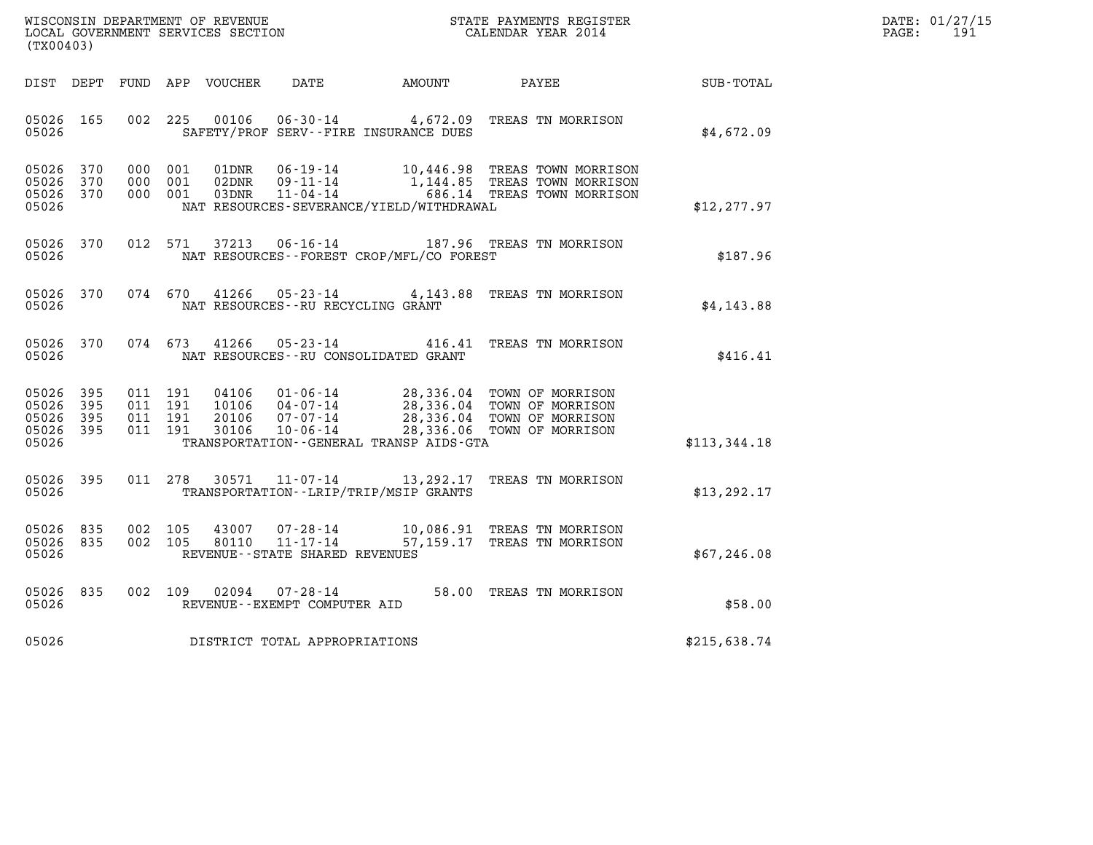| DATE: | 01/27/15 |
|-------|----------|
| PAGE: | 191      |

| (TX00403)                                                       |                                                                                                                                                                                                                      |                                                                                                        | DATE: 01/27/15<br>$\mathtt{PAGE}$ :<br>191 |
|-----------------------------------------------------------------|----------------------------------------------------------------------------------------------------------------------------------------------------------------------------------------------------------------------|--------------------------------------------------------------------------------------------------------|--------------------------------------------|
| DIST DEPT                                                       | FUND APP VOUCHER<br>DATE AMOUNT                                                                                                                                                                                      | PAYEE<br>SUB-TOTAL                                                                                     |                                            |
| 05026 165<br>05026                                              | 06-30-14 4,672.09 TREAS TN MORRISON<br>002 225<br>00106<br>SAFETY/PROF SERV--FIRE INSURANCE DUES                                                                                                                     | \$4,672.09                                                                                             |                                            |
| 05026 370<br>05026<br>370<br>05026 370<br>05026                 | 000 001<br>06-19-14 10,446.98 TREAS TOWN MORRISON<br>01DNR<br>02DNR<br>09-11-14<br>000 001<br>$11 - 04 - 14$<br>000 001<br>03DNR<br>NAT RESOURCES-SEVERANCE/YIELD/WITHDRAWAL                                         | 1,144.85 TREAS TOWN MORRISON<br>686.14 TREAS TOWN MORRISON<br>\$12,277.97                              |                                            |
| 05026 370<br>05026                                              | 012 571<br>37213<br>06-16-14 187.96 TREAS TN MORRISON<br>NAT RESOURCES--FOREST CROP/MFL/CO FOREST                                                                                                                    | \$187.96                                                                                               |                                            |
| 05026 370<br>05026                                              | 05-23-14 4,143.88 TREAS TN MORRISON<br>074 670<br>41266<br>NAT RESOURCES -- RU RECYCLING GRANT                                                                                                                       | \$4,143.88                                                                                             |                                            |
| 05026 370<br>05026                                              | 074 673 41266<br>$05 - 23 - 14$<br>NAT RESOURCES - - RU CONSOLIDATED GRANT                                                                                                                                           | 416.41 TREAS TN MORRISON<br>\$416.41                                                                   |                                            |
| 05026 395<br>05026<br>395<br>05026<br>395<br>05026 395<br>05026 | 011 191<br>04106<br>01-06-14 28,336.04 TOWN OF MORRISON<br>011 191<br>$04 - 07 - 14$<br>10106<br>011 191<br>$07 - 07 - 14$<br>20106<br>011 191<br>30106<br>$10 - 06 - 14$<br>TRANSPORTATION--GENERAL TRANSP AIDS-GTA | 28,336.04 TOWN OF MORRISON<br>28,336.04 TOWN OF MORRISON<br>28,336.06 TOWN OF MORRISON<br>\$113,344.18 |                                            |
| 05026<br>395<br>05026                                           | 011 278<br>30571<br>11-07-14<br>TRANSPORTATION - - LRIP/TRIP/MSIP GRANTS                                                                                                                                             | 13,292.17 TREAS TN MORRISON<br>\$13, 292.17                                                            |                                            |
| 05026 835<br>05026 835<br>05026                                 | 002 105<br>43007<br>07-28-14<br>$11 - 17 - 14$<br>002 105<br>80110<br>REVENUE - - STATE SHARED REVENUES                                                                                                              | 10,086.91 TREAS TN MORRISON<br>57,159.17 TREAS TN MORRISON<br>\$67,246.08                              |                                            |
| 05026 835<br>05026                                              | 02094<br>002 109<br>07-28-14<br>REVENUE--EXEMPT COMPUTER AID                                                                                                                                                         | 58.00 TREAS TN MORRISON<br>\$58.00                                                                     |                                            |
| 05026                                                           | DISTRICT TOTAL APPROPRIATIONS                                                                                                                                                                                        | \$215,638.74                                                                                           |                                            |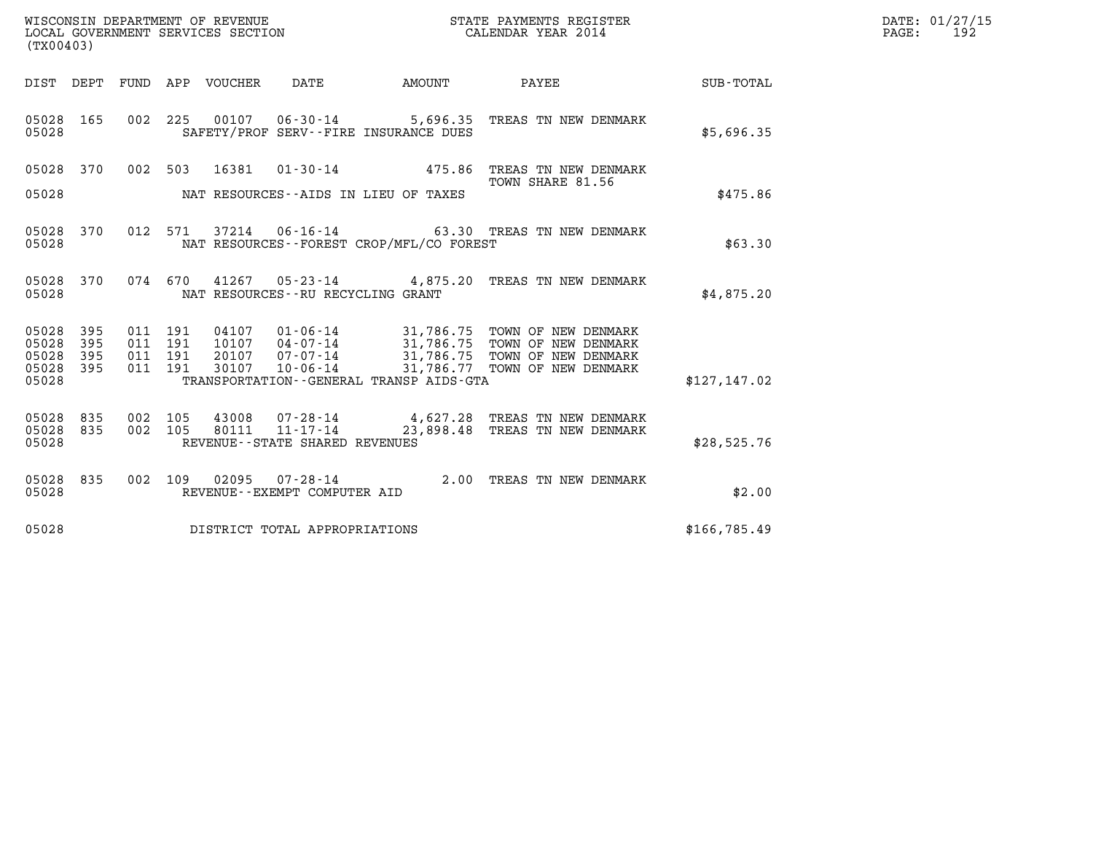| WISCONSIN DEPARTMENT OF REVENUE   | STATE PAYMENTS REGISTER | DATE: 01/27/15 |
|-----------------------------------|-------------------------|----------------|
| LOCAL GOVERNMENT SERVICES SECTION | CALENDAR YEAR 2014      | 192<br>PAGE:   |

| (TX00403)                                         |            |                                          |  |                |                                   |                                          |                                                                                                                                                                                        |              | DATE: 01/27/15<br>$\mathtt{PAGE}$ :<br>192 |
|---------------------------------------------------|------------|------------------------------------------|--|----------------|-----------------------------------|------------------------------------------|----------------------------------------------------------------------------------------------------------------------------------------------------------------------------------------|--------------|--------------------------------------------|
|                                                   | DIST DEPT  |                                          |  |                |                                   | FUND APP VOUCHER DATE AMOUNT             | PAYEE                                                                                                                                                                                  | SUB-TOTAL    |                                            |
| 05028                                             | 05028 165  |                                          |  |                |                                   | SAFETY/PROF SERV--FIRE INSURANCE DUES    | 002 225 00107 06-30-14 5,696.35 TREAS TN NEW DENMARK                                                                                                                                   | \$5,696.35   |                                            |
|                                                   | 05028 370  |                                          |  |                |                                   |                                          | 002 503 16381 01-30-14 475.86 TREAS TN NEW DENMARK<br>TOWN SHARE 81.56                                                                                                                 |              |                                            |
| 05028                                             |            |                                          |  |                |                                   | NAT RESOURCES--AIDS IN LIEU OF TAXES     |                                                                                                                                                                                        | \$475.86     |                                            |
| 05028                                             | 05028 370  |                                          |  |                |                                   | NAT RESOURCES--FOREST CROP/MFL/CO FOREST | 012 571 37214 06-16-14 63.30 TREAS TN NEW DENMARK                                                                                                                                      | \$63.30      |                                            |
| 05028                                             | 05028 370  |                                          |  |                |                                   | NAT RESOURCES--RU RECYCLING GRANT        | 074 670 41267 05-23-14 4,875.20 TREAS TN NEW DENMARK                                                                                                                                   | \$4,875.20   |                                            |
| 05028 395<br>05028<br>05028<br>05028 395<br>05028 | 395<br>395 | 011 191<br>011 191<br>011 191<br>011 191 |  | 04107          |                                   | TRANSPORTATION--GENERAL TRANSP AIDS-GTA  | 01-06-14 31,786.75 TOWN OF NEW DENMARK<br>10107 04-07-14 31,786.75 TOWN OF NEW DENMARK<br>20107 07-07-14 31,786.75 TOWN OF NEW DENMARK<br>30107 10-06-14 31,786.77 TOWN OF NEW DENMARK | \$127,147.02 |                                            |
| 05028 835<br>05028 835<br>05028                   |            | 002 105<br>002 105                       |  | 43008<br>80111 | REVENUE - - STATE SHARED REVENUES |                                          | 07-28-14 4,627.28 TREAS TN NEW DENMARK<br>11-17-14 23,898.48 TREAS TN NEW DENMARK                                                                                                      | \$28,525.76  |                                            |
| 05028                                             | 05028 835  |                                          |  |                | REVENUE--EXEMPT COMPUTER AID      |                                          | 002 109 02095 07-28-14 2.00 TREAS TN NEW DENMARK                                                                                                                                       | \$2.00       |                                            |
| 05028                                             |            |                                          |  |                | DISTRICT TOTAL APPROPRIATIONS     |                                          |                                                                                                                                                                                        | \$166,785.49 |                                            |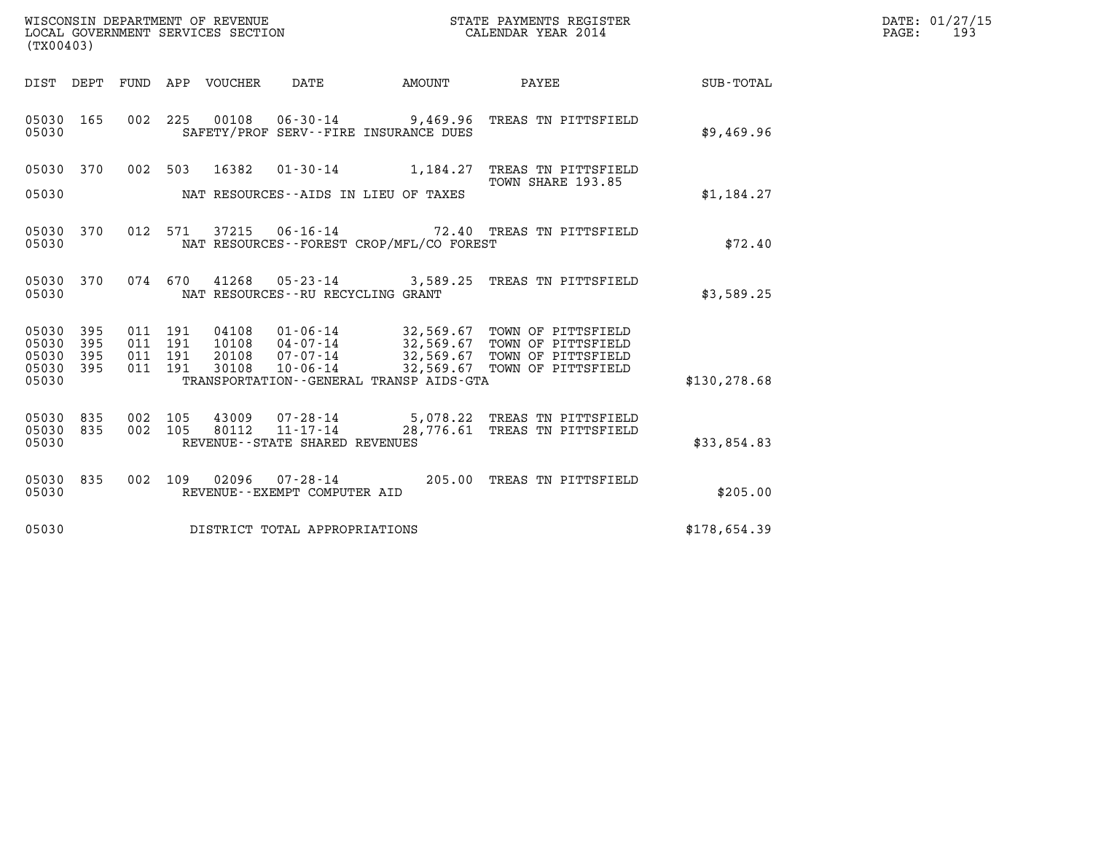| WISCONSIN DEPARTMENT OF REVENUE   | STATE PAYMENTS REGISTER | DATE: 01/27/15 |
|-----------------------------------|-------------------------|----------------|
| LOCAL GOVERNMENT SERVICES SECTION | CALENDAR YEAR 2014      | 193<br>PAGE:   |

| (TX00403)                                         |            |                                          |                                  |                                      |                                              |                                                                                                                                                                  | DATE: 01/27/15<br>$\mathtt{PAGE}$ :<br>193 |  |
|---------------------------------------------------|------------|------------------------------------------|----------------------------------|--------------------------------------|----------------------------------------------|------------------------------------------------------------------------------------------------------------------------------------------------------------------|--------------------------------------------|--|
|                                                   |            |                                          |                                  |                                      | DIST DEPT FUND APP VOUCHER DATE AMOUNT       | <b>PAYEE</b>                                                                                                                                                     | SUB-TOTAL                                  |  |
| 05030 165<br>05030                                |            |                                          |                                  |                                      | SAFETY/PROF SERV--FIRE INSURANCE DUES        | 002 225 00108 06-30-14 9,469.96 TREAS TN PITTSFIELD                                                                                                              | \$9,469.96                                 |  |
| 05030 370                                         |            |                                          |                                  |                                      |                                              | 002 503 16382 01-30-14 1,184.27 TREAS TN PITTSFIELD<br>TOWN SHARE 193.85                                                                                         |                                            |  |
| 05030                                             |            |                                          |                                  |                                      | NAT RESOURCES--AIDS IN LIEU OF TAXES         |                                                                                                                                                                  | \$1,184.27                                 |  |
| 05030 370<br>05030                                |            |                                          |                                  |                                      | NAT RESOURCES - - FOREST CROP/MFL/CO FOREST  | 012 571 37215 06-16-14 72.40 TREAS TN PITTSFIELD                                                                                                                 | \$72.40                                    |  |
| 05030 370<br>05030                                |            |                                          |                                  | NAT RESOURCES - - RU RECYCLING GRANT |                                              | 074 670 41268 05-23-14 3,589.25 TREAS TN PITTSFIELD                                                                                                              | \$3,589.25                                 |  |
| 05030 395<br>05030<br>05030<br>05030 395<br>05030 | 395<br>395 | 011 191<br>011 191<br>011 191<br>011 191 | 04108<br>10108<br>20108<br>30108 |                                      | TRANSPORTATION - - GENERAL TRANSP AIDS - GTA | 01-06-14 32,569.67 TOWN OF PITTSFIELD<br>04-07-14 32,569.67 TOWN OF PITTSFIELD<br>07-07-14 32,569.67 TOWN OF PITTSFIELD<br>10-06-14 32,569.67 TOWN OF PITTSFIELD | \$130, 278.68                              |  |
| 05030<br>05030 835<br>05030                       | 835        | 002 105                                  | 43009<br>002 105 80112           | REVENUE--STATE SHARED REVENUES       |                                              | 07-28-14 5,078.22 TREAS TN PITTSFIELD<br>11-17-14 28,776.61 TREAS TN PITTSFIELD                                                                                  | \$33,854.83                                |  |
| 05030 835<br>05030                                |            |                                          | 002 109 02096                    | REVENUE--EXEMPT COMPUTER AID         |                                              | 07-28-14 205.00 TREAS TN PITTSFIELD                                                                                                                              | \$205.00                                   |  |
| 05030                                             |            |                                          |                                  | DISTRICT TOTAL APPROPRIATIONS        |                                              |                                                                                                                                                                  | \$178,654.39                               |  |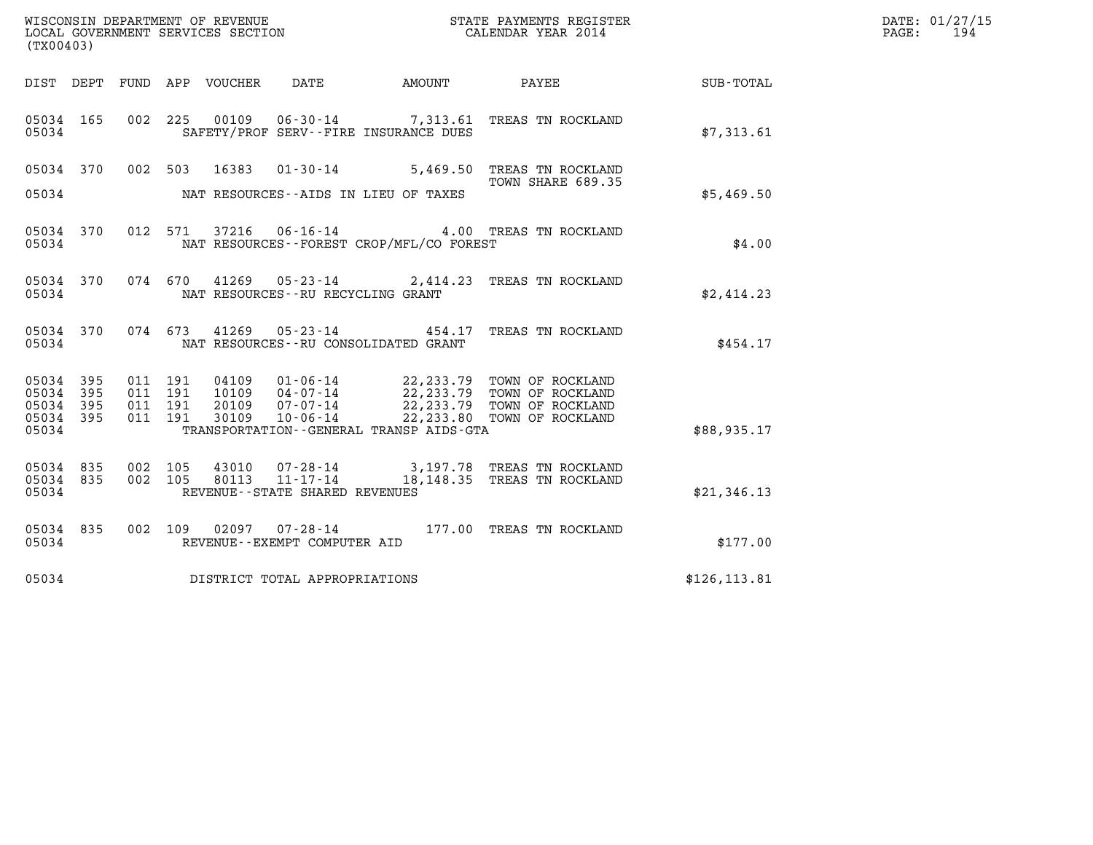| WISCONSIN DEPARTMENT OF REVENUE<br>LOCAL GOVERNMENT SERVICES SECTION<br>STATE PAYMENTS REGISTER<br>CALENDAR YEAR 2014<br>(TX00403)<br>DIST DEPT FUND APP VOUCHER DATE<br>AMOUNT PAYEE<br>05034 165 002 225 00109 06-30-14 7,313.61 TREAS TN ROCKLAND<br>05034<br>SAFETY/PROF SERV--FIRE INSURANCE DUES                               | SUB-TOTAL     | DATE: 01/27/15<br>PAGE: 194 |
|--------------------------------------------------------------------------------------------------------------------------------------------------------------------------------------------------------------------------------------------------------------------------------------------------------------------------------------|---------------|-----------------------------|
|                                                                                                                                                                                                                                                                                                                                      |               |                             |
|                                                                                                                                                                                                                                                                                                                                      |               |                             |
|                                                                                                                                                                                                                                                                                                                                      | \$7,313.61    |                             |
| 05034 370 002 503 16383 01-30-14 5,469.50 TREAS TN ROCKLAND<br>TOWN SHARE 689.35<br>TOWN SHARE 689.35                                                                                                                                                                                                                                |               |                             |
| 05034<br>NAT RESOURCES--AIDS IN LIEU OF TAXES                                                                                                                                                                                                                                                                                        | \$5,469.50    |                             |
| 05034 370 012 571 37216 06-16-14 4.00 TREAS TN ROCKLAND<br>NAT RESOURCES--FOREST CROP/MFL/CO FOREST<br>05034                                                                                                                                                                                                                         | \$4.00        |                             |
| 05034 370 074 670 41269 05-23-14 2,414.23 TREAS TN ROCKLAND<br>05034<br>NAT RESOURCES--RU RECYCLING GRANT                                                                                                                                                                                                                            | \$2,414.23    |                             |
| 05034 370 074 673 41269 05-23-14 454.17 TREAS TN ROCKLAND<br>NAT RESOURCES--RU CONSOLIDATED GRANT<br>05034                                                                                                                                                                                                                           | \$454.17      |                             |
| 011 191 04109 01-06-14 22,233.79 TOWN OF ROCKLAND<br>011 191 10109 04-07-14 22,233.79 TOWN OF ROCKLAND<br>011 191 20109 07-07-14 22,233.79 TOWN OF ROCKLAND<br>011 191 30109 10-06-14 22,233.80 TOWN OF ROCKLAND<br>05034<br>395<br>05034<br>395<br>05034<br>395<br>05034<br>395<br>05034<br>TRANSPORTATION--GENERAL TRANSP AIDS-GTA | \$88,935.17   |                             |
| 002 105 43010 07-28-14 3,197.78 TREAS TN ROCKLAND<br>002 105 80113 11-17-14 18,148.35 TREAS TN ROCKLAND<br>05034 835<br>05034 835<br>05034<br>REVENUE--STATE SHARED REVENUES                                                                                                                                                         | \$21,346.13   |                             |
| 05034 835 002 109 02097 07-28-14 177.00 TREAS TN ROCKLAND<br>05034<br>REVENUE--EXEMPT COMPUTER AID                                                                                                                                                                                                                                   | \$177.00      |                             |
| DISTRICT TOTAL APPROPRIATIONS<br>05034                                                                                                                                                                                                                                                                                               | \$126, 113.81 |                             |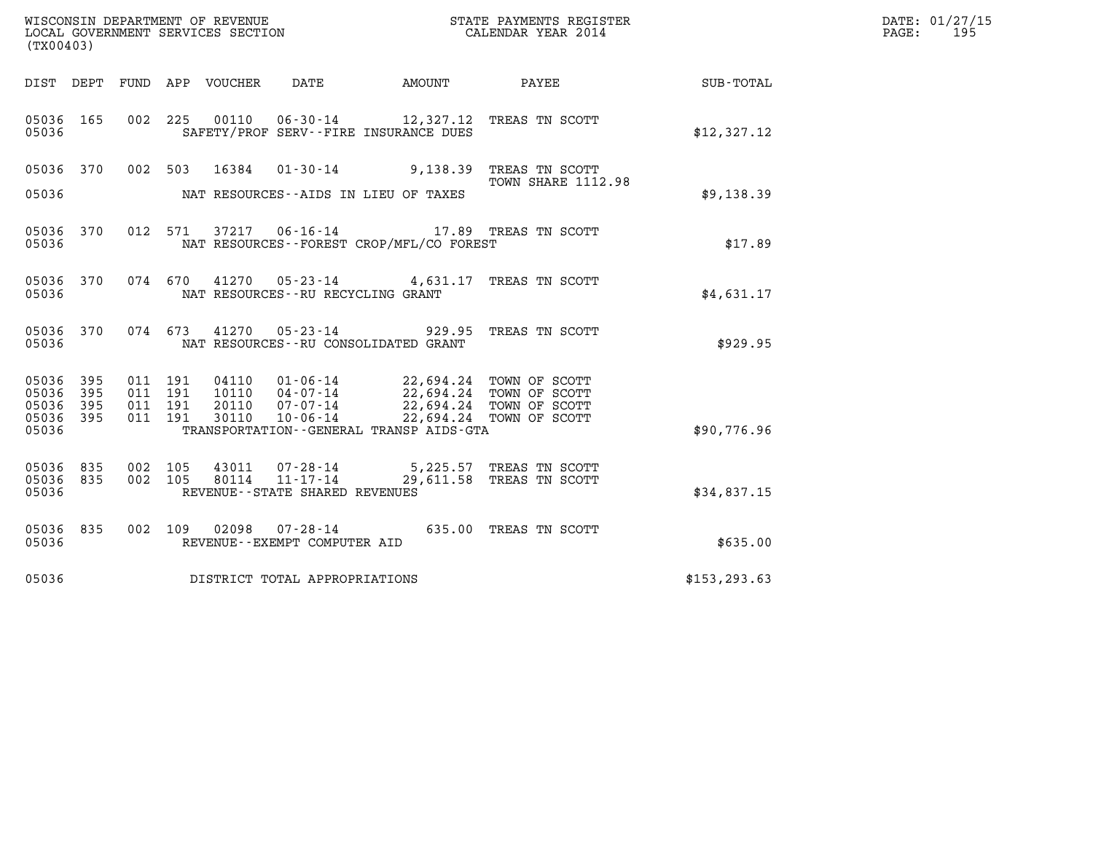| (TX00403)                                 |                          |     | WISCONSIN DEPARTMENT OF REVENUE<br>LOCAL GOVERNMENT SERVICES SECTION         |                                                     |                                                                                                        | STATE PAYMENTS REGISTER<br>CALENDAR YEAR 2014                |               | DATE: 01/27/15<br>195<br>PAGE: |
|-------------------------------------------|--------------------------|-----|------------------------------------------------------------------------------|-----------------------------------------------------|--------------------------------------------------------------------------------------------------------|--------------------------------------------------------------|---------------|--------------------------------|
|                                           |                          |     | DIST DEPT FUND APP VOUCHER                                                   | DATE                                                | AMOUNT                                                                                                 | <b>PAYEE</b>                                                 | SUB-TOTAL     |                                |
| 05036 165<br>05036                        |                          |     |                                                                              |                                                     | SAFETY/PROF SERV--FIRE INSURANCE DUES                                                                  | 002 225 00110 06-30-14 12,327.12 TREAS TN SCOTT              | \$12,327.12   |                                |
| 05036 370                                 |                          |     | 002 503<br>16384                                                             |                                                     |                                                                                                        | 01-30-14 9,138.39 TREAS TN SCOTT<br>TOWN SHARE 1112.98       |               |                                |
| 05036                                     |                          |     |                                                                              |                                                     | NAT RESOURCES--AIDS IN LIEU OF TAXES                                                                   |                                                              | \$9,138.39    |                                |
| 05036 370<br>05036                        |                          |     | 012 571                                                                      |                                                     | NAT RESOURCES - - FOREST CROP/MFL/CO FOREST                                                            | 37217  06-16-14  17.89  TREAS TN SCOTT                       | \$17.89       |                                |
| 05036 370<br>05036                        |                          |     | 074 670                                                                      | NAT RESOURCES--RU RECYCLING GRANT                   |                                                                                                        | 41270  05-23-14  4,631.17  TREAS TN SCOTT                    | \$4,631.17    |                                |
| 05036 370<br>05036                        |                          |     | 074 673<br>41270                                                             | $05 - 23 - 14$                                      | 929.95<br>NAT RESOURCES--RU CONSOLIDATED GRANT                                                         | TREAS TN SCOTT                                               | \$929.95      |                                |
| 05036<br>05036<br>05036<br>05036<br>05036 | 395<br>395<br>395<br>395 |     | 011 191<br>04110<br>011 191<br>10110<br>011 191<br>20110<br>011 191<br>30110 | $04 - 07 - 14$<br>07-07-14<br>10-06-14              | 01-06-14 22,694.24 TOWN OF SCOTT<br>22,694.24 TOWN OF SCOTT<br>TRANSPORTATION--GENERAL TRANSP AIDS-GTA | 22,694.24 TOWN OF SCOTT<br>22,694.24 TOWN OF SCOTT           | \$90,776.96   |                                |
| 05036<br>05036 835<br>05036               | 835                      | 002 | 105<br>43011<br>002 105<br>80114                                             | $11 - 17 - 14$<br>REVENUE - - STATE SHARED REVENUES |                                                                                                        | 07-28-14 5,225.57 TREAS TN SCOTT<br>29,611.58 TREAS TN SCOTT | \$34,837.15   |                                |
| 05036 835<br>05036                        |                          |     | 002 109                                                                      | REVENUE--EXEMPT COMPUTER AID                        |                                                                                                        | 635.00 TREAS TN SCOTT                                        | \$635.00      |                                |
| 05036                                     |                          |     | DISTRICT TOTAL APPROPRIATIONS                                                |                                                     |                                                                                                        |                                                              | \$153, 293.63 |                                |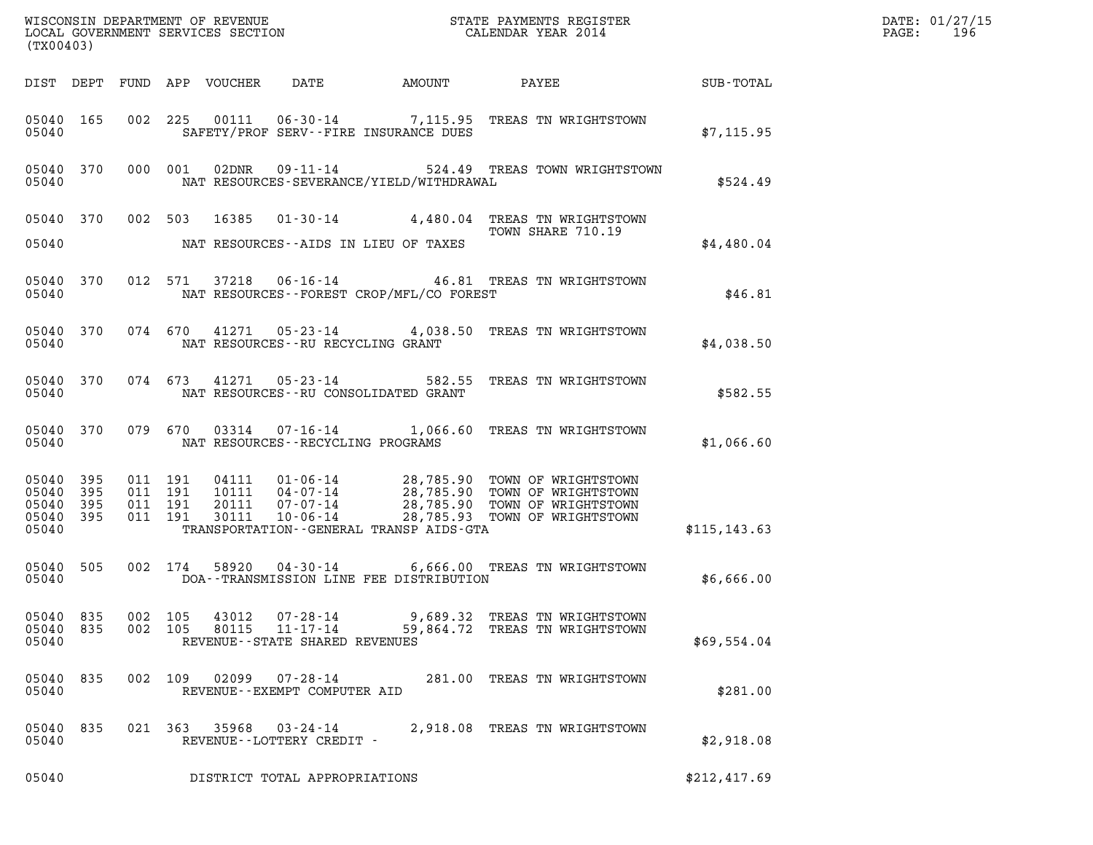| (TX00403)                                     |                   |         |                                      |                                                              |                                          |                                                                                                                                                                                                      | $\mathcal{L}(\mathcal{L}^{\text{max}}_{\mathcal{L}^{\text{max}}_{\mathcal{L}^{\text{max}}_{\mathcal{L}^{\text{max}}_{\mathcal{L}^{\text{max}}_{\mathcal{L}^{\text{max}}_{\mathcal{L}^{\text{max}}_{\mathcal{L}^{\text{max}}_{\mathcal{L}^{\text{max}}_{\mathcal{L}^{\text{max}}_{\mathcal{L}^{\text{max}}_{\mathcal{L}^{\text{max}}_{\mathcal{L}^{\text{max}}_{\mathcal{L}^{\text{max}}_{\mathcal{L}^{\text{max}}_{\mathcal{L}^{\text{max}}_{\mathcal{L}$ | DATE: 01/27/15<br>$\mathtt{PAGE}$ :<br>196 |
|-----------------------------------------------|-------------------|---------|--------------------------------------|--------------------------------------------------------------|------------------------------------------|------------------------------------------------------------------------------------------------------------------------------------------------------------------------------------------------------|-----------------------------------------------------------------------------------------------------------------------------------------------------------------------------------------------------------------------------------------------------------------------------------------------------------------------------------------------------------------------------------------------------------------------------------------------------------|--------------------------------------------|
|                                               |                   |         |                                      |                                                              |                                          |                                                                                                                                                                                                      |                                                                                                                                                                                                                                                                                                                                                                                                                                                           |                                            |
| 05040 165<br>05040                            |                   |         |                                      |                                                              | SAFETY/PROF SERV--FIRE INSURANCE DUES    | 002 225 00111 06-30-14 7,115.95 TREAS TN WRIGHTSTOWN                                                                                                                                                 | \$7,115.95                                                                                                                                                                                                                                                                                                                                                                                                                                                |                                            |
| 05040 370<br>05040                            |                   |         | 000 001                              |                                                              | NAT RESOURCES-SEVERANCE/YIELD/WITHDRAWAL | 02DNR  09-11-14  524.49 TREAS TOWN WRIGHTSTOWN                                                                                                                                                       | \$524.49                                                                                                                                                                                                                                                                                                                                                                                                                                                  |                                            |
|                                               |                   |         |                                      |                                                              |                                          | 05040 370 002 503 16385 01-30-14 4,480.04 TREAS TN WRIGHTSTOWN<br>TOWN SHARE 710.19                                                                                                                  |                                                                                                                                                                                                                                                                                                                                                                                                                                                           |                                            |
| 05040                                         |                   |         |                                      |                                                              | NAT RESOURCES--AIDS IN LIEU OF TAXES     |                                                                                                                                                                                                      | \$4,480.04                                                                                                                                                                                                                                                                                                                                                                                                                                                |                                            |
| 05040 370<br>05040                            |                   |         |                                      |                                                              | NAT RESOURCES--FOREST CROP/MFL/CO FOREST | 012 571 37218 06-16-14 46.81 TREAS TN WRIGHTSTOWN                                                                                                                                                    | \$46.81                                                                                                                                                                                                                                                                                                                                                                                                                                                   |                                            |
| 05040                                         |                   |         |                                      | NAT RESOURCES--RU RECYCLING GRANT                            |                                          | 05040 370 074 670 41271 05-23-14 4,038.50 TREAS TN WRIGHTSTOWN                                                                                                                                       | \$4.038.50                                                                                                                                                                                                                                                                                                                                                                                                                                                |                                            |
| 05040                                         |                   |         |                                      |                                                              | NAT RESOURCES--RU CONSOLIDATED GRANT     | 05040 370 074 673 41271 05-23-14 582.55 TREAS TN WRIGHTSTOWN                                                                                                                                         | \$582.55                                                                                                                                                                                                                                                                                                                                                                                                                                                  |                                            |
| 05040                                         |                   |         |                                      | NAT RESOURCES--RECYCLING PROGRAMS                            |                                          | 05040 370 079 670 03314 07-16-14 1,066.60 TREAS TN WRIGHTSTOWN                                                                                                                                       | \$1,066.60                                                                                                                                                                                                                                                                                                                                                                                                                                                |                                            |
| 05040<br>05040<br>05040<br>05040 395<br>05040 | 395<br>395<br>395 | 011 191 | 011 191<br>011 191<br>011 191        |                                                              | TRANSPORTATION--GENERAL TRANSP AIDS-GTA  | 04111  01-06-14  28,785.90 TOWN OF WRIGHTSTOWN<br>10111  04-07-14  28,785.90 TOWN OF WRIGHTSTOWN<br>20111  07-07-14  28,785.90 TOWN OF WRIGHTSTOWN<br>30111  10-06-14  28,785.93 TOWN OF WRIGHTSTOWN | \$115, 143.63                                                                                                                                                                                                                                                                                                                                                                                                                                             |                                            |
| 05040 505                                     |                   |         |                                      |                                                              |                                          | 002 174 58920 04-30-14 6,666.00 TREAS TN WRIGHTSTOWN                                                                                                                                                 |                                                                                                                                                                                                                                                                                                                                                                                                                                                           |                                            |
| 05040                                         |                   |         |                                      |                                                              | DOA--TRANSMISSION LINE FEE DISTRIBUTION  |                                                                                                                                                                                                      | \$6,666.00                                                                                                                                                                                                                                                                                                                                                                                                                                                |                                            |
| 05040 835<br>05040<br>05040                   | 835               |         | 002 105<br>43012<br>002 105<br>80115 | 07-28-14<br>$11 - 17 - 14$<br>REVENUE--STATE SHARED REVENUES |                                          | 9,689.32 TREAS TN WRIGHTSTOWN<br>59,864.72 TREAS TN WRIGHTSTOWN                                                                                                                                      | \$69,554.04                                                                                                                                                                                                                                                                                                                                                                                                                                               |                                            |
| 05040<br>05040                                | 835               |         | 002 109<br>02099                     | 07-28-14<br>REVENUE--EXEMPT COMPUTER AID                     |                                          | 281.00 TREAS TN WRIGHTSTOWN                                                                                                                                                                          | \$281.00                                                                                                                                                                                                                                                                                                                                                                                                                                                  |                                            |
| 05040<br>05040                                | 835               |         |                                      | 021 363 35968 03-24-14<br>REVENUE--LOTTERY CREDIT -          |                                          | 2,918.08 TREAS TN WRIGHTSTOWN                                                                                                                                                                        | \$2,918.08                                                                                                                                                                                                                                                                                                                                                                                                                                                |                                            |
| 05040                                         |                   |         |                                      | DISTRICT TOTAL APPROPRIATIONS                                |                                          |                                                                                                                                                                                                      | \$212,417.69                                                                                                                                                                                                                                                                                                                                                                                                                                              |                                            |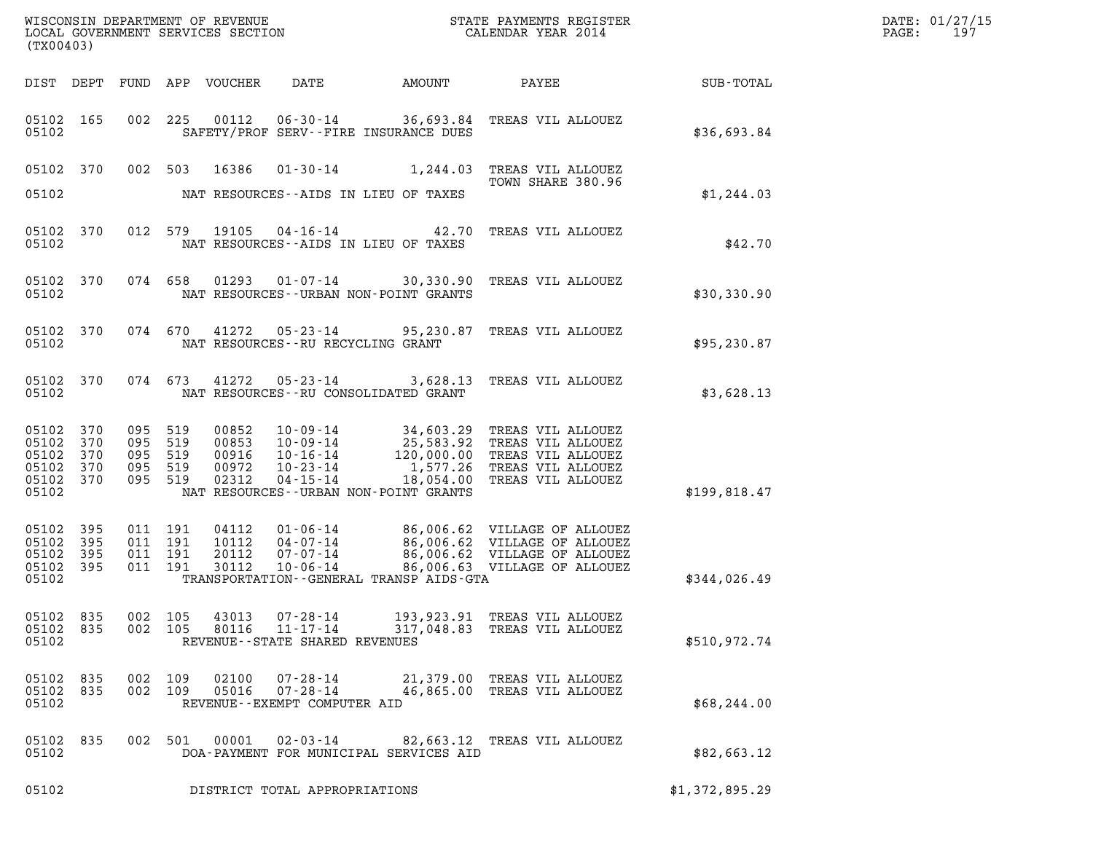| (TX00403)                                              |                            |                                             |                                          |                                           |                                                                       |                                                                      | %WISCONSIN DEPARTMENT OF REVENUE $$\tt STATE$ PAYMENTS REGISTER LOCAL GOVERNMENT SERVICES SECTION $$\tt CALEINDAR$ YEAR 2014                                                                         |                 | DATE: 01/27/15<br>PAGE:<br>197 |
|--------------------------------------------------------|----------------------------|---------------------------------------------|------------------------------------------|-------------------------------------------|-----------------------------------------------------------------------|----------------------------------------------------------------------|------------------------------------------------------------------------------------------------------------------------------------------------------------------------------------------------------|-----------------|--------------------------------|
|                                                        |                            |                                             |                                          | DIST DEPT FUND APP VOUCHER                | DATE                                                                  | AMOUNT                                                               |                                                                                                                                                                                                      | PAYEE SUB-TOTAL |                                |
| 05102 165<br>05102                                     |                            |                                             | 002 225                                  |                                           |                                                                       | SAFETY/PROF SERV--FIRE INSURANCE DUES                                | 00112  06-30-14  36,693.84  TREAS VIL ALLOUEZ                                                                                                                                                        | \$36,693.84     |                                |
|                                                        | 05102 370                  |                                             |                                          | 002 503 16386                             |                                                                       |                                                                      | 01-30-14 1,244.03 TREAS VIL ALLOUEZ<br>TOWN SHARE 380.96                                                                                                                                             |                 |                                |
| 05102                                                  |                            |                                             |                                          |                                           |                                                                       | NAT RESOURCES--AIDS IN LIEU OF TAXES                                 |                                                                                                                                                                                                      | \$1,244.03      |                                |
| 05102 370<br>05102                                     |                            |                                             |                                          |                                           |                                                                       | 012 579 19105 04-16-14 42.70<br>NAT RESOURCES--AIDS IN LIEU OF TAXES | TREAS VIL ALLOUEZ                                                                                                                                                                                    | \$42.70         |                                |
| 05102 370<br>05102                                     |                            |                                             |                                          |                                           |                                                                       | NAT RESOURCES - - URBAN NON-POINT GRANTS                             | 074 658 01293 01-07-14 30,330.90 TREAS VIL ALLOUEZ                                                                                                                                                   | \$30,330.90     |                                |
| 05102                                                  | 05102 370                  |                                             |                                          |                                           | NAT RESOURCES--RU RECYCLING GRANT                                     | 074 670 41272 05-23-14 95,230.87                                     | TREAS VIL ALLOUEZ                                                                                                                                                                                    | \$95,230.87     |                                |
| 05102 370<br>05102                                     |                            |                                             | 074 673                                  |                                           |                                                                       | NAT RESOURCES--RU CONSOLIDATED GRANT                                 | 41272  05-23-14  3,628.13  TREAS VIL ALLOUEZ                                                                                                                                                         | \$3,628.13      |                                |
| 05102<br>05102<br>05102<br>05102<br>05102 370<br>05102 | 370<br>370<br>370<br>370   | 095<br>095 519<br>095<br>095 519<br>095 519 | 519<br>519                               | 00852<br>00853<br>00916<br>00972<br>02312 |                                                                       | NAT RESOURCES - - URBAN NON-POINT GRANTS                             | 10-09-14 34,603.29 TREAS VIL ALLOUEZ<br>10-09-14 25,583.92 TREAS VIL ALLOUEZ<br>10-16-14 120,000.00 TREAS VIL ALLOUEZ<br>10-23-14 1,577.26 TREAS VIL ALLOUEZ<br>04-15-14 18,054.00 TREAS VIL ALLOUEZ | \$199,818.47    |                                |
| 05102<br>05102<br>05102<br>05102<br>05102              | 395<br>395<br>395<br>- 395 |                                             | 011 191<br>011 191<br>011 191<br>011 191 | 04112<br>10112<br>20112<br>30112          | $10 - 06 - 14$                                                        | TRANSPORTATION - - GENERAL TRANSP AIDS - GTA                         | 01-06-14 06,006.62 VILLAGE OF ALLOUEZ<br>04-07-14 06,006.62 VILLAGE OF ALLOUEZ<br>07-07-14 06,006.62 VILLAGE OF ALLOUEZ<br>86,006.63 VILLAGE OF ALLOUEZ                                              | \$344,026.49    |                                |
| 05102 835<br>05102<br>05102                            | 835                        |                                             | 002 105<br>002 105                       | 43013<br>80116                            | $07 - 28 - 14$<br>$11 - 17 - 14$<br>REVENUE - - STATE SHARED REVENUES | 317,048.83                                                           | 193, 923.91 TREAS VIL ALLOUEZ<br>TREAS VIL ALLOUEZ                                                                                                                                                   | \$510,972.74    |                                |
| 05102<br>05102 835<br>05102                            | 835                        | 002<br>002                                  | 109<br>109                               | 02100<br>05016                            | $07 - 28 - 14$<br>$07 - 28 - 14$<br>REVENUE - - EXEMPT COMPUTER AID   |                                                                      | 21,379.00 TREAS VIL ALLOUEZ<br>46,865.00 TREAS VIL ALLOUEZ                                                                                                                                           | \$68, 244.00    |                                |
| 05102<br>05102                                         | 835                        |                                             | 002 501                                  | 00001                                     | $02 - 03 - 14$                                                        | DOA-PAYMENT FOR MUNICIPAL SERVICES AID                               | 82,663.12 TREAS VIL ALLOUEZ                                                                                                                                                                          | \$82,663.12     |                                |
| 05102                                                  |                            |                                             |                                          |                                           | DISTRICT TOTAL APPROPRIATIONS                                         |                                                                      |                                                                                                                                                                                                      | \$1,372,895.29  |                                |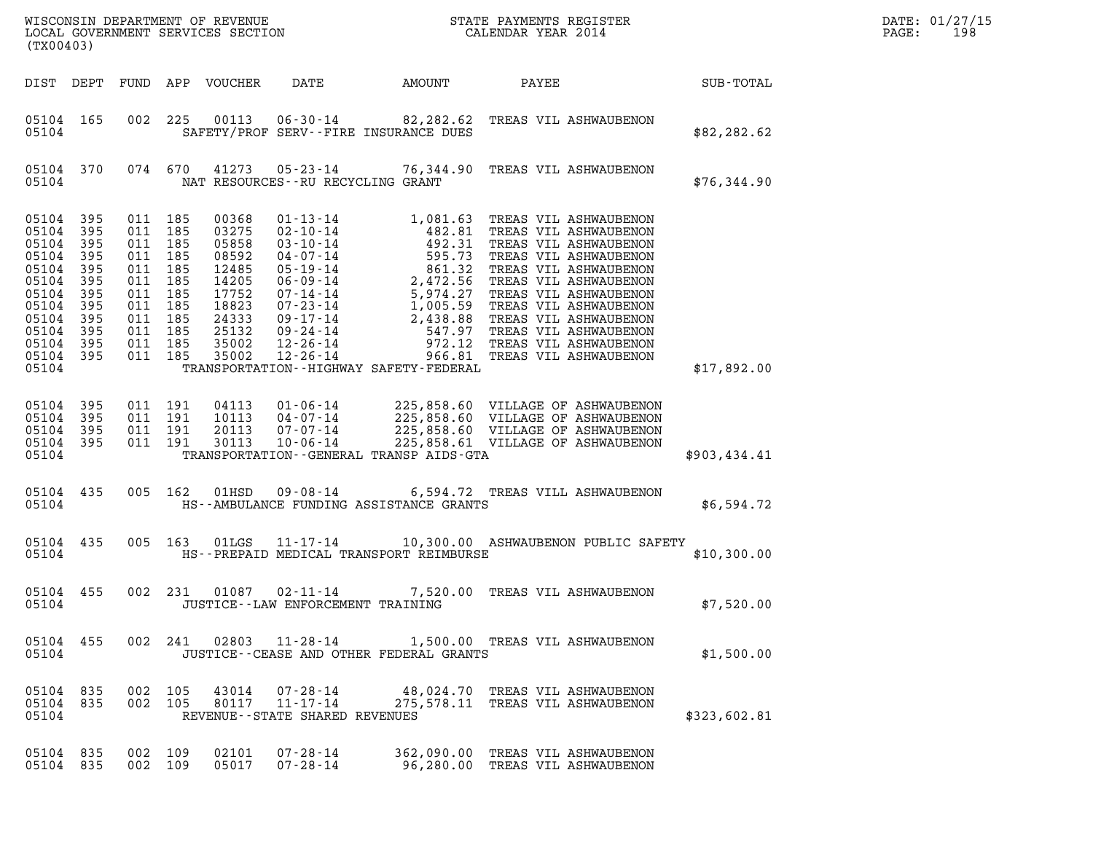| DATE: | 01/27/15 |
|-------|----------|
| PAGE: | 198      |

| (TX00403)                                                                                                         |                                                                                  |                                                                                        |                                                       |                                                                                                          |                                                              |                                             |                                                                                                                                                  |                  | DATE: 01/27/15<br>PAGE:<br>198 |
|-------------------------------------------------------------------------------------------------------------------|----------------------------------------------------------------------------------|----------------------------------------------------------------------------------------|-------------------------------------------------------|----------------------------------------------------------------------------------------------------------|--------------------------------------------------------------|---------------------------------------------|--------------------------------------------------------------------------------------------------------------------------------------------------|------------------|--------------------------------|
|                                                                                                                   |                                                                                  |                                                                                        |                                                       | DIST DEPT FUND APP VOUCHER                                                                               | DATE                                                         | AMOUNT                                      | PAYEE                                                                                                                                            | <b>SUB-TOTAL</b> |                                |
| 05104 165<br>05104                                                                                                |                                                                                  |                                                                                        |                                                       |                                                                                                          |                                                              | SAFETY/PROF SERV--FIRE INSURANCE DUES       | 002 225 00113 06-30-14 82,282.62 TREAS VIL ASHWAUBENON                                                                                           | \$82,282.62      |                                |
| 05104 370<br>05104                                                                                                |                                                                                  |                                                                                        | 074 670                                               |                                                                                                          | NAT RESOURCES -- RU RECYCLING GRANT                          |                                             | 41273  05-23-14  76,344.90  TREAS VIL ASHWAUBENON                                                                                                | \$76,344.90      |                                |
| 05104<br>05104<br>05104<br>05104<br>05104<br>05104<br>05104<br>05104<br>05104<br>05104<br>05104<br>05104<br>05104 | 395<br>395<br>395<br>395<br>395<br>395<br>395<br>395<br>395<br>395<br>395<br>395 | 011 185<br>011<br>011 185<br>011<br>011<br>011<br>011<br>011 185<br>011 185<br>011 185 | 185<br>185<br>185<br>185<br>185<br>011 185<br>011 185 | 00368<br>03275<br>05858<br>08592<br>12485<br>14205<br>17752<br>18823<br>24333<br>25132<br>35002<br>35002 |                                                              | TRANSPORTATION - - HIGHWAY SAFETY - FEDERAL |                                                                                                                                                  | \$17,892.00      |                                |
| 05104<br>05104<br>05104<br>05104<br>05104                                                                         | 395<br>395<br>395<br>395                                                         |                                                                                        | 011 191<br>011 191<br>011 191<br>011 191              | 04113<br>10113<br>20113<br>30113                                                                         | 01-06-14<br>04-07-14<br>07-07-14<br>$10 - 06 - 14$           | TRANSPORTATION--GENERAL TRANSP AIDS-GTA     | 225,858.60 VILLAGE OF ASHWAUBENON<br>225,858.60 VILLAGE OF ASHWAUBENON<br>225,858.60 VILLAGE OF ASHWAUBENON<br>225,858.61 VILLAGE OF ASHWAUBENON | \$903,434.41     |                                |
| 05104 435<br>05104                                                                                                |                                                                                  |                                                                                        | 005 162                                               | 01HSD                                                                                                    |                                                              | HS--AMBULANCE FUNDING ASSISTANCE GRANTS     | 09-08-14 6,594.72 TREAS VILL ASHWAUBENON                                                                                                         | \$6,594.72       |                                |
| 05104 435<br>05104                                                                                                |                                                                                  |                                                                                        | 005 163                                               | 01LGS                                                                                                    |                                                              | HS--PREPAID MEDICAL TRANSPORT REIMBURSE     | 11-17-14 10,300.00 ASHWAUBENON PUBLIC SAFETY                                                                                                     | \$10,300.00      |                                |
| 05104 455<br>05104                                                                                                |                                                                                  |                                                                                        | 002 231                                               | 01087                                                                                                    | 02-11-14<br>JUSTICE -- LAW ENFORCEMENT TRAINING              |                                             | 7,520.00 TREAS VIL ASHWAUBENON                                                                                                                   | \$7,520.00       |                                |
| 05104 455<br>05104                                                                                                |                                                                                  |                                                                                        |                                                       |                                                                                                          |                                                              | JUSTICE--CEASE AND OTHER FEDERAL GRANTS     | 002  241  02803  11-28-14  1,500.00  TREAS VIL ASHWAUBENON                                                                                       | \$1,500.00       |                                |
| 05104 835<br>05104 835<br>05104                                                                                   |                                                                                  | 002 105                                                                                | 002 105                                               | 43014                                                                                                    | 07-28-14<br>80117 11-17-14<br>REVENUE--STATE SHARED REVENUES |                                             | 48,024.70 TREAS VIL ASHWAUBENON<br>275,578.11 TREAS VIL ASHWAUBENON                                                                              | \$323,602.81     |                                |
| 05104 835<br>05104 835                                                                                            |                                                                                  | 002 109<br>002 109                                                                     |                                                       | 02101<br>05017                                                                                           | 07-28-14<br>07-28-14                                         |                                             | 362,090.00 TREAS VIL ASHWAUBENON<br>96,280.00 TREAS VIL ASHWAUBENON                                                                              |                  |                                |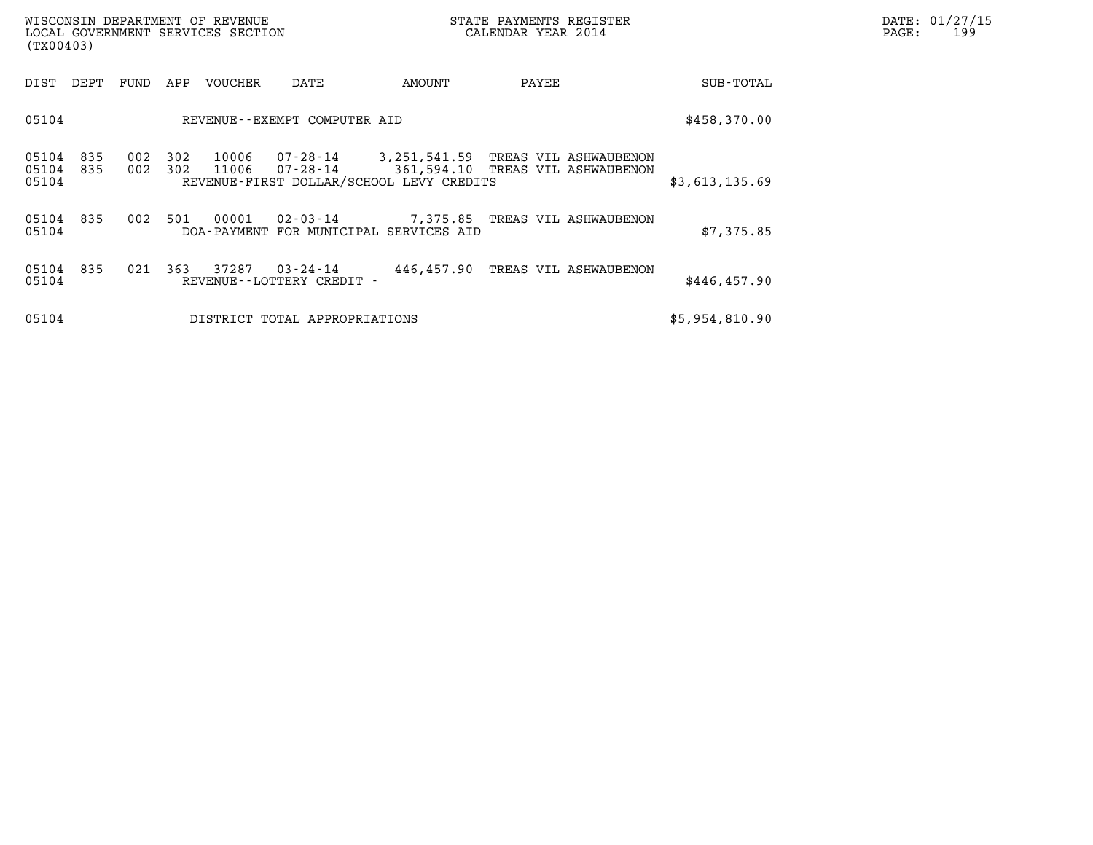| WISCONSIN DEPARTMENT OF REVENUE<br>LOCAL GOVERNMENT SERVICES SECTION<br>(TX00403) |            |            |                |                                                                                                     |                                  | DATE: 01/27/15<br>PAGE:<br>199   |  |                |  |
|-----------------------------------------------------------------------------------|------------|------------|----------------|-----------------------------------------------------------------------------------------------------|----------------------------------|----------------------------------|--|----------------|--|
| DIST<br>DEPT                                                                      | FUND       | APP        | VOUCHER        | DATE                                                                                                | AMOUNT                           | PAYEE                            |  | SUB-TOTAL      |  |
| 05104                                                                             |            |            |                | REVENUE--EXEMPT COMPUTER AID                                                                        |                                  |                                  |  | \$458,370.00   |  |
| 05104<br>835<br>05104<br>835<br>05104                                             | 002<br>002 | 302<br>302 | 10006<br>11006 | 07-28-14 3,251,541.59 TREAS VIL ASHWAUBENON<br>07-28-14<br>REVENUE-FIRST DOLLAR/SCHOOL LEVY CREDITS | 361,594.10 TREAS VIL ASHWAUBENON |                                  |  | \$3,613,135.69 |  |
| 05104<br>835<br>05104                                                             | 002        | 501        | 00001          | 02-03-14 7,375.85 TREAS VIL ASHWAUBENON<br>DOA-PAYMENT FOR MUNICIPAL SERVICES AID                   |                                  |                                  |  | \$7,375.85     |  |
| 05104<br>835<br>05104                                                             | 021        | 363        | 37287          | 03-24-14<br>REVENUE - - LOTTERY CREDIT -                                                            |                                  | 446,457.90 TREAS VIL ASHWAUBENON |  | \$446,457.90   |  |
| 05104                                                                             |            |            |                | DISTRICT TOTAL APPROPRIATIONS                                                                       |                                  |                                  |  | \$5,954,810.90 |  |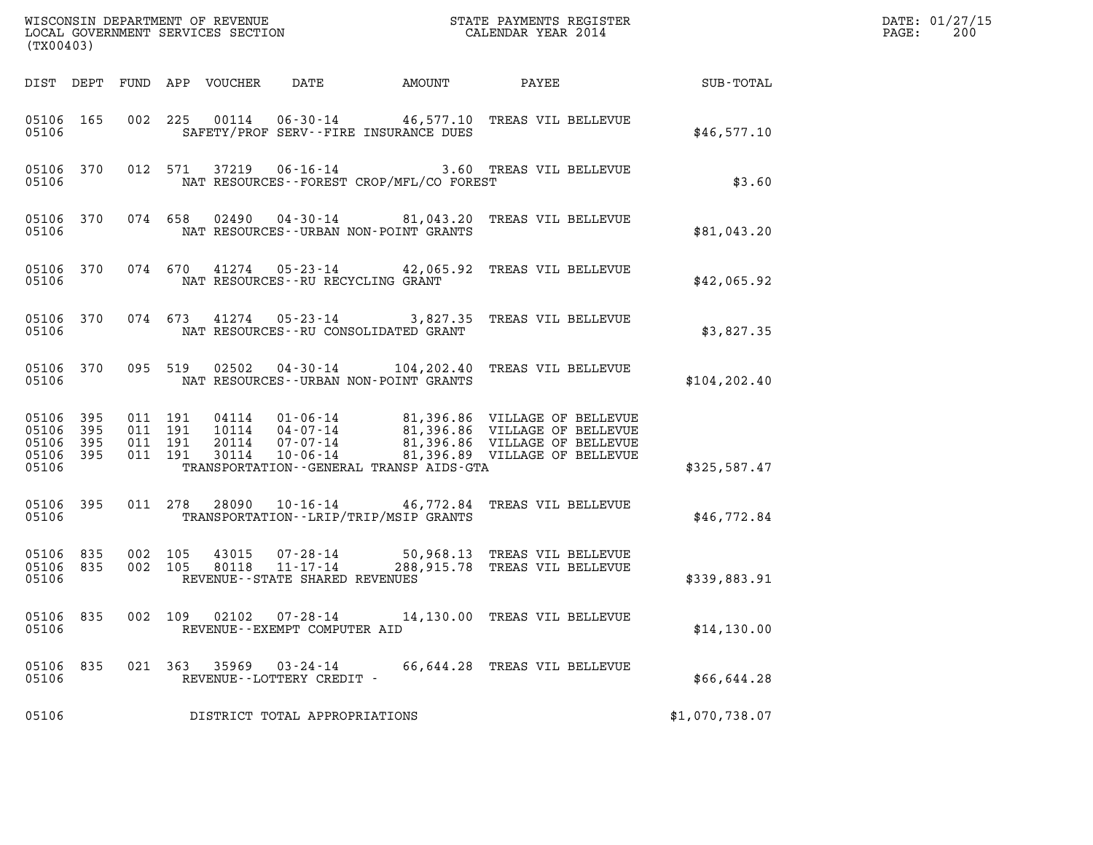| (TX00403)                                             |     |         |                               |                            |                                                  |                                          |                                                                                                                                                                                                 |                | DATE: 01/27/15<br>$\mathtt{PAGE}$ :<br>200 |
|-------------------------------------------------------|-----|---------|-------------------------------|----------------------------|--------------------------------------------------|------------------------------------------|-------------------------------------------------------------------------------------------------------------------------------------------------------------------------------------------------|----------------|--------------------------------------------|
|                                                       |     |         |                               | DIST DEPT FUND APP VOUCHER | DATE                                             | AMOUNT                                   | PAYEE                                                                                                                                                                                           | SUB-TOTAL      |                                            |
| 05106 165<br>05106                                    |     |         |                               |                            |                                                  | SAFETY/PROF SERV--FIRE INSURANCE DUES    | 002 225 00114 06-30-14 46,577.10 TREAS VIL BELLEVUE                                                                                                                                             | \$46,577.10    |                                            |
| 05106 370<br>05106                                    |     |         | 012 571                       |                            |                                                  | NAT RESOURCES--FOREST CROP/MFL/CO FOREST | 37219  06-16-14  3.60 TREAS VIL BELLEVUE                                                                                                                                                        | \$3.60         |                                            |
| 05106 370<br>05106                                    |     |         |                               |                            |                                                  | NAT RESOURCES - - URBAN NON-POINT GRANTS | 074 658 02490 04-30-14 81,043.20 TREAS VIL BELLEVUE                                                                                                                                             | \$81,043.20    |                                            |
| 05106 370<br>05106                                    |     |         |                               |                            | NAT RESOURCES - - RU RECYCLING GRANT             |                                          | 074 670 41274 05-23-14 42,065.92 TREAS VIL BELLEVUE                                                                                                                                             | \$42,065.92    |                                            |
| 05106 370<br>05106                                    |     |         |                               |                            |                                                  | NAT RESOURCES -- RU CONSOLIDATED GRANT   | 074 673 41274 05-23-14 3,827.35 TREAS VIL BELLEVUE                                                                                                                                              | \$3,827.35     |                                            |
| 05106 370<br>05106                                    |     |         | 095 519                       |                            |                                                  | NAT RESOURCES - - URBAN NON-POINT GRANTS | 02502  04-30-14   104,202.40 TREAS VIL BELLEVUE                                                                                                                                                 | \$104, 202.40  |                                            |
| 05106 395<br>05106<br>05106 395<br>05106 395<br>05106 | 395 | 011 191 | 011 191<br>011 191<br>011 191 | 30114                      | 10-06-14                                         | TRANSPORTATION--GENERAL TRANSP AIDS-GTA  | 04114   01-06-14   81,396.86   VILLAGE OF BELLEVUE<br>10114   04-07-14   81,396.86   VILLAGE OF BELLEVUE<br>20114   07-07-14   81,396.86   VILLAGE OF BELLEVUE<br>81,396.89 VILLAGE OF BELLEVUE | \$325,587.47   |                                            |
| 05106 395<br>05106                                    |     |         | 011 278                       |                            |                                                  | TRANSPORTATION--LRIP/TRIP/MSIP GRANTS    | 28090  10-16-14  46,772.84  TREAS VIL BELLEVUE                                                                                                                                                  | \$46,772.84    |                                            |
| 05106 835<br>05106 835<br>05106                       |     | 002 105 | 002 105                       | 43015<br>80118             | $11 - 17 - 14$<br>REVENUE--STATE SHARED REVENUES |                                          | 07-28-14 50,968.13 TREAS VIL BELLEVUE<br>288,915.78 TREAS VIL BELLEVUE                                                                                                                          | \$339,883.91   |                                            |
| 05106 835<br>05106                                    |     |         | 002 109                       | 02102                      | 07-28-14<br>REVENUE - - EXEMPT COMPUTER AID      |                                          | 14,130.00 TREAS VIL BELLEVUE                                                                                                                                                                    | \$14,130.00    |                                            |
| 05106 835<br>05106                                    |     |         |                               | 021 363 35969              | 03-24-14<br>REVENUE - - LOTTERY CREDIT -         |                                          | 66,644.28 TREAS VIL BELLEVUE                                                                                                                                                                    | \$66,644.28    |                                            |
| 05106                                                 |     |         |                               |                            | DISTRICT TOTAL APPROPRIATIONS                    |                                          |                                                                                                                                                                                                 | \$1,070,738.07 |                                            |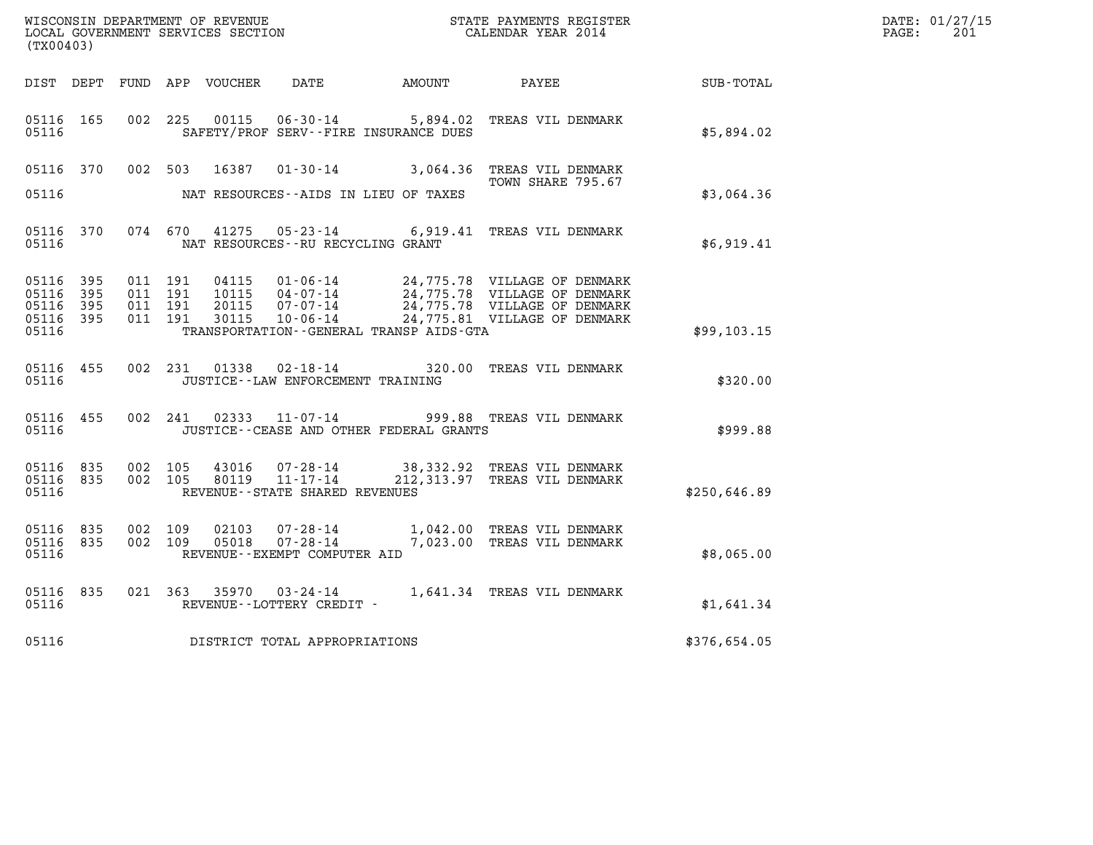| (TX00403)                       |     |                    |                    |                |                                      |                                              |                                                                                                                                                                                                      |                  | DATE: 01/27/15<br>$\mathtt{PAGE:}$<br>201 |
|---------------------------------|-----|--------------------|--------------------|----------------|--------------------------------------|----------------------------------------------|------------------------------------------------------------------------------------------------------------------------------------------------------------------------------------------------------|------------------|-------------------------------------------|
|                                 |     |                    |                    |                |                                      | DIST DEPT FUND APP VOUCHER DATE AMOUNT PAYEE |                                                                                                                                                                                                      | <b>SUB-TOTAL</b> |                                           |
| 05116 165<br>05116              |     | 002 225            |                    | 00115          |                                      | SAFETY/PROF SERV--FIRE INSURANCE DUES        | 06-30-14 5,894.02 TREAS VIL DENMARK                                                                                                                                                                  | \$5,894.02       |                                           |
| 05116 370                       |     |                    |                    |                |                                      |                                              | 002 503 16387 01-30-14 3,064.36 TREAS VIL DENMARK<br>TOWN SHARE 795.67                                                                                                                               |                  |                                           |
| 05116                           |     |                    |                    |                |                                      | NAT RESOURCES--AIDS IN LIEU OF TAXES         |                                                                                                                                                                                                      | \$3,064.36       |                                           |
| 05116 370<br>05116              |     |                    |                    |                | NAT RESOURCES--RU RECYCLING GRANT    |                                              | 074 670 41275 05-23-14 6,919.41 TREAS VIL DENMARK                                                                                                                                                    | \$6,919.41       |                                           |
| 05116 395<br>05116 395          |     | 011 191            | 011 191            |                |                                      |                                              |                                                                                                                                                                                                      |                  |                                           |
| 05116<br>05116 395<br>05116     | 395 | 011 191<br>011 191 |                    |                |                                      | TRANSPORTATION--GENERAL TRANSP AIDS-GTA      | 04115  01-06-14  24,775.78  VILLAGE OF DENMARK<br>10115  04-07-14  24,775.78  VILLAGE OF DENMARK<br>20115  07-07-14  24,775.78  VILLAGE OF DENMARK<br>30115  10-06-14  24,775.81  VILLAGE OF DENMARK | \$99,103.15      |                                           |
| 05116 455<br>05116              |     |                    |                    |                | JUSTICE - - LAW ENFORCEMENT TRAINING |                                              | 002 231 01338 02-18-14 320.00 TREAS VIL DENMARK                                                                                                                                                      | \$320.00         |                                           |
| 05116 455<br>05116              |     |                    |                    |                |                                      | JUSTICE--CEASE AND OTHER FEDERAL GRANTS      | 002 241 02333 11-07-14 999.88 TREAS VIL DENMARK                                                                                                                                                      | \$999.88         |                                           |
| 05116 835<br>05116 835<br>05116 |     |                    | 002 105<br>002 105 |                | REVENUE--STATE SHARED REVENUES       |                                              | 43016  07-28-14  38,332.92  TREAS VIL DENMARK<br>80119  11-17-14  212,313.97  TREAS VIL DENMARK                                                                                                      | \$250,646.89     |                                           |
| 05116 835<br>05116 835<br>05116 |     | 002 109            | 002 109            | 02103<br>05018 | REVENUE--EXEMPT COMPUTER AID         |                                              | 07-28-14 1,042.00 TREAS VIL DENMARK<br>07-28-14 7,023.00 TREAS VIL DENMARK                                                                                                                           | \$8,065.00       |                                           |
| 05116 835<br>05116              |     |                    |                    |                | REVENUE--LOTTERY CREDIT -            |                                              | 021 363 35970 03-24-14 1,641.34 TREAS VIL DENMARK                                                                                                                                                    | \$1,641.34       |                                           |
| 05116                           |     |                    |                    |                | DISTRICT TOTAL APPROPRIATIONS        |                                              |                                                                                                                                                                                                      | \$376,654.05     |                                           |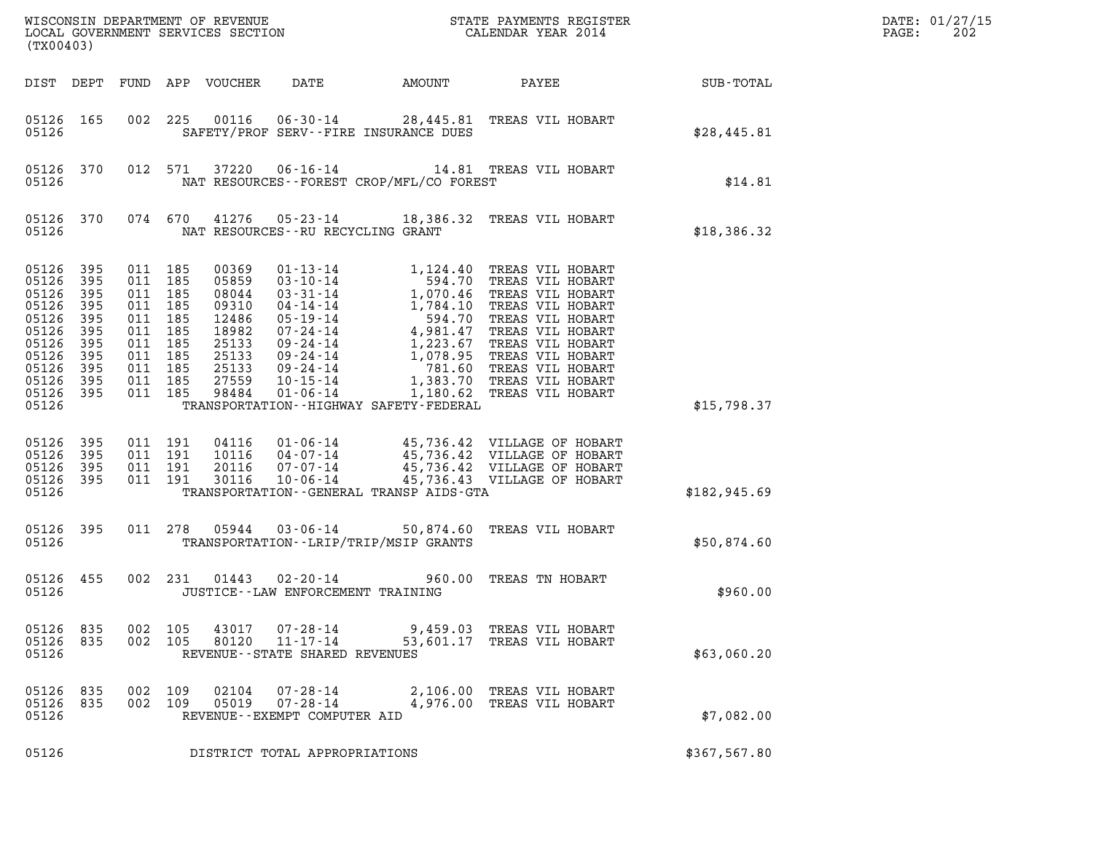| (TX00403)                                                                                                        |                                                               |                                                                                                            |         |                                                                                                 |                                                                     |                                             |                                                                                                                                                                                                                                                  |                 | DATE: 01/27/15<br>$\mathtt{PAGE}$ :<br>202 |
|------------------------------------------------------------------------------------------------------------------|---------------------------------------------------------------|------------------------------------------------------------------------------------------------------------|---------|-------------------------------------------------------------------------------------------------|---------------------------------------------------------------------|---------------------------------------------|--------------------------------------------------------------------------------------------------------------------------------------------------------------------------------------------------------------------------------------------------|-----------------|--------------------------------------------|
|                                                                                                                  |                                                               |                                                                                                            |         | DIST DEPT FUND APP VOUCHER                                                                      | DATE                                                                | AMOUNT                                      |                                                                                                                                                                                                                                                  | PAYEE SUB-TOTAL |                                            |
| 05126 165<br>05126                                                                                               |                                                               |                                                                                                            |         |                                                                                                 |                                                                     | SAFETY/PROF SERV--FIRE INSURANCE DUES       | 002 225 00116 06-30-14 28,445.81 TREAS VIL HOBART                                                                                                                                                                                                | \$28,445.81     |                                            |
| 05126                                                                                                            | 05126 370                                                     |                                                                                                            | 012 571 |                                                                                                 |                                                                     | NAT RESOURCES - - FOREST CROP/MFL/CO FOREST | 37220  06-16-14  14.81 TREAS VIL HOBART                                                                                                                                                                                                          | \$14.81         |                                            |
| 05126                                                                                                            | 05126 370                                                     |                                                                                                            | 074 670 |                                                                                                 | NAT RESOURCES -- RU RECYCLING GRANT                                 |                                             | 41276  05-23-14  18,386.32  TREAS VIL HOBART                                                                                                                                                                                                     | \$18,386.32     |                                            |
| 05126 395<br>05126<br>05126<br>05126<br>05126<br>05126<br>05126<br>05126<br>05126<br>05126<br>05126 395<br>05126 | 395<br>395<br>395<br>395<br>395<br>395<br>395<br>395<br>- 395 | 011 185<br>011 185<br>011 185<br>011 185<br>011 185<br>011 185<br>011 185<br>011 185<br>011 185<br>011 185 | 011 185 | 00369<br>05859<br>08044<br>09310<br>12486<br>18982<br>25133<br>25133<br>25133<br>27559<br>98484 |                                                                     | TRANSPORTATION - - HIGHWAY SAFETY - FEDERAL | 01-13-14 1,124.40 TREAS VIL HOBART<br>03-10-14 594.70 TREAS VIL HOBART<br>03-31-14 1,070.46 TREAS VIL HOBART<br>04-14-14 1,784.10 TREAS VIL HOBART<br>05-19-14 594.70 TREAS VIL HOBART<br>07-24-14 4,981.47 TREAS VIL HOBART<br>09-24-14 1,223.6 | \$15,798.37     |                                            |
| 05126 395<br>05126<br>05126<br>05126 395<br>05126                                                                | 395<br>395                                                    | 011 191<br>011 191<br>011 191                                                                              | 011 191 |                                                                                                 |                                                                     | TRANSPORTATION--GENERAL TRANSP AIDS-GTA     | 04116 01-06-14 45,736.42 VILLAGE OF HOBART<br>10116 04-07-14 45,736.42 VILLAGE OF HOBART<br>20116 07-07-14 45,736.42 VILLAGE OF HOBART<br>30116 10-06-14 45,736.43 VILLAGE OF HOBART                                                             | \$182,945.69    |                                            |
| 05126 395<br>05126                                                                                               |                                                               |                                                                                                            |         | 011 278 05944                                                                                   |                                                                     | TRANSPORTATION - - LRIP/TRIP/MSIP GRANTS    | 03-06-14 50,874.60 TREAS VIL HOBART                                                                                                                                                                                                              | \$50,874.60     |                                            |
| 05126 455<br>05126                                                                                               |                                                               |                                                                                                            | 002 231 |                                                                                                 | $01443$ $02 - 20 - 14$<br>JUSTICE - - LAW ENFORCEMENT TRAINING      |                                             | 960.00 TREAS TN HOBART                                                                                                                                                                                                                           | \$960.00        |                                            |
| 05126<br>05126 835<br>05126                                                                                      | 835                                                           | 002<br>002 105                                                                                             | 105     | 43017<br>80120                                                                                  | 07-28-14<br>$11 - 17 - 14$<br>REVENUE - - STATE SHARED REVENUES     |                                             | 9,459.03 TREAS VIL HOBART<br>53,601.17 TREAS VIL HOBART                                                                                                                                                                                          | \$63,060.20     |                                            |
| 05126<br>05126<br>05126                                                                                          | 835<br>835                                                    | 002<br>002 109                                                                                             | 109     | 02104<br>05019                                                                                  | $07 - 28 - 14$<br>$07 - 28 - 14$<br>REVENUE - - EXEMPT COMPUTER AID |                                             | 2,106.00 TREAS VIL HOBART<br>4,976.00 TREAS VIL HOBART                                                                                                                                                                                           | \$7,082.00      |                                            |
| 05126                                                                                                            |                                                               |                                                                                                            |         |                                                                                                 | DISTRICT TOTAL APPROPRIATIONS                                       |                                             |                                                                                                                                                                                                                                                  | \$367,567.80    |                                            |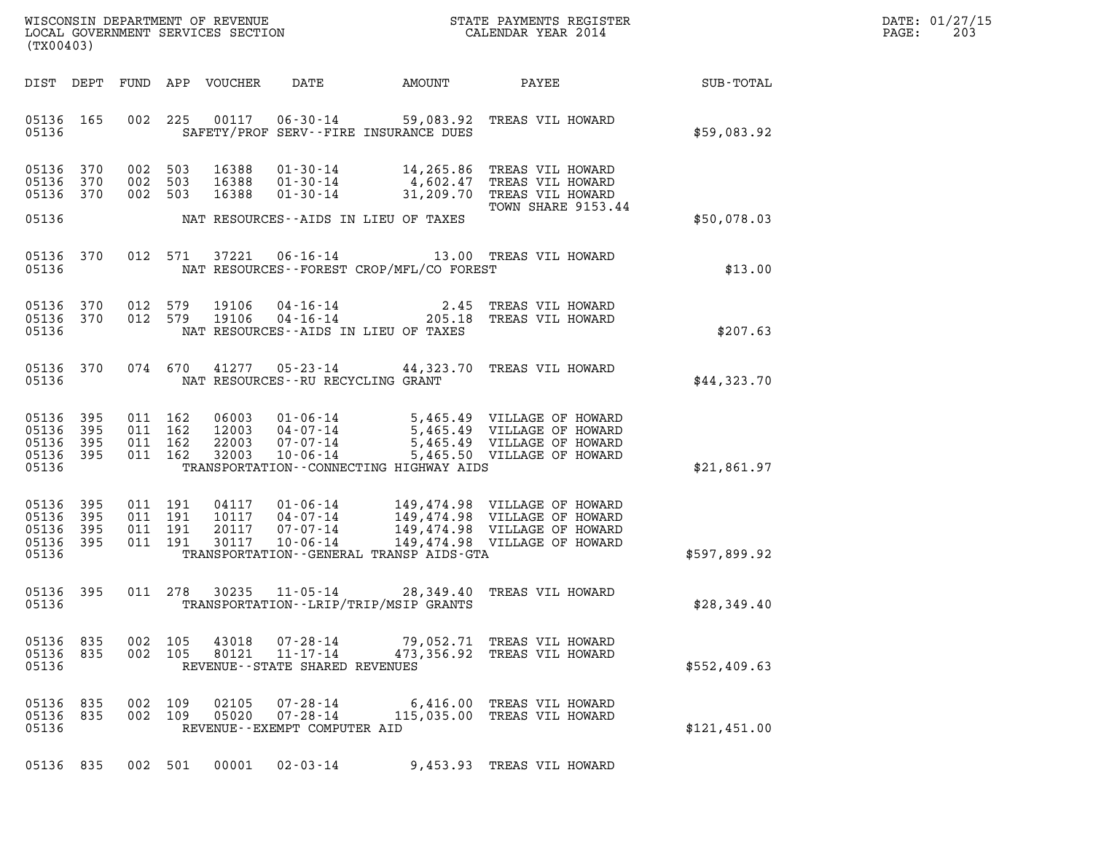| DATE: | 01/27/15 |
|-------|----------|
| PAGE: | 203      |

| (TX00403)                                     |                   |                                          |         |                                  |                                                                            |                                            |                                                                                                                                                                               |              | DATE: 01/27/15<br>PAGE:<br>203 |
|-----------------------------------------------|-------------------|------------------------------------------|---------|----------------------------------|----------------------------------------------------------------------------|--------------------------------------------|-------------------------------------------------------------------------------------------------------------------------------------------------------------------------------|--------------|--------------------------------|
| DIST DEPT                                     |                   |                                          |         | FUND APP VOUCHER                 | DATE                                                                       | AMOUNT                                     | PAYEE                                                                                                                                                                         | SUB-TOTAL    |                                |
| 05136 165<br>05136                            |                   |                                          | 002 225 | 00117                            | SAFETY/PROF SERV--FIRE INSURANCE DUES                                      |                                            | 06-30-14 59,083.92 TREAS VIL HOWARD                                                                                                                                           | \$59.083.92  |                                |
| 05136<br>05136<br>05136 370                   | 370<br>370        | 002 503<br>002 503<br>002 503            |         | 16388<br>16388<br>16388          | $01 - 30 - 14$<br>01-30-14<br>$01 - 30 - 14$                               | 14,265.86                                  | TREAS VIL HOWARD<br>4,602.47 TREAS VIL HOWARD<br>31,209.70 TREAS VIL HOWARD<br>TOWN SHARE 9153.44                                                                             |              |                                |
| 05136                                         |                   |                                          |         |                                  | NAT RESOURCES--AIDS IN LIEU OF TAXES                                       |                                            |                                                                                                                                                                               | \$50,078.03  |                                |
| 05136<br>05136                                | 370               |                                          | 012 571 | 37221                            |                                                                            | NAT RESOURCES--FOREST CROP/MFL/CO FOREST   | 06-16-14 13.00 TREAS VIL HOWARD                                                                                                                                               | \$13.00      |                                |
| 05136<br>05136 370<br>05136                   | 370               | 012 579<br>012 579                       |         | 19106<br>19106                   | $04 - 16 - 14$<br>$04 - 16 - 14$<br>NAT RESOURCES -- AIDS IN LIEU OF TAXES | 2.45<br>205.18                             | TREAS VIL HOWARD<br>TREAS VIL HOWARD                                                                                                                                          | \$207.63     |                                |
| 05136                                         | 05136 370         |                                          | 074 670 | 41277                            | NAT RESOURCES -- RU RECYCLING GRANT                                        |                                            | 05-23-14 44,323.70 TREAS VIL HOWARD                                                                                                                                           | \$44,323.70  |                                |
| 05136<br>05136<br>05136<br>05136 395<br>05136 | 395<br>395<br>395 | 011 162<br>011 162<br>011 162            | 011 162 | 06003<br>12003<br>22003<br>32003 | 07-07-14<br>10-06-14                                                       | TRANSPORTATION - - CONNECTING HIGHWAY AIDS | 01-06-14 5,465.49 VILLAGE OF HOWARD<br>04-07-14 5,465.49 VILLAGE OF HOWARD<br>07-07-14 5,465.49 VILLAGE OF HOWARD<br>5,465.49 VILLAGE OF HOWARD<br>5,465.50 VILLAGE OF HOWARD | \$21,861.97  |                                |
| 05136<br>05136<br>05136<br>05136 395<br>05136 | 395<br>395<br>395 | 011 191<br>011 191<br>011 191<br>011 191 |         | 04117<br>10117<br>20117<br>30117 | 01-06-14<br>04-07-14<br>07-07-14<br>$10 - 06 - 14$                         | TRANSPORTATION--GENERAL TRANSP AIDS-GTA    | 149,474.98 VILLAGE OF HOWARD<br>149,474.98 VILLAGE OF HOWARD<br>149,474.98 VILLAGE OF HOWARD<br>149,474.98 VILLAGE OF HOWARD                                                  | \$597,899.92 |                                |
| 05136 395<br>05136                            |                   | 011 278                                  |         | 30235                            | 11-05-14<br>TRANSPORTATION - - LRIP/TRIP/MSIP GRANTS                       |                                            | 28,349.40 TREAS VIL HOWARD                                                                                                                                                    | \$28,349.40  |                                |
| 05136 835<br>05136 835<br>05136               |                   | 002 105                                  | 002 105 | 43018<br>80121                   | $07 - 28 - 14$<br>$11 - 17 - 14$<br>REVENUE - - STATE SHARED REVENUES      |                                            | 79,052.71 TREAS VIL HOWARD<br>473,356.92 TREAS VIL HOWARD                                                                                                                     | \$552,409.63 |                                |
| 05136 835<br>05136 835<br>05136               |                   | 002 109<br>002 109                       |         | 02105<br>05020                   | 07-28-14<br>07-28-14<br>REVENUE - - EXEMPT COMPUTER AID                    |                                            | 6,416.00 TREAS VIL HOWARD<br>115,035.00 TREAS VIL HOWARD                                                                                                                      | \$121,451.00 |                                |
| 05136 835                                     |                   | 002 501                                  |         | 00001                            | $02 - 03 - 14$                                                             |                                            | 9,453.93 TREAS VIL HOWARD                                                                                                                                                     |              |                                |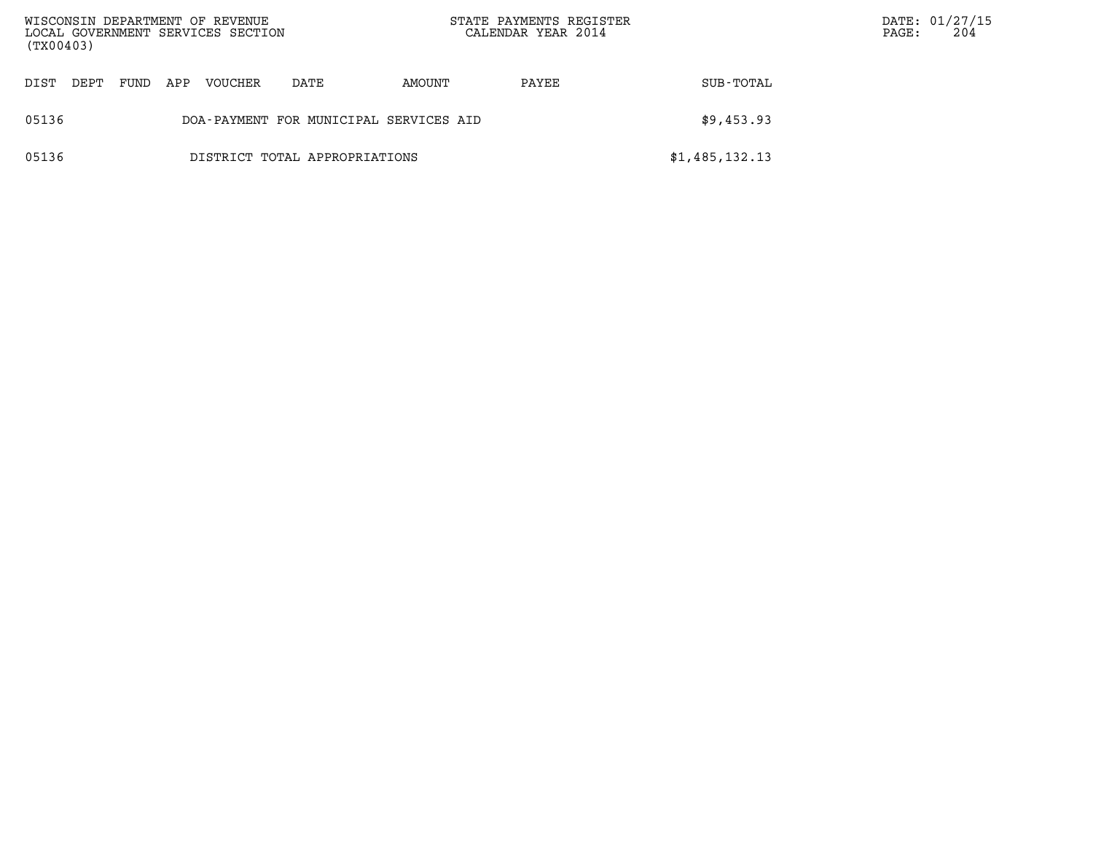| WISCONSIN DEPARTMENT OF REVENUE<br>LOCAL GOVERNMENT SERVICES SECTION<br>(TX00403) |      |     |         |                                        |        | STATE PAYMENTS REGISTER<br>CALENDAR YEAR 2014 |                | $\mathtt{PAGE}$ : | DATE: 01/27/15<br>204 |
|-----------------------------------------------------------------------------------|------|-----|---------|----------------------------------------|--------|-----------------------------------------------|----------------|-------------------|-----------------------|
| DIST<br>DEPT                                                                      | FUND | APP | VOUCHER | DATE                                   | AMOUNT | PAYEE                                         | SUB-TOTAL      |                   |                       |
| 05136                                                                             |      |     |         | DOA-PAYMENT FOR MUNICIPAL SERVICES AID |        |                                               | \$9,453.93     |                   |                       |
| 05136                                                                             |      |     |         | DISTRICT TOTAL APPROPRIATIONS          |        |                                               | \$1,485,132.13 |                   |                       |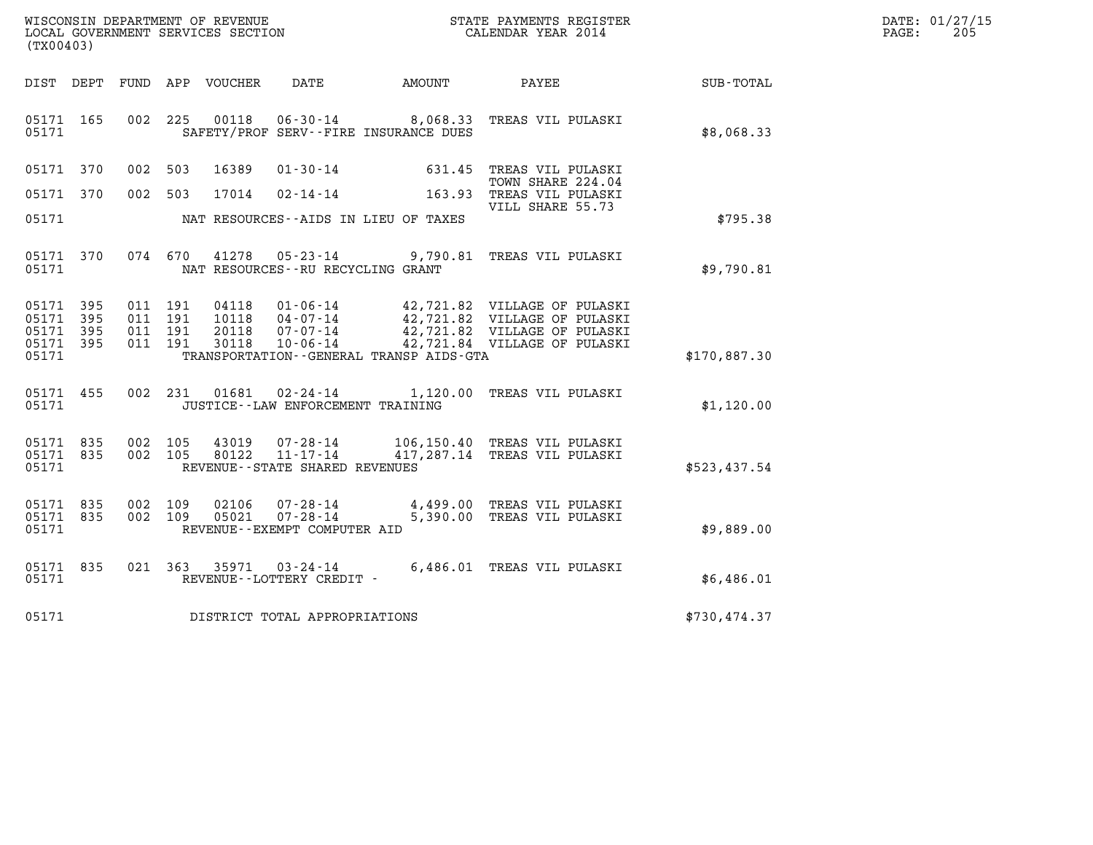| WISCONSIN DEPARTMENT OF REVENUE   | STATE PAYMENTS REGISTER | DATE: 01/27/15 |
|-----------------------------------|-------------------------|----------------|
| LOCAL GOVERNMENT SERVICES SECTION | CALENDAR YEAR 2014      | 205<br>PAGE:   |

| (TX00403)                                                             |                          |                                                              |                                                                                                                      |               |                                                                                                                              |              |
|-----------------------------------------------------------------------|--------------------------|--------------------------------------------------------------|----------------------------------------------------------------------------------------------------------------------|---------------|------------------------------------------------------------------------------------------------------------------------------|--------------|
| DIST<br>DEPT                                                          | FUND                     | APP<br>VOUCHER                                               | DATE                                                                                                                 | <b>AMOUNT</b> | PAYEE                                                                                                                        | SUB-TOTAL    |
| 165<br>05171<br>05171                                                 | 002                      | 225<br>00118                                                 | $06 - 30 - 14$ 8,068.33<br>SAFETY/PROF SERV--FIRE INSURANCE DUES                                                     |               | TREAS VIL PULASKI                                                                                                            | \$8,068.33   |
| 370<br>05171                                                          | 002                      | 503<br>16389                                                 | $01 - 30 - 14$                                                                                                       | 631.45        | TREAS VIL PULASKI                                                                                                            |              |
| 05171<br>370                                                          | 002                      | 503<br>17014                                                 | $02 - 14 - 14$                                                                                                       | 163.93        | TOWN SHARE 224.04<br>TREAS VIL PULASKI<br>VILL SHARE 55.73                                                                   |              |
| 05171                                                                 |                          |                                                              | NAT RESOURCES -- AIDS IN LIEU OF TAXES                                                                               |               |                                                                                                                              | \$795.38     |
| 05171<br>370<br>05171                                                 | 074                      | 670<br>41278                                                 | $05 - 23 - 14$ 9,790.81<br>NAT RESOURCES - - RU RECYCLING GRANT                                                      |               | TREAS VIL PULASKI                                                                                                            | \$9,790.81   |
| 05171<br>395<br>395<br>05171<br>05171<br>395<br>05171<br>395<br>05171 | 011<br>011<br>011<br>011 | 191<br>04118<br>191<br>10118<br>191<br>20118<br>191<br>30118 | $01 - 06 - 14$<br>$04 - 07 - 14$<br>$07 - 07 - 14$<br>$10 - 06 - 14$<br>TRANSPORTATION - - GENERAL TRANSP AIDS - GTA |               | 42,721.82 VILLAGE OF PULASKI<br>42,721.82 VILLAGE OF PULASKI<br>42,721.82 VILLAGE OF PULASKI<br>42,721.84 VILLAGE OF PULASKI | \$170,887.30 |
| 05171<br>455<br>05171                                                 | 002                      | 231                                                          | $01681$ $02 - 24 - 14$<br>JUSTICE - - LAW ENFORCEMENT TRAINING                                                       | 1,120.00      | TREAS VIL PULASKI                                                                                                            | \$1,120.00   |
| 835<br>05171<br>835<br>05171<br>05171                                 | 002<br>002               | 105<br>43019<br>80122<br>105                                 | 07-28-14<br>$11 - 17 - 14$<br>REVENUE - - STATE SHARED REVENUES                                                      |               | 106,150.40 TREAS VIL PULASKI<br>417,287.14 TREAS VIL PULASKI                                                                 | \$523,437.54 |
| 05171<br>835<br>05171<br>835<br>05171                                 | 002<br>002               | 109<br>02106<br>109<br>05021                                 | $07 - 28 - 14$<br>$07 - 28 - 14$<br>REVENUE--EXEMPT COMPUTER AID                                                     | 5,390.00      | 4,499.00 TREAS VIL PULASKI<br>TREAS VIL PULASKI                                                                              | \$9,889.00   |
| 05171<br>835<br>05171                                                 | 021                      | 363<br>35971                                                 | $03 - 24 - 14$<br>REVENUE - - LOTTERY CREDIT -                                                                       | 6,486.01      | TREAS VIL PULASKI                                                                                                            | \$6,486.01   |
| 05171                                                                 |                          |                                                              | DISTRICT TOTAL APPROPRIATIONS                                                                                        |               |                                                                                                                              | \$730,474.37 |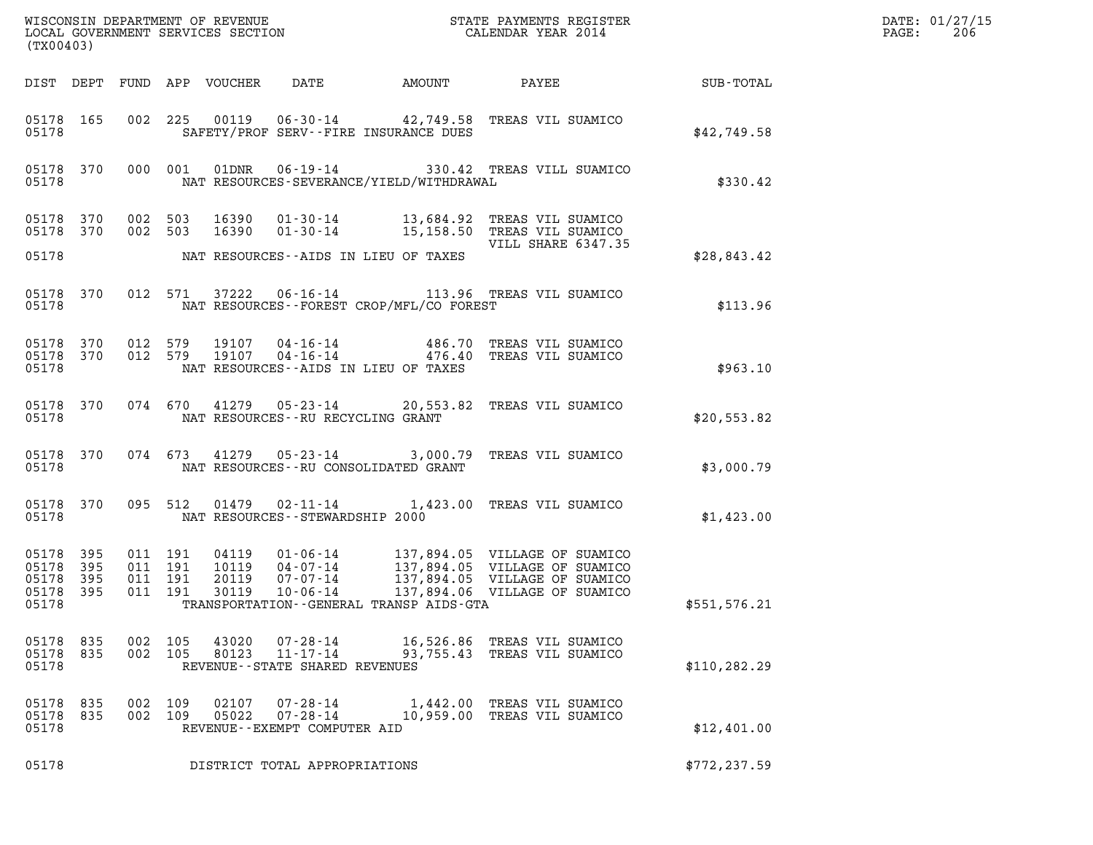| (TX00403)                                         |            |                               |         |                                  |                                                                 |                                              | DATE: 01/27/15<br>PAGE:<br>206                                                                                                   |               |  |
|---------------------------------------------------|------------|-------------------------------|---------|----------------------------------|-----------------------------------------------------------------|----------------------------------------------|----------------------------------------------------------------------------------------------------------------------------------|---------------|--|
|                                                   |            |                               |         | DIST DEPT FUND APP VOUCHER       | DATE                                                            | AMOUNT                                       | <b>PAYEE</b>                                                                                                                     | SUB-TOTAL     |  |
| 05178 165<br>05178                                |            |                               |         |                                  |                                                                 | SAFETY/PROF SERV--FIRE INSURANCE DUES        | 002 225 00119 06-30-14 42,749.58 TREAS VIL SUAMICO                                                                               | \$42,749.58   |  |
| 05178                                             | 05178 370  |                               | 000 001 | 01DNR                            |                                                                 | NAT RESOURCES-SEVERANCE/YIELD/WITHDRAWAL     | 06-19-14 330.42 TREAS VILL SUAMICO                                                                                               | \$330.42      |  |
| 05178 370                                         | 05178 370  | 002 503                       | 002 503 | 16390<br>16390                   |                                                                 |                                              | 01-30-14 13,684.92 TREAS VIL SUAMICO<br>01-30-14 15,158.50 TREAS VIL SUAMICO<br>VILL SHARE 6347.35                               |               |  |
| 05178                                             |            |                               |         |                                  |                                                                 | NAT RESOURCES--AIDS IN LIEU OF TAXES         |                                                                                                                                  | \$28.843.42   |  |
| 05178                                             | 05178 370  |                               |         | 012 571 37222                    |                                                                 | NAT RESOURCES--FOREST CROP/MFL/CO FOREST     | 06-16-14 113.96 TREAS VIL SUAMICO                                                                                                | \$113.96      |  |
| 05178 370<br>05178                                |            | 05178 370 012 579             | 012 579 | 19107<br>19107                   |                                                                 | NAT RESOURCES -- AIDS IN LIEU OF TAXES       | 04-16-14 486.70 TREAS VIL SUAMICO<br>04-16-14 476.40 TREAS VIL SUAMICO                                                           | \$963.10      |  |
| 05178                                             | 05178 370  |                               | 074 670 |                                  | NAT RESOURCES -- RU RECYCLING GRANT                             |                                              | 41279  05-23-14  20,553.82  TREAS VIL SUAMICO                                                                                    | \$20,553.82   |  |
| 05178                                             | 05178 370  |                               | 074 673 |                                  |                                                                 | NAT RESOURCES - - RU CONSOLIDATED GRANT      | 41279  05-23-14  3,000.79  TREAS VIL SUAMICO                                                                                     | \$3,000.79    |  |
| 05178 370<br>05178                                |            |                               | 095 512 | 01479                            | NAT RESOURCES - - STEWARDSHIP 2000                              |                                              | 02-11-14 1,423.00 TREAS VIL SUAMICO                                                                                              | \$1,423.00    |  |
| 05178 395<br>05178<br>05178<br>05178 395<br>05178 | 395<br>395 | 011 191<br>011 191<br>011 191 | 011 191 | 04119<br>10119<br>20119<br>30119 | 01 - 06 - 14<br>04 - 07 - 14<br>07 - 07 - 14<br>$10 - 06 - 14$  | TRANSPORTATION - - GENERAL TRANSP AIDS - GTA | 137,894.05 VILLAGE OF SUAMICO<br>137,894.05 VILLAGE OF SUAMICO<br>137,894.05 VILLAGE OF SUAMICO<br>137,894.06 VILLAGE OF SUAMICO | \$551,576.21  |  |
| 05178 835<br>05178 835<br>05178                   |            | 002 105<br>002 105            |         | 43020<br>80123                   | 07-28-14<br>$11 - 17 - 14$<br>REVENUE - - STATE SHARED REVENUES |                                              | 16,526.86 TREAS VIL SUAMICO<br>93,755.43 TREAS VIL SUAMICO                                                                       | \$110, 282.29 |  |
| 05178 835<br>05178 835<br>05178                   |            | 002 109<br>002 109            |         | 02107<br>05022                   | $07 - 28 - 14$<br>07-28-14<br>REVENUE - - EXEMPT COMPUTER AID   |                                              | 1,442.00 TREAS VIL SUAMICO<br>10,959.00 TREAS VIL SUAMICO                                                                        | \$12,401.00   |  |
| 05178                                             |            |                               |         |                                  | DISTRICT TOTAL APPROPRIATIONS                                   |                                              |                                                                                                                                  | \$772, 237.59 |  |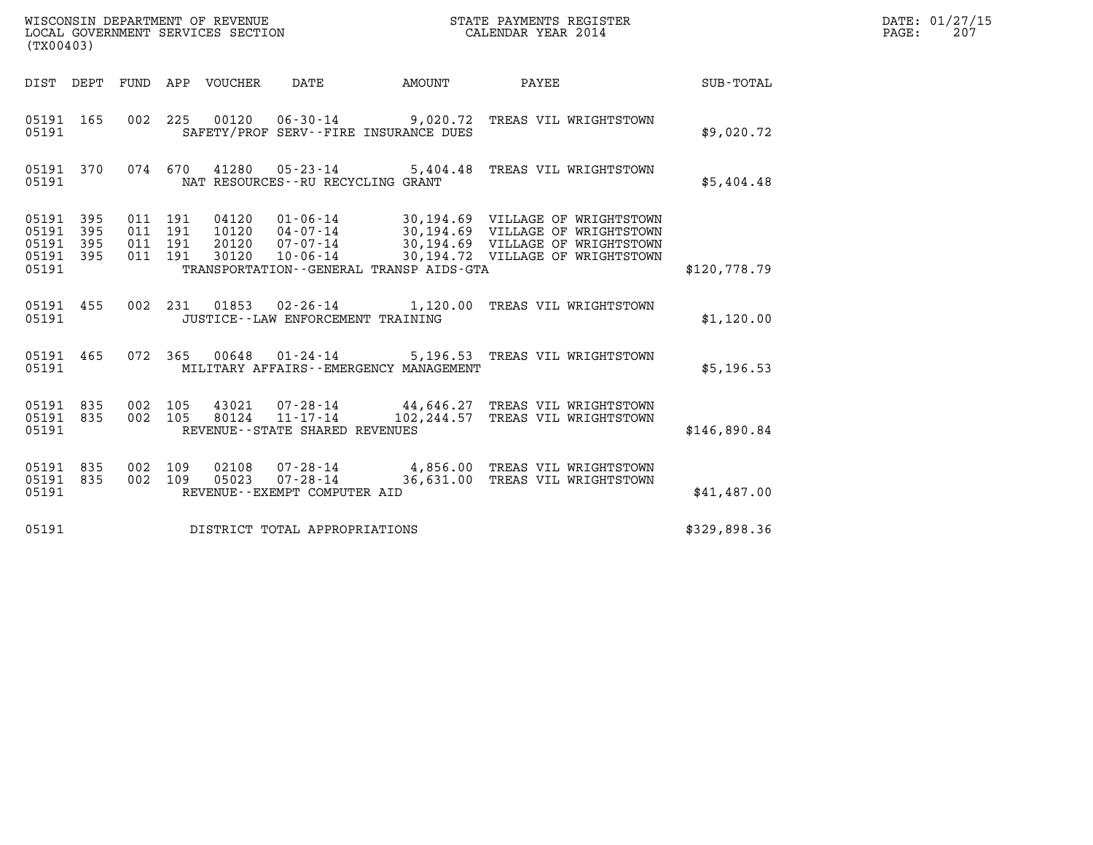| (TX00403)                                     |                   |         |                                          | WISCONSIN DEPARTMENT OF REVENUE<br>LOCAL GOVERNMENT SERVICES SECTION |                                       |                                           | STATE PAYMENTS REGISTER<br>CALENDAR YEAR 2014                                                                                                                                    |              | DATE: 01/27/15<br>$\mathtt{PAGE:}$<br>207 |
|-----------------------------------------------|-------------------|---------|------------------------------------------|----------------------------------------------------------------------|---------------------------------------|-------------------------------------------|----------------------------------------------------------------------------------------------------------------------------------------------------------------------------------|--------------|-------------------------------------------|
|                                               |                   |         |                                          | DIST DEPT FUND APP VOUCHER DATE                                      |                                       | AMOUNT                                    | PAYEE                                                                                                                                                                            | SUB-TOTAL    |                                           |
| 05191 165<br>05191                            |                   |         |                                          |                                                                      | SAFETY/PROF SERV--FIRE INSURANCE DUES |                                           | 002 225 00120 06-30-14 9,020.72 TREAS VIL WRIGHTSTOWN                                                                                                                            | \$9,020.72   |                                           |
| 05191 370<br>05191                            |                   |         |                                          |                                                                      | NAT RESOURCES - - RU RECYCLING GRANT  |                                           | 074 670 41280 05-23-14 5,404.48 TREAS VIL WRIGHTSTOWN                                                                                                                            | \$5,404.48   |                                           |
| 05191 395<br>05191<br>05191<br>05191<br>05191 | 395<br>395<br>395 |         | 011 191<br>011 191<br>011 191<br>011 191 | 04120<br>10120<br>20120<br>30120                                     |                                       | TRANSPORTATION--GENERAL TRANSP AIDS-GTA   | 01-06-14 30,194.69 VILLAGE OF WRIGHTSTOWN<br>04-07-14 30,194.69 VILLAGE OF WRIGHTSTOWN<br>07-07-14 30,194.69 VILLAGE OF WRIGHTSTOWN<br>10-06-14 30,194.72 VILLAGE OF WRIGHTSTOWN | \$120,778.79 |                                           |
| 05191 455<br>05191                            |                   |         |                                          |                                                                      | JUSTICE -- LAW ENFORCEMENT TRAINING   |                                           | 002 231 01853 02-26-14 1,120.00 TREAS VIL WRIGHTSTOWN                                                                                                                            | \$1,120.00   |                                           |
| 05191 465<br>05191                            |                   |         |                                          |                                                                      | 072 365 00648 01–24–14                | MILITARY AFFAIRS - - EMERGENCY MANAGEMENT | 5,196.53 TREAS VIL WRIGHTSTOWN                                                                                                                                                   | \$5,196.53   |                                           |
| 05191 835<br>05191 835<br>05191               |                   | 002 105 |                                          |                                                                      | REVENUE--STATE SHARED REVENUES        |                                           | 43021  07-28-14  44,646.27  TREAS VIL WRIGHTSTOWN<br>002 105 80124 11-17-14 102,244.57 TREAS VIL WRIGHTSTOWN                                                                     | \$146,890.84 |                                           |
| 05191 835<br>05191 835<br>05191               |                   | 002 109 |                                          |                                                                      | REVENUE--EXEMPT COMPUTER AID          |                                           | 02108  07-28-14  4,856.00 TREAS VIL WRIGHTSTOWN<br>002 109 05023 07-28-14 36,631.00 TREAS VIL WRIGHTSTOWN                                                                        | \$41,487.00  |                                           |
| 05191                                         |                   |         |                                          |                                                                      | DISTRICT TOTAL APPROPRIATIONS         |                                           |                                                                                                                                                                                  | \$329,898.36 |                                           |
|                                               |                   |         |                                          |                                                                      |                                       |                                           |                                                                                                                                                                                  |              |                                           |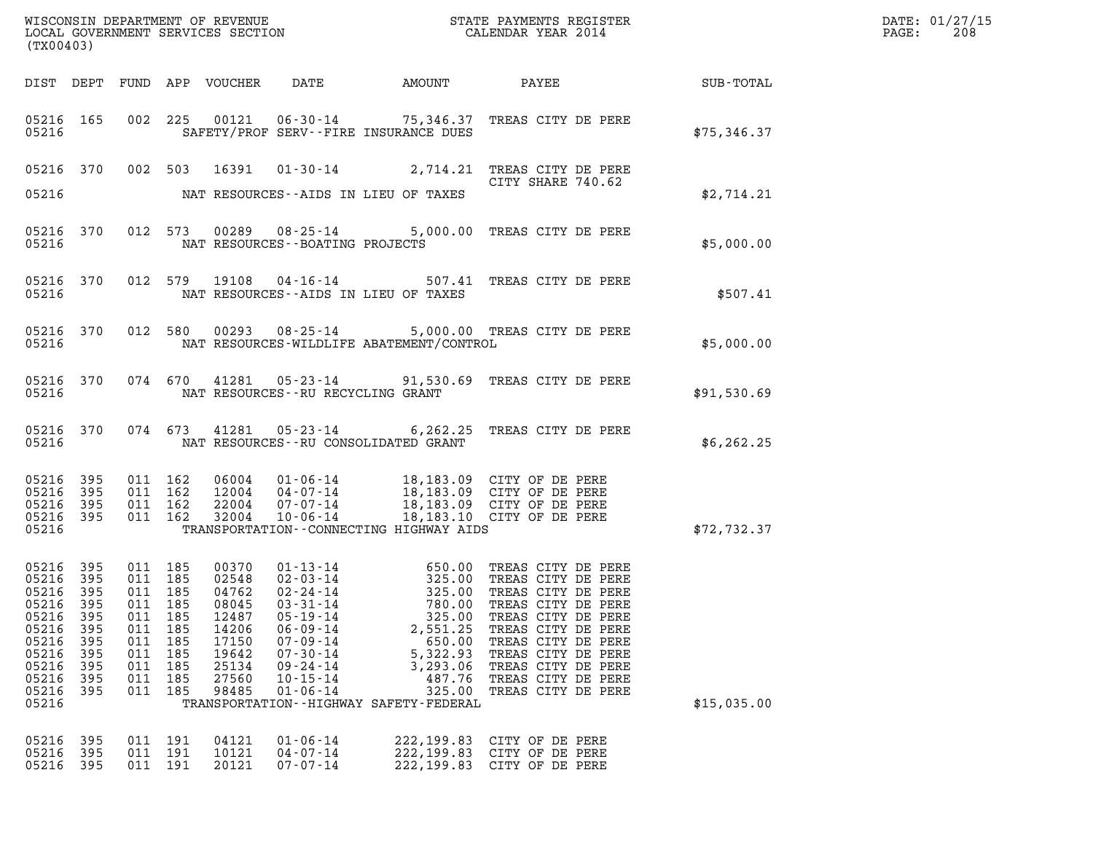| (TX00403)                                                                                                            |                                                      |                                                      |                                                      |                                                                      |                                                                                                                                        |                                                                                                                                   |                                                                                                                                                                                                                                                                                                                                                   |             | DATE: 01/27/15<br>PAGE: 208 |
|----------------------------------------------------------------------------------------------------------------------|------------------------------------------------------|------------------------------------------------------|------------------------------------------------------|----------------------------------------------------------------------|----------------------------------------------------------------------------------------------------------------------------------------|-----------------------------------------------------------------------------------------------------------------------------------|---------------------------------------------------------------------------------------------------------------------------------------------------------------------------------------------------------------------------------------------------------------------------------------------------------------------------------------------------|-------------|-----------------------------|
|                                                                                                                      |                                                      |                                                      |                                                      |                                                                      |                                                                                                                                        |                                                                                                                                   |                                                                                                                                                                                                                                                                                                                                                   |             |                             |
| 05216                                                                                                                |                                                      |                                                      |                                                      |                                                                      |                                                                                                                                        | SAFETY/PROF SERV--FIRE INSURANCE DUES                                                                                             | 05216 165 002 225 00121 06-30-14 75,346.37 TREAS CITY DE PERE                                                                                                                                                                                                                                                                                     | \$75,346.37 |                             |
| 05216                                                                                                                |                                                      |                                                      |                                                      |                                                                      |                                                                                                                                        | NAT RESOURCES -- AIDS IN LIEU OF TAXES                                                                                            | 05216 370 002 503 16391 01-30-14 2,714.21 TREAS CITY DE PERE                                                                                                                                                                                                                                                                                      | \$2,714.21  |                             |
| 05216                                                                                                                |                                                      |                                                      |                                                      |                                                                      | NAT RESOURCES - - BOATING PROJECTS                                                                                                     |                                                                                                                                   | 05216 370 012 573 00289 08-25-14 5,000.00 TREAS CITY DE PERE                                                                                                                                                                                                                                                                                      | \$5,000.00  |                             |
| 05216                                                                                                                |                                                      |                                                      |                                                      |                                                                      |                                                                                                                                        | NAT RESOURCES--AIDS IN LIEU OF TAXES                                                                                              | 05216 370 012 579 19108 04-16-14 507.41 TREAS CITY DE PERE                                                                                                                                                                                                                                                                                        | \$507.41    |                             |
| 05216                                                                                                                |                                                      |                                                      |                                                      |                                                                      |                                                                                                                                        | NAT RESOURCES-WILDLIFE ABATEMENT/CONTROL                                                                                          | 05216 370 012 580 00293 08-25-14 5,000.00 TREAS CITY DE PERE                                                                                                                                                                                                                                                                                      | \$5,000.00  |                             |
| 05216                                                                                                                |                                                      |                                                      |                                                      |                                                                      |                                                                                                                                        | NAT RESOURCES--RU RECYCLING GRANT                                                                                                 | 05216 370 074 670 41281 05-23-14 91,530.69 TREAS CITY DE PERE                                                                                                                                                                                                                                                                                     | \$91,530.69 |                             |
| 05216                                                                                                                |                                                      |                                                      |                                                      |                                                                      |                                                                                                                                        | NAT RESOURCES--RU CONSOLIDATED GRANT                                                                                              | 05216 370 074 673 41281 05-23-14 6,262.25 TREAS CITY DE PERE                                                                                                                                                                                                                                                                                      | \$6,262.25  |                             |
| 05216 395<br>05216<br>05216<br>05216<br>05216                                                                        | 395<br>395<br>395                                    | 011 162<br>011 162                                   | 011 162<br>011 162                                   |                                                                      |                                                                                                                                        | TRANSPORTATION--CONNECTING HIGHWAY AIDS                                                                                           | 06004 01-06-14 18,183.09 CITY OF DE PERE<br>12004 04-07-14 18,183.09 CITY OF DE PERE<br>22004 07-07-14 18,183.09 CITY OF DE PERE<br>32004 10-06-14 18,183.10 CITY OF DE PERE                                                                                                                                                                      | \$72,732.37 |                             |
| 05216 395<br>05216 395<br>05216 395<br>05216<br>05216<br>05216<br>05216<br>05216<br>05216<br>05216<br>05216<br>05216 | 395<br>395<br>395<br>395<br>395<br>395<br>395<br>395 | 011<br>011<br>011<br>011<br>011<br>011<br>011<br>011 | 185<br>185<br>185<br>185<br>185<br>185<br>185<br>185 | 08045<br>12487<br>14206<br>17150<br>19642<br>25134<br>27560<br>98485 | $03 - 31 - 14$<br>$05 - 19 - 14$<br>$06 - 09 - 14$<br>$07 - 09 - 14$<br>$07 - 30 - 14$<br>09-24-14<br>$10 - 15 - 14$<br>$01 - 06 - 14$ | 780.00<br>325.00<br>2,551.25<br>650.00<br>5,322.93<br>3,293.06<br>487.76<br>325.00<br>TRANSPORTATION - - HIGHWAY SAFETY - FEDERAL | 011 185  00370  01-13-14  650.00 TREAS CITY DE PERE<br>011 185  02548  02-03-14  325.00 TREAS CITY DE PERE<br>011 185  04762  02-24-14  325.00 TREAS CITY DE PERE<br>TREAS CITY DE PERE<br>TREAS CITY DE PERE<br>TREAS CITY DE PERE<br>TREAS CITY DE PERE<br>TREAS CITY DE PERE<br>TREAS CITY DE PERE<br>TREAS CITY DE PERE<br>TREAS CITY DE PERE | \$15,035.00 |                             |
| 05216<br>05216<br>05216                                                                                              | 395<br>395<br>395                                    | 011<br>011<br>011                                    | 191<br>191<br>191                                    | 04121<br>10121<br>20121                                              | $01 - 06 - 14$<br>$04 - 07 - 14$<br>$07 - 07 - 14$                                                                                     | 222, 199.83<br>222, 199.83<br>222,199.83                                                                                          | CITY OF DE PERE<br>CITY OF DE PERE<br>CITY OF DE PERE                                                                                                                                                                                                                                                                                             |             |                             |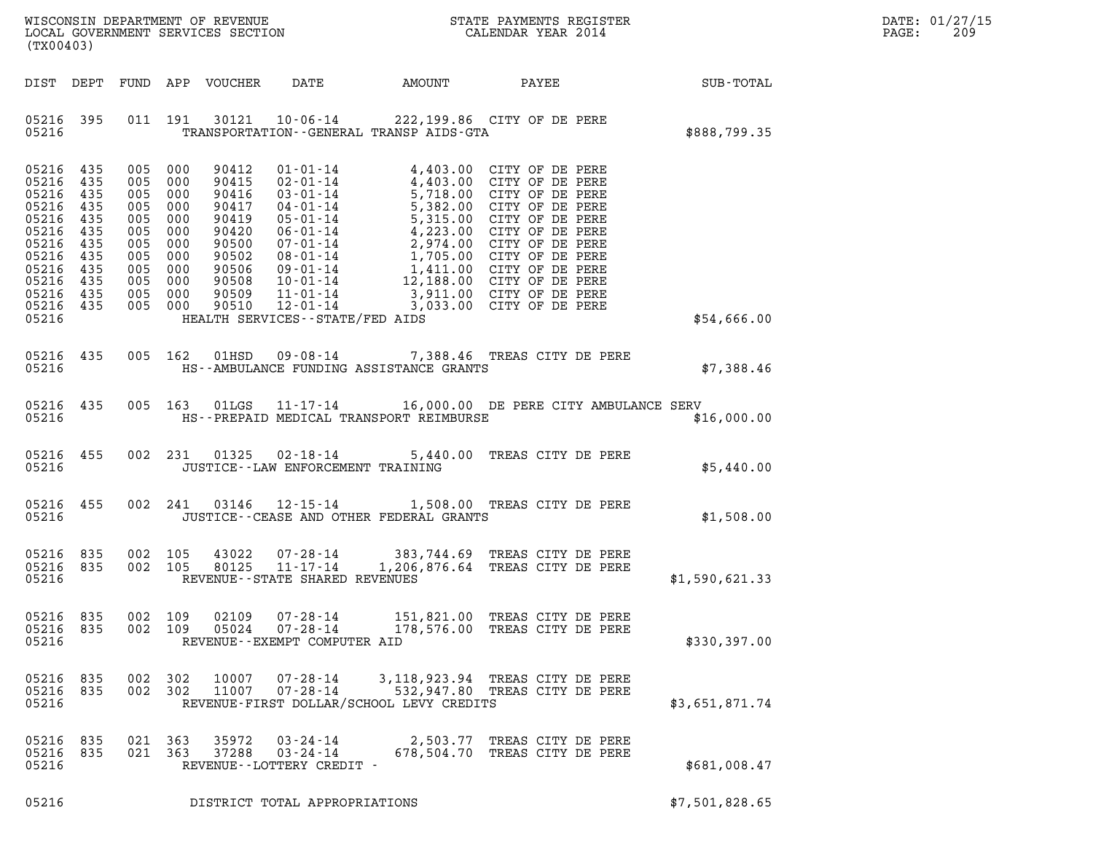|       | DATE: 01/27/15 |
|-------|----------------|
| PAGE: | 209            |

| (TX00403)                                                                                                             |                                                                           |                                                                                                                                  |         |                                                                                                          |                                                                       |                                           | DATE: 01/27/15<br>PAGE:<br>209                                                                                                                                                                                                                                                                                                                                                                                             |                 |  |
|-----------------------------------------------------------------------------------------------------------------------|---------------------------------------------------------------------------|----------------------------------------------------------------------------------------------------------------------------------|---------|----------------------------------------------------------------------------------------------------------|-----------------------------------------------------------------------|-------------------------------------------|----------------------------------------------------------------------------------------------------------------------------------------------------------------------------------------------------------------------------------------------------------------------------------------------------------------------------------------------------------------------------------------------------------------------------|-----------------|--|
| DIST DEPT                                                                                                             |                                                                           |                                                                                                                                  |         | FUND APP VOUCHER                                                                                         | DATE                                                                  | AMOUNT                                    |                                                                                                                                                                                                                                                                                                                                                                                                                            | PAYEE SUB-TOTAL |  |
| 05216 395<br>05216                                                                                                    |                                                                           |                                                                                                                                  | 011 191 |                                                                                                          |                                                                       | TRANSPORTATION--GENERAL TRANSP AIDS-GTA   | 30121  10-06-14  222,199.86  CITY OF DE PERE                                                                                                                                                                                                                                                                                                                                                                               | \$888,799.35    |  |
| 05216 435<br>05216<br>05216<br>05216<br>05216<br>05216<br>05216<br>05216<br>05216<br>05216<br>05216<br>05216<br>05216 | 435<br>435<br>435<br>435<br>435<br>435<br>435<br>435<br>435<br>435<br>435 | 005 000<br>005 000<br>005 000<br>005 000<br>005 000<br>005 000<br>005 000<br>005 000<br>005 000<br>005 000<br>005 000<br>005 000 |         | 90412<br>90415<br>90416<br>90417<br>90419<br>90420<br>90500<br>90502<br>90506<br>90508<br>90509<br>90510 | 11-01-14<br>12-01-14<br>12-01-14<br>HEALTH SERVICES -- STATE/FED AIDS |                                           | 01-01-14 4,403.00 CITY OF DE PERE<br>02-01-14<br>03-01-14<br>03-01-14<br>5,718.00 CITY OF DE PERE<br>03-01-14<br>04-01-14<br>04-01-14<br>05-01-14<br>06-01-14<br>06-01-14<br>07-01-14<br>07-01-14<br>07-01-14<br>07-01-14<br>1,705.00 CITY OF DE PERE<br>07-01-14<br>1,705.00 CITY OF DE PERE<br>08-01-14<br>1,411.00 CITY OF DE PERE<br>09-01-14<br>1,411.00 CITY<br>3,911.00 CITY OF DE PERE<br>3,033.00 CITY OF DE PERE | \$54,666.00     |  |
| 05216 435<br>05216                                                                                                    |                                                                           | 005 162                                                                                                                          |         | 01HSD                                                                                                    |                                                                       | HS--AMBULANCE FUNDING ASSISTANCE GRANTS   | 09-08-14 7,388.46 TREAS CITY DE PERE                                                                                                                                                                                                                                                                                                                                                                                       | \$7,388.46      |  |
| 05216 435<br>05216                                                                                                    |                                                                           | 005 163                                                                                                                          |         | 01LGS                                                                                                    |                                                                       | HS--PREPAID MEDICAL TRANSPORT REIMBURSE   | 11-17-14 16,000.00 DE PERE CITY AMBULANCE SERV                                                                                                                                                                                                                                                                                                                                                                             | \$16,000.00     |  |
| 05216 455<br>05216                                                                                                    |                                                                           | 002 231                                                                                                                          |         | 01325                                                                                                    | $02 - 18 - 14$<br>JUSTICE - - LAW ENFORCEMENT TRAINING                |                                           | 5,440.00 TREAS CITY DE PERE                                                                                                                                                                                                                                                                                                                                                                                                | \$5,440.00      |  |
| 05216 455<br>05216                                                                                                    |                                                                           | 002 241                                                                                                                          |         | 03146                                                                                                    |                                                                       | JUSTICE -- CEASE AND OTHER FEDERAL GRANTS | 12-15-14 1,508.00 TREAS CITY DE PERE                                                                                                                                                                                                                                                                                                                                                                                       | \$1,508.00      |  |
| 05216 835<br>05216 835<br>05216                                                                                       |                                                                           | 002 105<br>002 105                                                                                                               |         | 43022<br>80125                                                                                           | $11 - 17 - 14$<br>REVENUE--STATE SHARED REVENUES                      |                                           | 07-28-14 383,744.69 TREAS CITY DE PERE<br>1,206,876.64 TREAS CITY DE PERE                                                                                                                                                                                                                                                                                                                                                  | \$1,590,621.33  |  |
| 05216 835<br>05216<br>05216                                                                                           | 835                                                                       | 002 109<br>002 109                                                                                                               |         | 02109<br>05024                                                                                           | $07 - 28 - 14$<br>$07 - 28 - 14$<br>REVENUE - - EXEMPT COMPUTER AID   |                                           | 151,821.00 TREAS CITY DE PERE<br>178,576.00 TREAS CITY DE PERE                                                                                                                                                                                                                                                                                                                                                             | \$330,397.00    |  |
| 05216 835<br>05216<br>05216                                                                                           | 835                                                                       | 002<br>002 302                                                                                                                   | 302     | 10007<br>11007                                                                                           | $07 - 28 - 14$<br>$07 - 28 - 14$                                      | REVENUE-FIRST DOLLAR/SCHOOL LEVY CREDITS  | 3,118,923.94 TREAS CITY DE PERE<br>532,947.80 TREAS CITY DE PERE                                                                                                                                                                                                                                                                                                                                                           | \$3,651,871.74  |  |
| 05216 835<br>05216<br>05216                                                                                           | 835                                                                       | 021 363<br>021 363                                                                                                               |         | 35972<br>37288                                                                                           | 03-24-14<br>$03 - 24 - 14$<br>REVENUE--LOTTERY CREDIT -               |                                           | 2,503.77 TREAS CITY DE PERE<br>678,504.70 TREAS CITY DE PERE                                                                                                                                                                                                                                                                                                                                                               | \$681,008.47    |  |
| 05216                                                                                                                 |                                                                           |                                                                                                                                  |         |                                                                                                          | DISTRICT TOTAL APPROPRIATIONS                                         |                                           |                                                                                                                                                                                                                                                                                                                                                                                                                            | \$7,501,828.65  |  |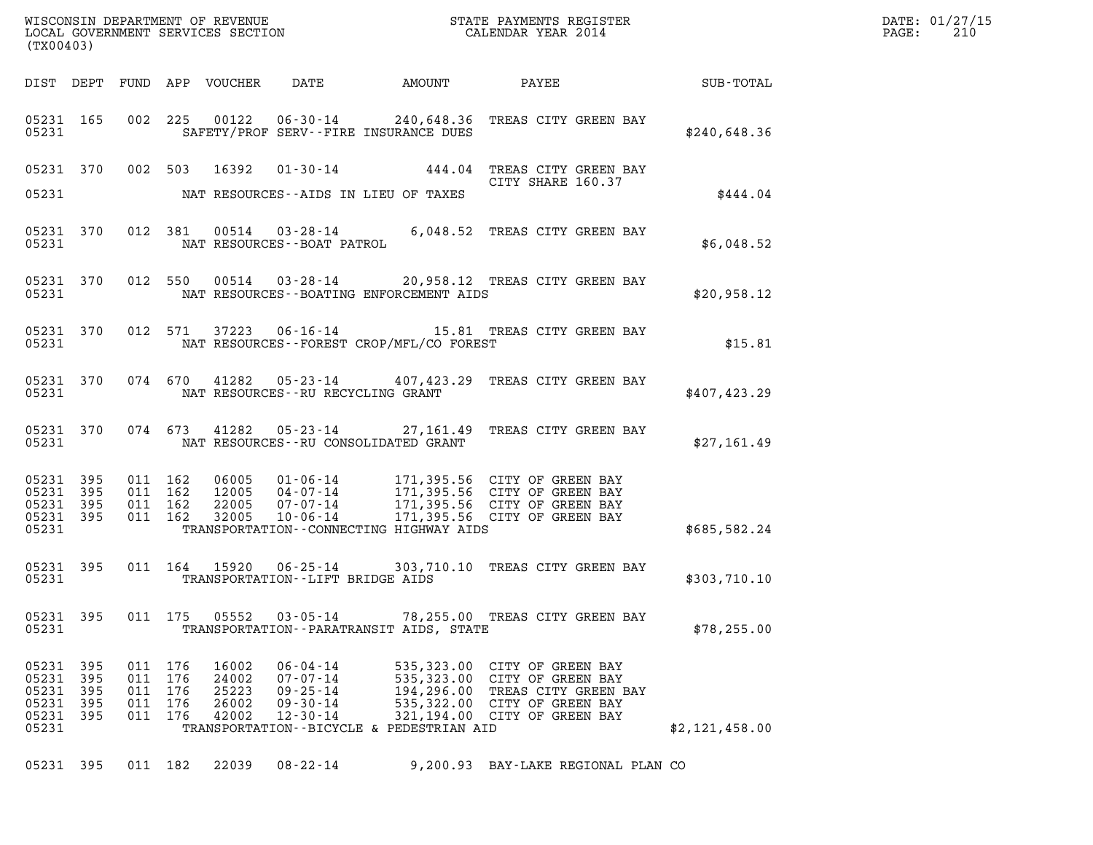| (TX00403)                                                      |            |                   |                                         |                                           |                                                                                        | WISCONSIN DEPARTMENT OF REVENUE<br>LOCAL GOVERNMENT SERVICES SECTION<br>(TWO0403) | DATE: 01/27/15<br>$\mathtt{PAGE:}$<br>210                                                                                                                                                                                |                |  |
|----------------------------------------------------------------|------------|-------------------|-----------------------------------------|-------------------------------------------|----------------------------------------------------------------------------------------|-----------------------------------------------------------------------------------|--------------------------------------------------------------------------------------------------------------------------------------------------------------------------------------------------------------------------|----------------|--|
|                                                                |            |                   |                                         |                                           |                                                                                        |                                                                                   | DIST DEPT FUND APP VOUCHER DATE AMOUNT PAYEE SUB-TOTAL                                                                                                                                                                   |                |  |
|                                                                | 05231      |                   |                                         |                                           |                                                                                        | SAFETY/PROF SERV--FIRE INSURANCE DUES                                             | 05231 165 002 225 00122 06-30-14 240,648.36 TREAS CITY GREEN BAY                                                                                                                                                         | \$240,648.36   |  |
|                                                                |            |                   |                                         |                                           |                                                                                        | 05231 NAT RESOURCES--AIDS IN LIEU OF TAXES                                        | 05231 370 002 503 16392 01-30-14 444.04 TREAS CITY GREEN BAY                                                                                                                                                             | \$444.04       |  |
|                                                                |            |                   |                                         |                                           | 05231 NAT RESOURCES--BOAT PATROL                                                       |                                                                                   | 05231 370 012 381 00514 03-28-14 6,048.52 TREAS CITY GREEN BAY                                                                                                                                                           | \$6,048.52     |  |
|                                                                |            |                   |                                         |                                           |                                                                                        | 05231 NAT RESOURCES--BOATING ENFORCEMENT AIDS                                     | 05231 370 012 550 00514 03-28-14 20,958.12 TREAS CITY GREEN BAY<br>\$20,958.12 \$20,958.12                                                                                                                               |                |  |
|                                                                |            |                   |                                         |                                           |                                                                                        | 05231 NAT RESOURCES--FOREST CROP/MFL/CO FOREST                                    | 05231 370 012 571 37223 06-16-14 15.81 TREAS CITY GREEN BAY                                                                                                                                                              | \$15.81        |  |
|                                                                |            |                   |                                         |                                           |                                                                                        | 05231 NAT RESOURCES - RU RECYCLING GRANT                                          | 05231 370 074 670 41282 05-23-14 407,423.29 TREAS CITY GREEN BAY                                                                                                                                                         | \$407,423.29   |  |
|                                                                |            |                   |                                         |                                           |                                                                                        | 05231 NAT RESOURCES--RU CONSOLIDATED GRANT                                        | 05231 370 074 673 41282 05-23-14 27,161.49 TREAS CITY GREEN BAY                                                                                                                                                          | \$27,161.49    |  |
| 05231 395<br>05231 395<br>05231 395<br>05231 395<br>05231      |            |                   |                                         |                                           |                                                                                        | TRANSPORTATION -- CONNECTING HIGHWAY AIDS                                         | 011 162 06005 01-06-14 171,395.56 CITY OF GREEN BAY<br>011 162 12005 04-07-14 171,395.56 CITY OF GREEN BAY<br>011 162 32005 07-07-14 171,395.56 CITY OF GREEN BAY<br>011 162 32005 10-06-14 171,395.56 CITY OF GREEN BAY | \$685,582.24   |  |
| 05231                                                          | 05231 395  |                   |                                         |                                           | TRANSPORTATION--LIFT BRIDGE AIDS                                                       |                                                                                   | 011 164 15920 06-25-14 303,710.10 TREAS CITY GREEN BAY                                                                                                                                                                   | \$303,710.10   |  |
| 05231 395<br>05231                                             |            |                   | 011 175                                 | 05552                                     | $03 - 05 - 14$                                                                         | TRANSPORTATION - - PARATRANSIT AIDS, STATE                                        | 78,255.00 TREAS CITY GREEN BAY                                                                                                                                                                                           | \$78, 255.00   |  |
| 05231 395<br>05231<br>05231<br>05231 395<br>05231 395<br>05231 | 395<br>395 | 011<br>011<br>011 | 011 176<br>176<br>176<br>176<br>011 176 | 16002<br>24002<br>25223<br>26002<br>42002 | $06 - 04 - 14$<br>$07 - 07 - 14$<br>$09 - 25 - 14$<br>$09 - 30 - 14$<br>$12 - 30 - 14$ | TRANSPORTATION--BICYCLE & PEDESTRIAN AID                                          | 535,323.00 CITY OF GREEN BAY<br>535,323.00 CITY OF GREEN BAY<br>194,296.00 TREAS CITY GREEN BAY<br>535,322.00 CITY OF GREEN BAY<br>321,194.00 CITY OF GREEN BAY                                                          | \$2,121,458.00 |  |
|                                                                | 05231 395  |                   | 011 182                                 | 22039                                     | 08-22-14                                                                               |                                                                                   | 9,200.93 BAY-LAKE REGIONAL PLAN CO                                                                                                                                                                                       |                |  |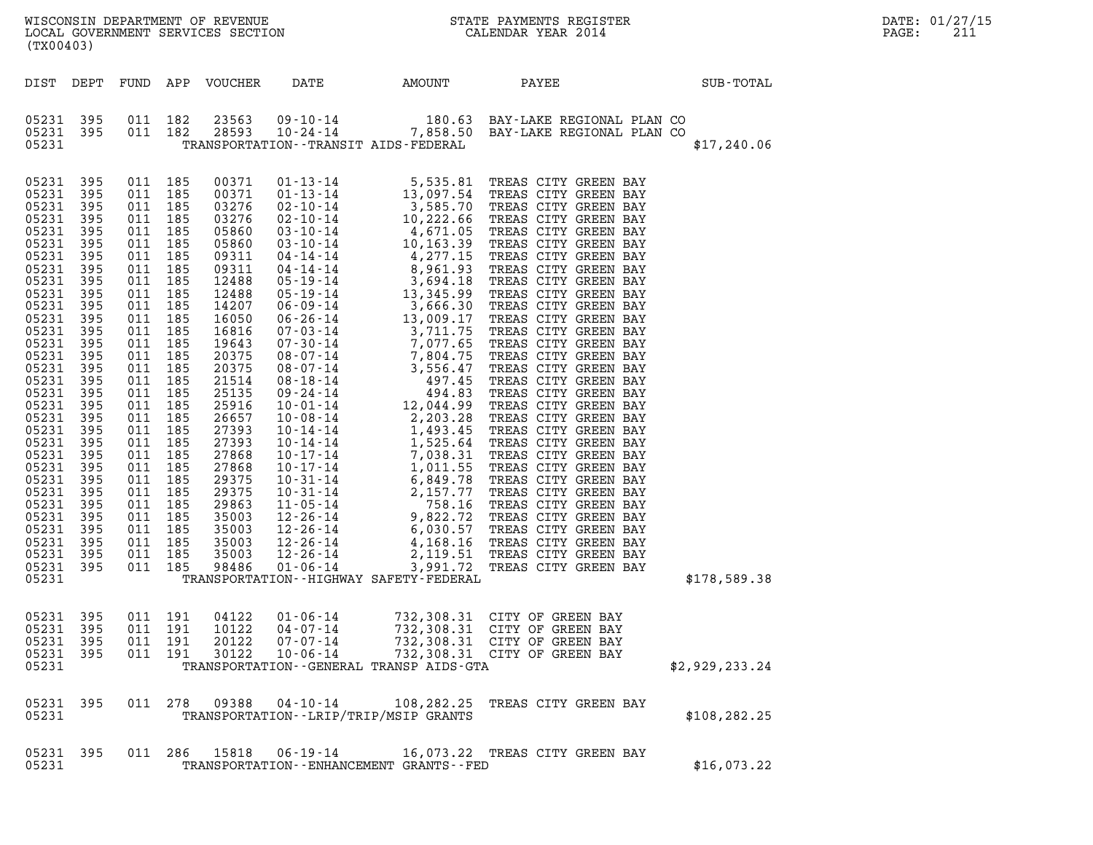| (TX00403)                                                                                                                                                                                                                                                                                                                                                                                                                                                                                                                                                                                                                                                                                                                                                                                         | %WISCONSIN DEPARTMENT OF REVENUE $$\tt STATE~PAYMEMTS~REGISTER~LOCAL~GOVERNMENT~SERVICES~SECTION~COIERMENT~SERVICES~SECTION~COILENDAR~YEAR~2014$                                                                                                  |  |                | DATE: 01/27/15<br>$\mathtt{PAGE}$ :<br>211 |
|---------------------------------------------------------------------------------------------------------------------------------------------------------------------------------------------------------------------------------------------------------------------------------------------------------------------------------------------------------------------------------------------------------------------------------------------------------------------------------------------------------------------------------------------------------------------------------------------------------------------------------------------------------------------------------------------------------------------------------------------------------------------------------------------------|---------------------------------------------------------------------------------------------------------------------------------------------------------------------------------------------------------------------------------------------------|--|----------------|--------------------------------------------|
|                                                                                                                                                                                                                                                                                                                                                                                                                                                                                                                                                                                                                                                                                                                                                                                                   | DIST DEPT FUND APP VOUCHER DATE AMOUNT PAYEE PATE SUB-TOTAL                                                                                                                                                                                       |  |                |                                            |
|                                                                                                                                                                                                                                                                                                                                                                                                                                                                                                                                                                                                                                                                                                                                                                                                   | 05231 395 011 182 23563 09-10-14 180.63 BAY-LAKE REGIONAL PLAN CO 05231 395 011 182 28593 10-24-14 7,858.50 BAY-LAKE REGIONAL PLAN CO<br>05231 TRANSPORTATION - TRANSIT AIDS - FEDERAL                                                            |  | \$17,240.06    |                                            |
| 05231 395 011 185<br>05231 395<br>011 185<br>05231 395<br>011 185<br>05231 395<br>011 185<br>05231 395<br>05231 395<br>011 185<br>011 185<br>$011$ 185<br>05231 395<br>011 185<br>05231 395<br>05231 395<br>011 185<br>05231 395<br>011 185<br>011 185<br>05231 395<br>05231 395<br>011 185<br>011 185<br>011 185<br>011 185<br>05231 395<br>05231 395<br>05231 395<br>011 185<br>011 185<br>011 185<br>05231 395<br>05231 395<br>05231 395<br>05231 395<br>011 185<br>05231 395<br>011 185<br>011 185<br>05231 395<br>05231 395<br>011 185<br>05231 395<br>011 185<br>011 185<br>05231 395<br>05231 395<br>05231 395<br>011 185<br>011 185<br>05231 395<br>011 185<br>05231 395<br>011 185<br>011 185<br>05231 395<br>011 185<br>05231 395<br>05231 395 011 185 35003<br>05231 395 011 185 98486 | 05231 TRANSPORTATION--HIGHWAY SAFETY-FEDERAL                                                                                                                                                                                                      |  | \$178,589.38   |                                            |
| 05231 395 011 191<br>05231 395 011 191<br>011 191<br>011 191<br>011 191<br>05231 395<br>05231 395<br>05231                                                                                                                                                                                                                                                                                                                                                                                                                                                                                                                                                                                                                                                                                        | 04122  01-06-14  732,308.31  CITY OF GREEN BAY<br>10122  04-07-14  732,308.31  CITY OF GREEN BAY<br>20122  07-07-14  732,308.31  CITY OF GREEN BAY<br>30122  10-06-14  732,308.31  CITY OF GREEN BAY<br>TRANSPORTATION -- GENERAL TRANSP AIDS-GTA |  | \$2,929,233.24 |                                            |

| 05231              |  |         |  | TRANSPORTATION--GENERAL TRANSP AIDS-GTA                                    |  | \$2,929,233.24 |  |
|--------------------|--|---------|--|----------------------------------------------------------------------------|--|----------------|--|
| 05231 395<br>05231 |  | 011 278 |  | 108, 282. 25 TREAS CITY GREEN BAY<br>TRANSPORTATION--LRIP/TRIP/MSIP GRANTS |  | \$108, 282, 25 |  |

| 05231              | TRANSPORTATION--LRIP/TRIP/MSIP GRANTS |  |         |  |                                                                 |  |                                |  |             |
|--------------------|---------------------------------------|--|---------|--|-----------------------------------------------------------------|--|--------------------------------|--|-------------|
| 05231 395<br>05231 |                                       |  | 011 286 |  | 15818 06-19-14<br>TRANSPORTATION - - ENHANCEMENT GRANTS - - FED |  | 16,073.22 TREAS CITY GREEN BAY |  | \$16,073.22 |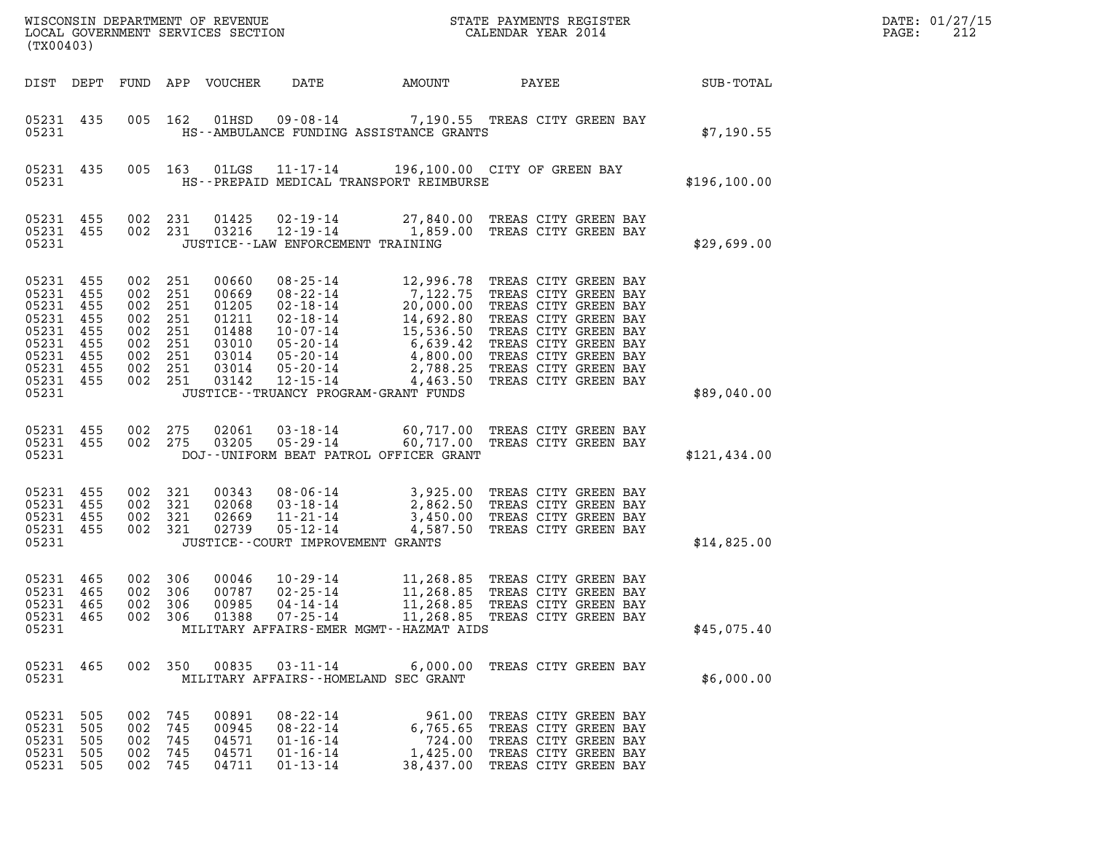| (TX00403)                                                                                                              |                   |                                                                                      |                                 |                                           |                                                                                        |                                                                                                                                                                                                                                                                                         |                                                                                                                             |  |  |                 | DATE: 01/27/15<br>PAGE:<br>212 |
|------------------------------------------------------------------------------------------------------------------------|-------------------|--------------------------------------------------------------------------------------|---------------------------------|-------------------------------------------|----------------------------------------------------------------------------------------|-----------------------------------------------------------------------------------------------------------------------------------------------------------------------------------------------------------------------------------------------------------------------------------------|-----------------------------------------------------------------------------------------------------------------------------|--|--|-----------------|--------------------------------|
|                                                                                                                        |                   |                                                                                      |                                 | DIST DEPT FUND APP VOUCHER                | DATE                                                                                   | AMOUNT                                                                                                                                                                                                                                                                                  |                                                                                                                             |  |  | PAYEE SUB-TOTAL |                                |
| 05231 435<br>05231                                                                                                     |                   |                                                                                      |                                 |                                           |                                                                                        | 005 162 01HSD 09-08-14 7,190.55 TREAS CITY GREEN BAY<br>HS--AMBULANCE FUNDING ASSISTANCE GRANTS                                                                                                                                                                                         |                                                                                                                             |  |  | \$7,190.55      |                                |
| 05231                                                                                                                  | 05231 435         |                                                                                      |                                 |                                           |                                                                                        | 005 163 01LGS 11-17-14 196,100.00 CITY OF GREEN BAY<br>HS--PREPAID MEDICAL TRANSPORT REIMBURSE                                                                                                                                                                                          |                                                                                                                             |  |  | \$196, 100.00   |                                |
| 05231 455<br>05231                                                                                                     | 05231 455         |                                                                                      | 002 231<br>002 231              |                                           | JUSTICE--LAW ENFORCEMENT TRAINING                                                      | 01425  02-19-14  27,840.00 TREAS CITY GREEN BAY<br>03216  12-19-14   1,859.00 TREAS CITY GREEN BAY                                                                                                                                                                                      |                                                                                                                             |  |  | \$29,699.00     |                                |
| 05231 455<br>05231 455<br>05231<br>05231 455<br>05231 455<br>05231 455<br>05231 455<br>05231 455<br>05231 455<br>05231 | 455               | 002 251<br>002 251<br>002 251<br>002 251<br>002 251<br>002 251<br>002 251<br>002 251 | 002 251                         |                                           |                                                                                        | 00660 08-25-14 12,996.78 TREAS CITY GREEN BAY<br>00669 08-22-14 7,122.75 TREAS CITY GREEN BAY<br>01205 02-18-14 20,000.00 TREAS CITY GREEN BAY<br>01211 02-18-14 14,692.80 TREAS CITY GREEN BAY<br>01488 10-07-14 15,536.50 TREAS CITY GRE<br>JUSTICE - - TRUANCY PROGRAM - GRANT FUNDS |                                                                                                                             |  |  | \$89,040.00     |                                |
| 05231 455<br>05231                                                                                                     | 05231 455         | 002 275                                                                              | 002 275                         | 02061<br>03205                            |                                                                                        | 03-18-14 60,717.00 TREAS CITY GREEN BAY<br>05-29-14 60,717.00 TREAS CITY GREEN BAY<br>DOJ--UNIFORM BEAT PATROL OFFICER GRANT                                                                                                                                                            |                                                                                                                             |  |  | \$121,434.00    |                                |
| 05231 455<br>05231 455<br>05231 455<br>05231 455<br>05231                                                              |                   | 002 321<br>002 321<br>002 321                                                        | 002 321                         | 00343<br>02068<br>02669<br>02739          | JUSTICE--COURT IMPROVEMENT GRANTS                                                      | 08-06-14 3,925.00 TREAS CITY GREEN BAY<br>03-18-14 2,862.50 TREAS CITY GREEN BAY<br>11-21-14 3,450.00 TREAS CITY GREEN BAY<br>05-12-14 4,587.50 TREAS CITY GREEN BAY                                                                                                                    |                                                                                                                             |  |  | \$14,825.00     |                                |
| 05231 465<br>05231 465<br>05231 465<br>05231 465<br>05231                                                              |                   | 002<br>002 306<br>002<br>002 306                                                     | 306<br>306                      | 00046<br>00787<br>00985<br>01388          | $10 - 29 - 14$<br>$02 - 25 - 14$<br>$04 - 14 - 14$<br>$07 - 25 - 14$                   | 11,268.85 TREAS CITY GREEN BAY<br>11,268.85 TREAS CITY GREEN BAY<br>11,268.85 TREAS CITY GREEN BAY<br>11,268.85 TREAS CITY GREEN BAY<br>MILITARY AFFAIRS-EMER MGMT--HAZMAT AIDS                                                                                                         |                                                                                                                             |  |  | \$45,075.40     |                                |
| 05231 465<br>05231                                                                                                     |                   |                                                                                      | 002 350                         | 00835                                     | 03-11-14                                                                               | MILITARY AFFAIRS -- HOMELAND SEC GRANT                                                                                                                                                                                                                                                  | 6,000.00 TREAS CITY GREEN BAY                                                                                               |  |  | \$6,000.00      |                                |
| 05231 505<br>05231<br>05231<br>05231<br>05231 505                                                                      | 505<br>505<br>505 | 002<br>002<br>002<br>002<br>002                                                      | 745<br>745<br>745<br>745<br>745 | 00891<br>00945<br>04571<br>04571<br>04711 | $08 - 22 - 14$<br>$08 - 22 - 14$<br>$01 - 16 - 14$<br>$01 - 16 - 14$<br>$01 - 13 - 14$ | 6,765.65<br>724.00<br>1,425.00<br>38,437.00                                                                                                                                                                                                                                             | 961.00 TREAS CITY GREEN BAY<br>TREAS CITY GREEN BAY<br>TREAS CITY GREEN BAY<br>TREAS CITY GREEN BAY<br>TREAS CITY GREEN BAY |  |  |                 |                                |